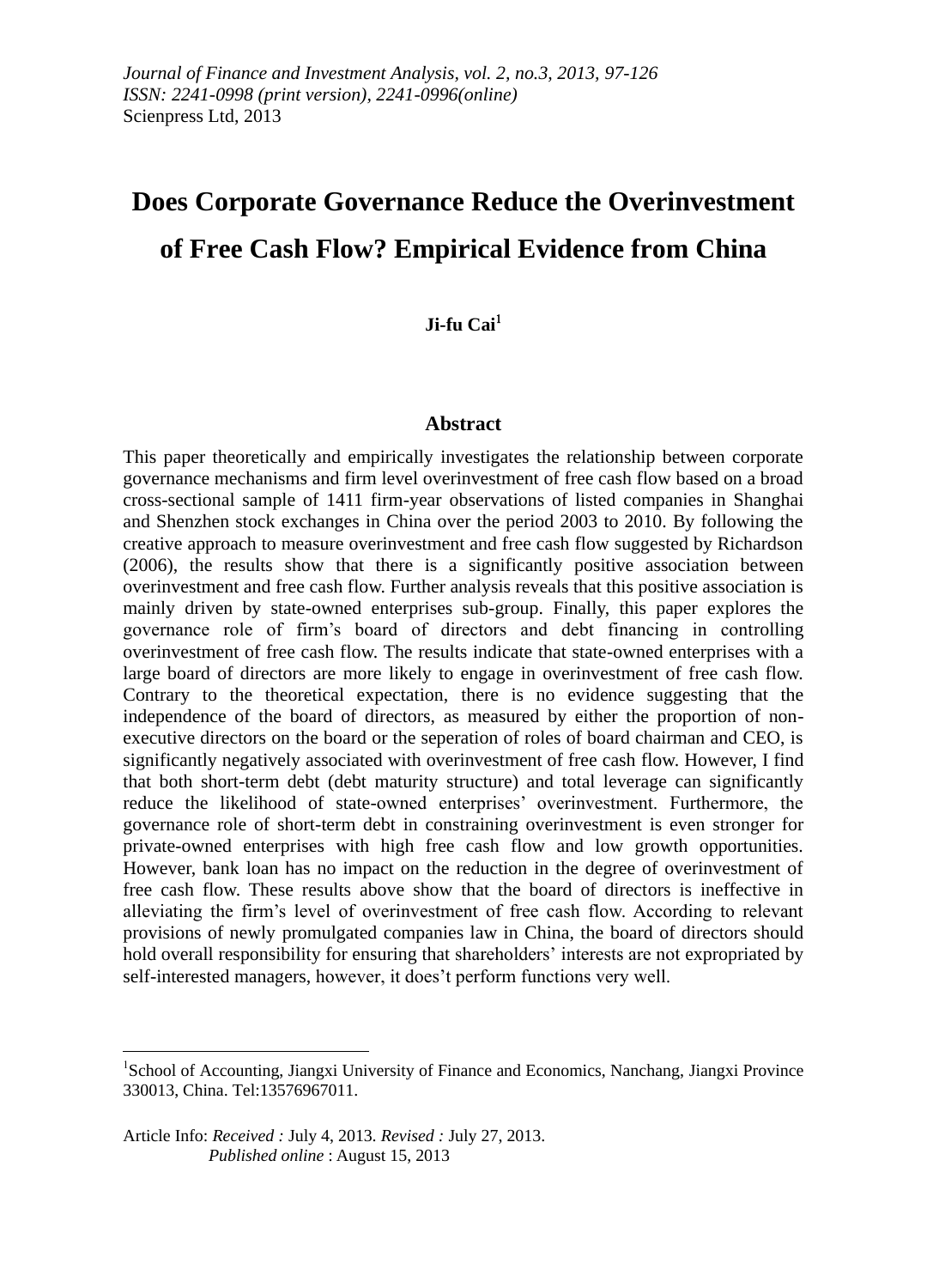# **Does Corporate Governance Reduce the Overinvestment of Free Cash Flow? Empirical Evidence from China**

## **Ji-fu Cai**

## **Abstract**

This paper theoretically and empirically investigates the relationship between corporate governance mechanisms and firm level overinvestment of free cash flow based on a broad cross-sectional sample of 1411 firm-year observations of listed companies in Shanghai and Shenzhen stock exchanges in China over the period 2003 to 2010. By following the creative approach to measure overinvestment and free cash flow suggested by Richardson (2006), the results show that there is a significantly positive association between overinvestment and free cash flow. Further analysis reveals that this positive association is mainly driven by state-owned enterprises sub-group. Finally, this paper explores the governance role of firm's board of directors and debt financing in controlling overinvestment of free cash flow. The results indicate that state-owned enterprises with a large board of directors are more likely to engage in overinvestment of free cash flow. Contrary to the theoretical expectation, there is no evidence suggesting that the independence of the board of directors, as measured by either the proportion of nonexecutive directors on the board or the seperation of roles of board chairman and CEO, is significantly negatively associated with overinvestment of free cash flow. However, I find that both short-term debt (debt maturity structure) and total leverage can significantly reduce the likelihood of state-owned enterprises' overinvestment. Furthermore, the governance role of short-term debt in constraining overinvestment is even stronger for private-owned enterprises with high free cash flow and low growth opportunities. However, bank loan has no impact on the reduction in the degree of overinvestment of free cash flow. These results above show that the board of directors is ineffective in alleviating the firm's level of overinvestment of free cash flow. According to relevant provisions of newly promulgated companies law in China, the board of directors should hold overall responsibility for ensuring that shareholders' interests are not expropriated by self-interested managers, however, it does't perform functions very well.

<u>.</u>

<sup>&</sup>lt;sup>1</sup>School of Accounting, Jiangxi University of Finance and Economics, Nanchang, Jiangxi Province 330013, China. Tel:13576967011.

Article Info: *Received :* July 4, 2013*. Revised :* July 27, 2013.  *Published online* : August 15, 2013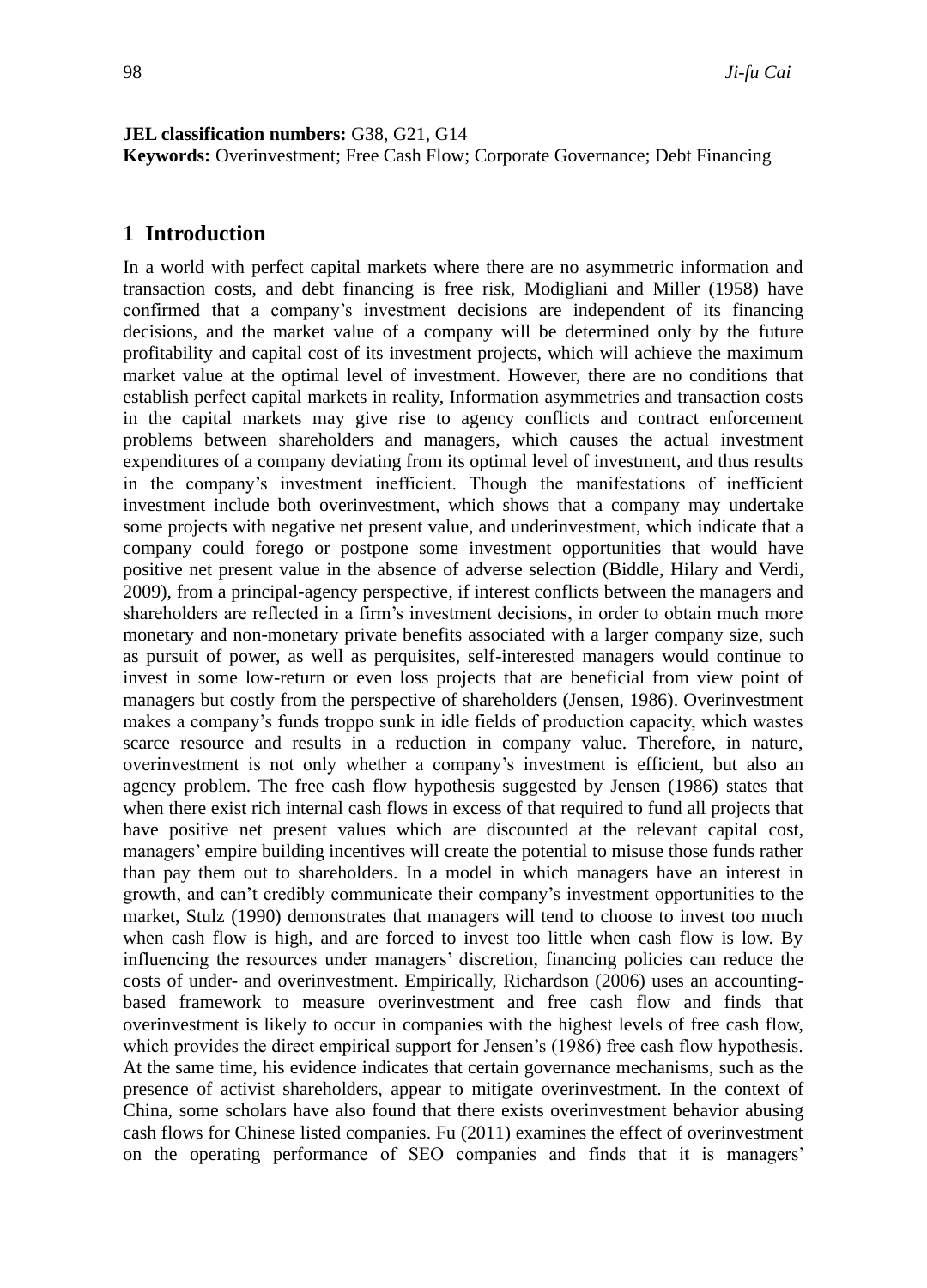#### **JEL classification numbers:** G38, G21, G14

**Keywords:** Overinvestment; Free Cash Flow; Corporate Governance; Debt Financing

## **1 Introduction**

In a world with perfect capital markets where there are no asymmetric information and transaction costs, and debt financing is free risk, Modigliani and Miller (1958) have confirmed that a company's investment decisions are independent of its financing decisions, and the market value of a company will be determined only by the future profitability and capital cost of its investment projects, which will achieve the maximum market value at the optimal level of investment. However, there are no conditions that establish perfect capital markets in reality, Information asymmetries and transaction costs in the capital markets may give rise to agency conflicts and contract enforcement problems between shareholders and managers, which causes the actual investment expenditures of a company deviating from its optimal level of investment, and thus results in the company's investment inefficient. Though the manifestations of inefficient investment include both overinvestment, which shows that a company may undertake some projects with negative net present value, and underinvestment, which indicate that a company could forego or postpone some investment opportunities that would have positive net present value in the absence of adverse selection (Biddle, Hilary and Verdi, 2009), from a principal-agency perspective, if interest conflicts between the managers and shareholders are reflected in a firm's investment decisions, in order to obtain much more monetary and non-monetary private benefits associated with a larger company size, such as pursuit of power, as well as perquisites, self-interested managers would continue to invest in some low-return or even loss projects that are beneficial from view point of managers but costly from the perspective of shareholders (Jensen, 1986). Overinvestment makes a company's funds troppo sunk in idle fields of production capacity, which wastes scarce resource and results in a reduction in company value. Therefore, in nature, overinvestment is not only whether a company's investment is efficient, but also an agency problem. The free cash flow hypothesis suggested by Jensen (1986) states that when there exist rich internal cash flows in excess of that required to fund all projects that have positive net present values which are discounted at the relevant capital cost, managers' empire building incentives will create the potential to misuse those funds rather than pay them out to shareholders. In a model in which managers have an interest in growth, and can't credibly communicate their company's investment opportunities to the market, Stulz (1990) demonstrates that managers will tend to choose to invest too much when cash flow is high, and are forced to invest too little when cash flow is low. By influencing the resources under managers' discretion, financing policies can reduce the costs of under- and overinvestment. Empirically, Richardson (2006) uses an accountingbased framework to measure overinvestment and free cash flow and finds that overinvestment is likely to occur in companies with the highest levels of free cash flow, which provides the direct empirical support for Jensen's (1986) free cash flow hypothesis. At the same time, his evidence indicates that certain governance mechanisms, such as the presence of activist shareholders, appear to mitigate overinvestment. In the context of China, some scholars have also found that there exists overinvestment behavior abusing cash flows for Chinese listed companies. Fu (2011) examines the effect of overinvestment on the operating performance of SEO companies and finds that it is managers'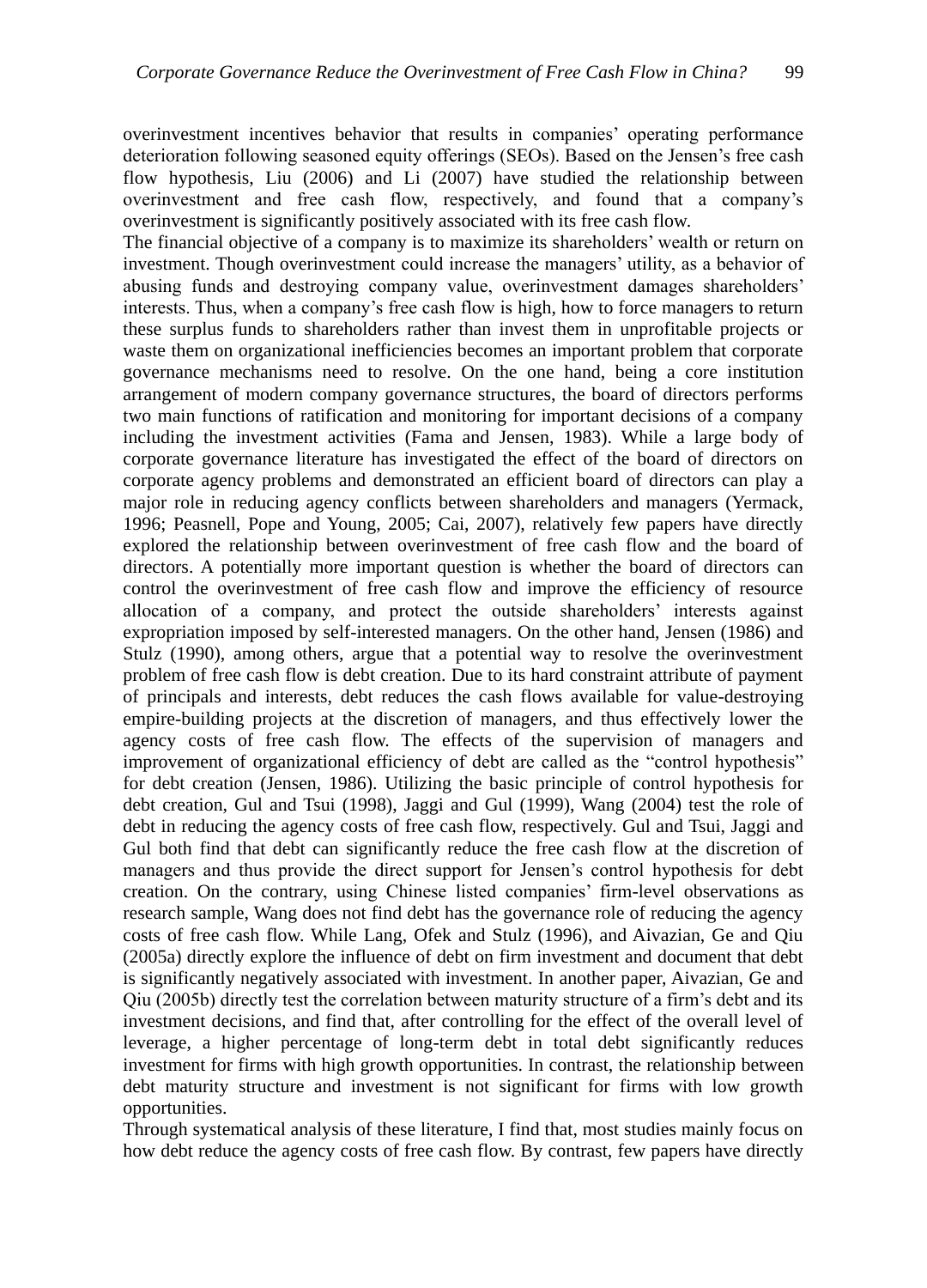overinvestment incentives behavior that results in companies' operating performance deterioration following seasoned equity offerings (SEOs). Based on the Jensen's free cash flow hypothesis, Liu (2006) and Li (2007) have studied the relationship between overinvestment and free cash flow, respectively, and found that a company's overinvestment is significantly positively associated with its free cash flow.

The financial objective of a company is to maximize its shareholders' wealth or return on investment. Though overinvestment could increase the managers' utility, as a behavior of abusing funds and destroying company value, overinvestment damages shareholders' interests. Thus, when a company's free cash flow is high, how to force managers to return these surplus funds to shareholders rather than invest them in unprofitable projects or waste them on organizational inefficiencies becomes an important problem that corporate governance mechanisms need to resolve. On the one hand, being a core institution arrangement of modern company governance structures, the board of directors performs two main functions of ratification and monitoring for important decisions of a company including the investment activities (Fama and Jensen, 1983). While a large body of corporate governance literature has investigated the effect of the board of directors on corporate agency problems and demonstrated an efficient board of directors can play a major role in reducing agency conflicts between shareholders and managers (Yermack, 1996; Peasnell, Pope and Young, 2005; Cai, 2007), relatively few papers have directly explored the relationship between overinvestment of free cash flow and the board of directors. A potentially more important question is whether the board of directors can control the overinvestment of free cash flow and improve the efficiency of resource allocation of a company, and protect the outside shareholders' interests against expropriation imposed by self-interested managers. On the other hand, Jensen (1986) and Stulz (1990), among others, argue that a potential way to resolve the overinvestment problem of free cash flow is debt creation. Due to its hard constraint attribute of payment of principals and interests, debt reduces the cash flows available for value-destroying empire-building projects at the discretion of managers, and thus effectively lower the agency costs of free cash flow. The effects of the supervision of managers and improvement of organizational efficiency of debt are called as the "control hypothesis" for debt creation (Jensen, 1986). Utilizing the basic principle of control hypothesis for debt creation, Gul and Tsui (1998), Jaggi and Gul (1999), Wang (2004) test the role of debt in reducing the agency costs of free cash flow, respectively. Gul and Tsui, Jaggi and Gul both find that debt can significantly reduce the free cash flow at the discretion of managers and thus provide the direct support for Jensen's control hypothesis for debt creation. On the contrary, using Chinese listed companies' firm-level observations as research sample, Wang does not find debt has the governance role of reducing the agency costs of free cash flow. While Lang, Ofek and Stulz (1996), and Aivazian, Ge and Qiu (2005a) directly explore the influence of debt on firm investment and document that debt is significantly negatively associated with investment. In another paper, Aivazian, Ge and Qiu (2005b) directly test the correlation between maturity structure of a firm's debt and its investment decisions, and find that, after controlling for the effect of the overall level of leverage, a higher percentage of long-term debt in total debt significantly reduces investment for firms with high growth opportunities. In contrast, the relationship between debt maturity structure and investment is not significant for firms with low growth opportunities.

Through systematical analysis of these literature, I find that, most studies mainly focus on how debt reduce the agency costs of free cash flow. By contrast, few papers have directly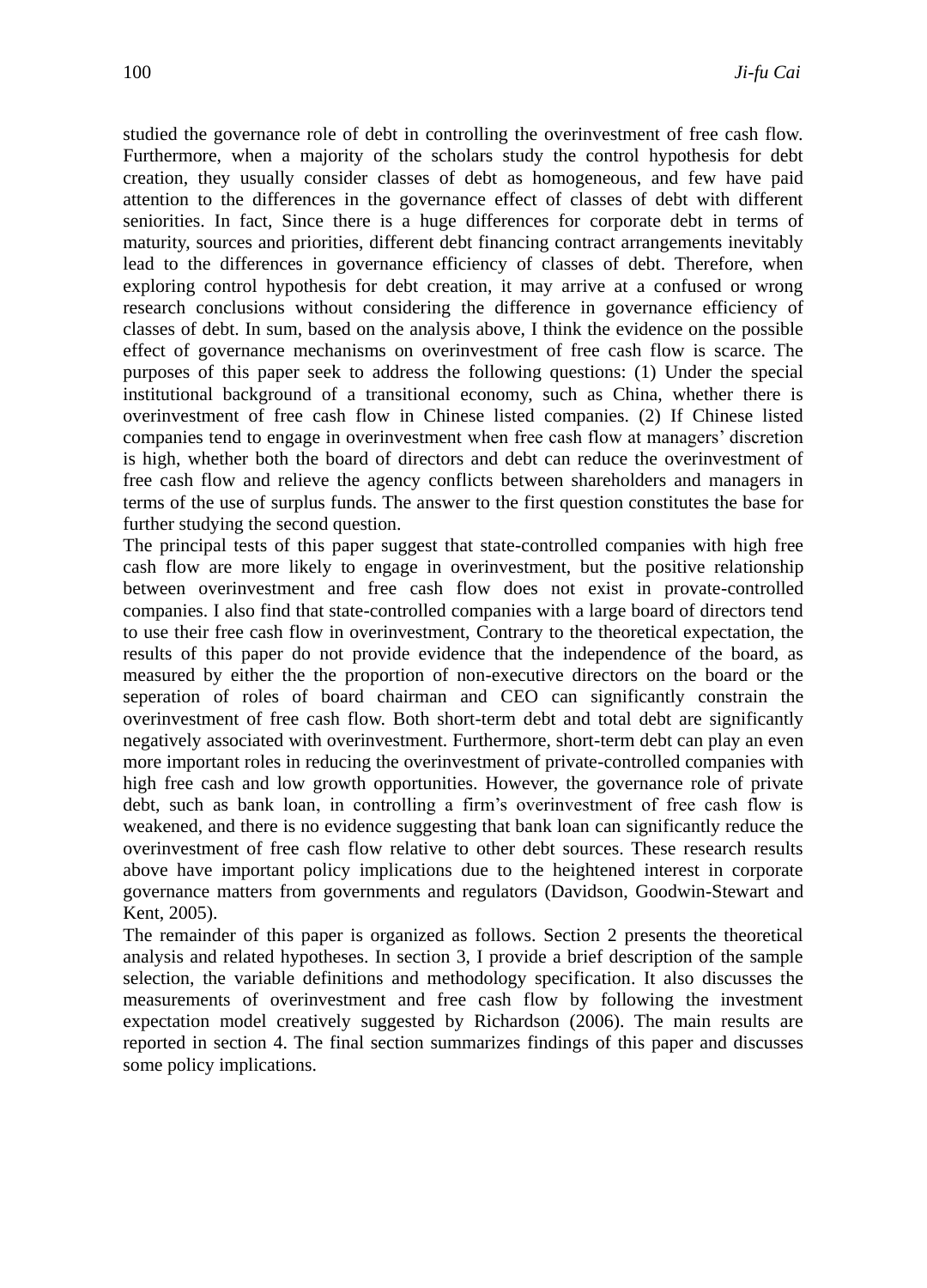studied the governance role of debt in controlling the overinvestment of free cash flow. Furthermore, when a majority of the scholars study the control hypothesis for debt creation, they usually consider classes of debt as homogeneous, and few have paid attention to the differences in the governance effect of classes of debt with different seniorities. In fact, Since there is a huge differences for corporate debt in terms of maturity, sources and priorities, different debt financing contract arrangements inevitably lead to the differences in governance efficiency of classes of debt. Therefore, when exploring control hypothesis for debt creation, it may arrive at a confused or wrong research conclusions without considering the difference in governance efficiency of classes of debt. In sum, based on the analysis above, I think the evidence on the possible effect of governance mechanisms on overinvestment of free cash flow is scarce. The purposes of this paper seek to address the following questions: (1) Under the special institutional background of a transitional economy, such as China, whether there is overinvestment of free cash flow in Chinese listed companies. (2) If Chinese listed companies tend to engage in overinvestment when free cash flow at managers' discretion is high, whether both the board of directors and debt can reduce the overinvestment of free cash flow and relieve the agency conflicts between shareholders and managers in terms of the use of surplus funds. The answer to the first question constitutes the base for further studying the second question.

The principal tests of this paper suggest that state-controlled companies with high free cash flow are more likely to engage in overinvestment, but the positive relationship between overinvestment and free cash flow does not exist in provate-controlled companies. I also find that state-controlled companies with a large board of directors tend to use their free cash flow in overinvestment, Contrary to the theoretical expectation, the results of this paper do not provide evidence that the independence of the board, as measured by either the the proportion of non-executive directors on the board or the seperation of roles of board chairman and CEO can significantly constrain the overinvestment of free cash flow. Both short-term debt and total debt are significantly negatively associated with overinvestment. Furthermore, short-term debt can play an even more important roles in reducing the overinvestment of private-controlled companies with high free cash and low growth opportunities. However, the governance role of private debt, such as bank loan, in controlling a firm's overinvestment of free cash flow is weakened, and there is no evidence suggesting that bank loan can significantly reduce the overinvestment of free cash flow relative to other debt sources. These research results above have important policy implications due to the heightened interest in corporate governance matters from governments and regulators (Davidson, Goodwin-Stewart and Kent, 2005).

The remainder of this paper is organized as follows. Section 2 presents the theoretical analysis and related hypotheses. In section 3, I provide a brief description of the sample selection, the variable definitions and methodology specification. It also discusses the measurements of overinvestment and free cash flow by following the investment expectation model creatively suggested by Richardson (2006). The main results are reported in section 4. The final section summarizes findings of this paper and discusses some policy implications.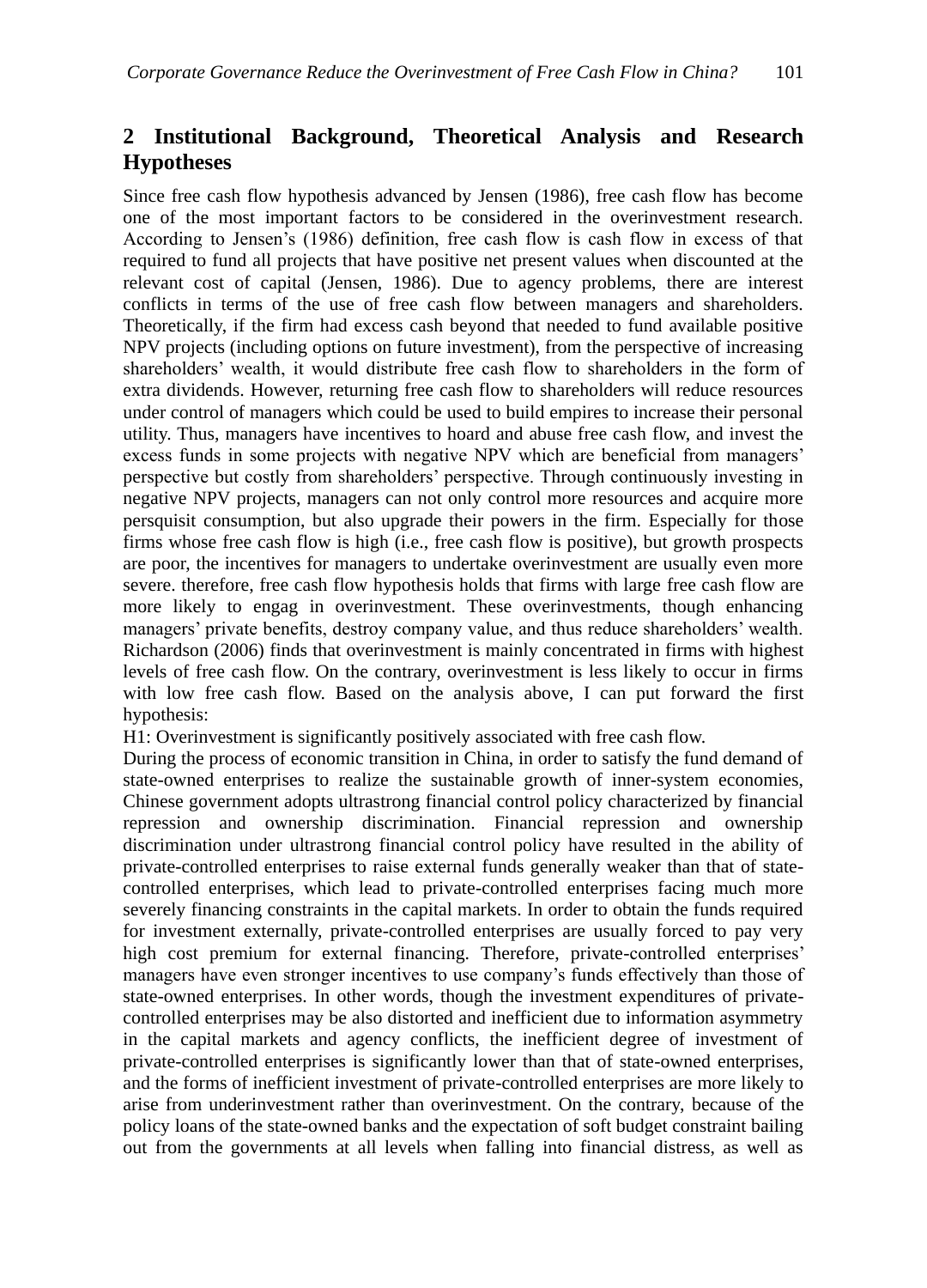# **2 Institutional Background, Theoretical Analysis and Research Hypotheses**

Since free cash flow hypothesis advanced by Jensen (1986), free cash flow has become one of the most important factors to be considered in the overinvestment research. According to Jensen's (1986) definition, free cash flow is cash flow in excess of that required to fund all projects that have positive net present values when discounted at the relevant cost of capital (Jensen, 1986). Due to agency problems, there are interest conflicts in terms of the use of free cash flow between managers and shareholders. Theoretically, if the firm had excess cash beyond that needed to fund available positive NPV projects (including options on future investment), from the perspective of increasing shareholders' wealth, it would distribute free cash flow to shareholders in the form of extra dividends. However, returning free cash flow to shareholders will reduce resources under control of managers which could be used to build empires to increase their personal utility. Thus, managers have incentives to hoard and abuse free cash flow, and invest the excess funds in some projects with negative NPV which are beneficial from managers' perspective but costly from shareholders' perspective. Through continuously investing in negative NPV projects, managers can not only control more resources and acquire more persquisit consumption, but also upgrade their powers in the firm. Especially for those firms whose free cash flow is high (i.e., free cash flow is positive), but growth prospects are poor, the incentives for managers to undertake overinvestment are usually even more severe. therefore, free cash flow hypothesis holds that firms with large free cash flow are more likely to engag in overinvestment. These overinvestments, though enhancing managers' private benefits, destroy company value, and thus reduce shareholders' wealth. Richardson (2006) finds that overinvestment is mainly concentrated in firms with highest levels of free cash flow. On the contrary, overinvestment is less likely to occur in firms with low free cash flow. Based on the analysis above, I can put forward the first hypothesis:

H1: Overinvestment is significantly positively associated with free cash flow.

During the process of economic transition in China, in order to satisfy the fund demand of state-owned enterprises to realize the sustainable growth of inner-system economies, Chinese government adopts ultrastrong financial control policy characterized by financial repression and ownership discrimination. Financial repression and ownership discrimination under ultrastrong financial control policy have resulted in the ability of private-controlled enterprises to raise external funds generally weaker than that of statecontrolled enterprises, which lead to private-controlled enterprises facing much more severely financing constraints in the capital markets. In order to obtain the funds required for investment externally, private-controlled enterprises are usually forced to pay very high cost premium for external financing. Therefore, private-controlled enterprises' managers have even stronger incentives to use company's funds effectively than those of state-owned enterprises. In other words, though the investment expenditures of privatecontrolled enterprises may be also distorted and inefficient due to information asymmetry in the capital markets and agency conflicts, the inefficient degree of investment of private-controlled enterprises is significantly lower than that of state-owned enterprises, and the forms of inefficient investment of private-controlled enterprises are more likely to arise from underinvestment rather than overinvestment. On the contrary, because of the policy loans of the state-owned banks and the expectation of soft budget constraint bailing out from the governments at all levels when falling into financial distress, as well as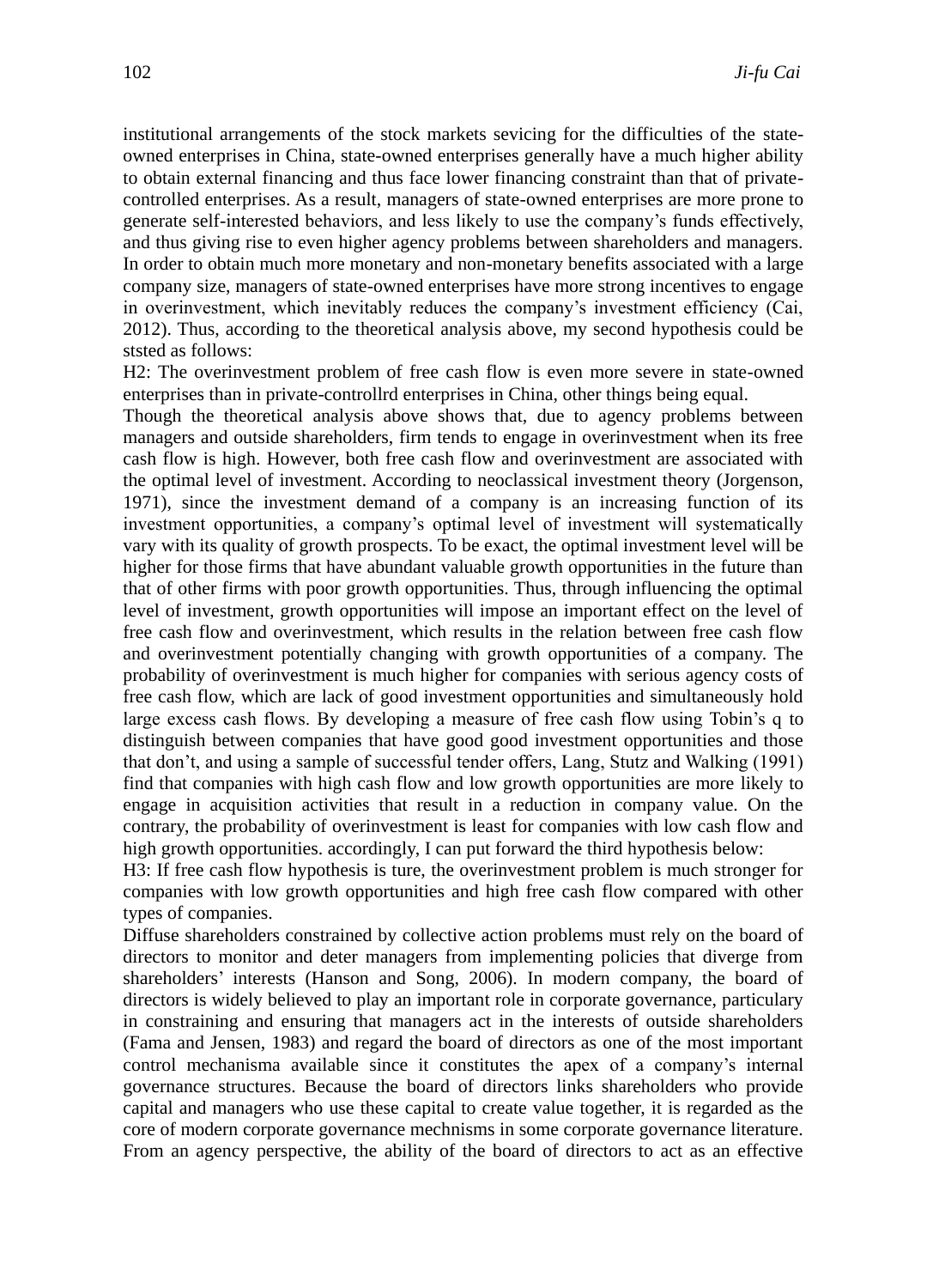institutional arrangements of the stock markets sevicing for the difficulties of the stateowned enterprises in China, state-owned enterprises generally have a much higher ability to obtain external financing and thus face lower financing constraint than that of privatecontrolled enterprises. As a result, managers of state-owned enterprises are more prone to generate self-interested behaviors, and less likely to use the company's funds effectively, and thus giving rise to even higher agency problems between shareholders and managers. In order to obtain much more monetary and non-monetary benefits associated with a large company size, managers of state-owned enterprises have more strong incentives to engage in overinvestment, which inevitably reduces the company's investment efficiency (Cai, 2012). Thus, according to the theoretical analysis above, my second hypothesis could be ststed as follows:

H2: The overinvestment problem of free cash flow is even more severe in state-owned enterprises than in private-controllrd enterprises in China, other things being equal.

Though the theoretical analysis above shows that, due to agency problems between managers and outside shareholders, firm tends to engage in overinvestment when its free cash flow is high. However, both free cash flow and overinvestment are associated with the optimal level of investment. According to neoclassical investment theory (Jorgenson, 1971), since the investment demand of a company is an increasing function of its investment opportunities, a company's optimal level of investment will systematically vary with its quality of growth prospects. To be exact, the optimal investment level will be higher for those firms that have abundant valuable growth opportunities in the future than that of other firms with poor growth opportunities. Thus, through influencing the optimal level of investment, growth opportunities will impose an important effect on the level of free cash flow and overinvestment, which results in the relation between free cash flow and overinvestment potentially changing with growth opportunities of a company. The probability of overinvestment is much higher for companies with serious agency costs of free cash flow, which are lack of good investment opportunities and simultaneously hold large excess cash flows. By developing a measure of free cash flow using Tobin's q to distinguish between companies that have good good investment opportunities and those that don't, and using a sample of successful tender offers, Lang, Stutz and Walking (1991) find that companies with high cash flow and low growth opportunities are more likely to engage in acquisition activities that result in a reduction in company value. On the contrary, the probability of overinvestment is least for companies with low cash flow and high growth opportunities. accordingly, I can put forward the third hypothesis below:

H3: If free cash flow hypothesis is ture, the overinvestment problem is much stronger for companies with low growth opportunities and high free cash flow compared with other types of companies.

Diffuse shareholders constrained by collective action problems must rely on the board of directors to monitor and deter managers from implementing policies that diverge from shareholders' interests (Hanson and Song, 2006). In modern company, the board of directors is widely believed to play an important role in corporate governance, particulary in constraining and ensuring that managers act in the interests of outside shareholders (Fama and Jensen, 1983) and regard the board of directors as one of the most important control mechanisma available since it constitutes the apex of a company's internal governance structures. Because the board of directors links shareholders who provide capital and managers who use these capital to create value together, it is regarded as the core of modern corporate governance mechnisms in some corporate governance literature. From an agency perspective, the ability of the board of directors to act as an effective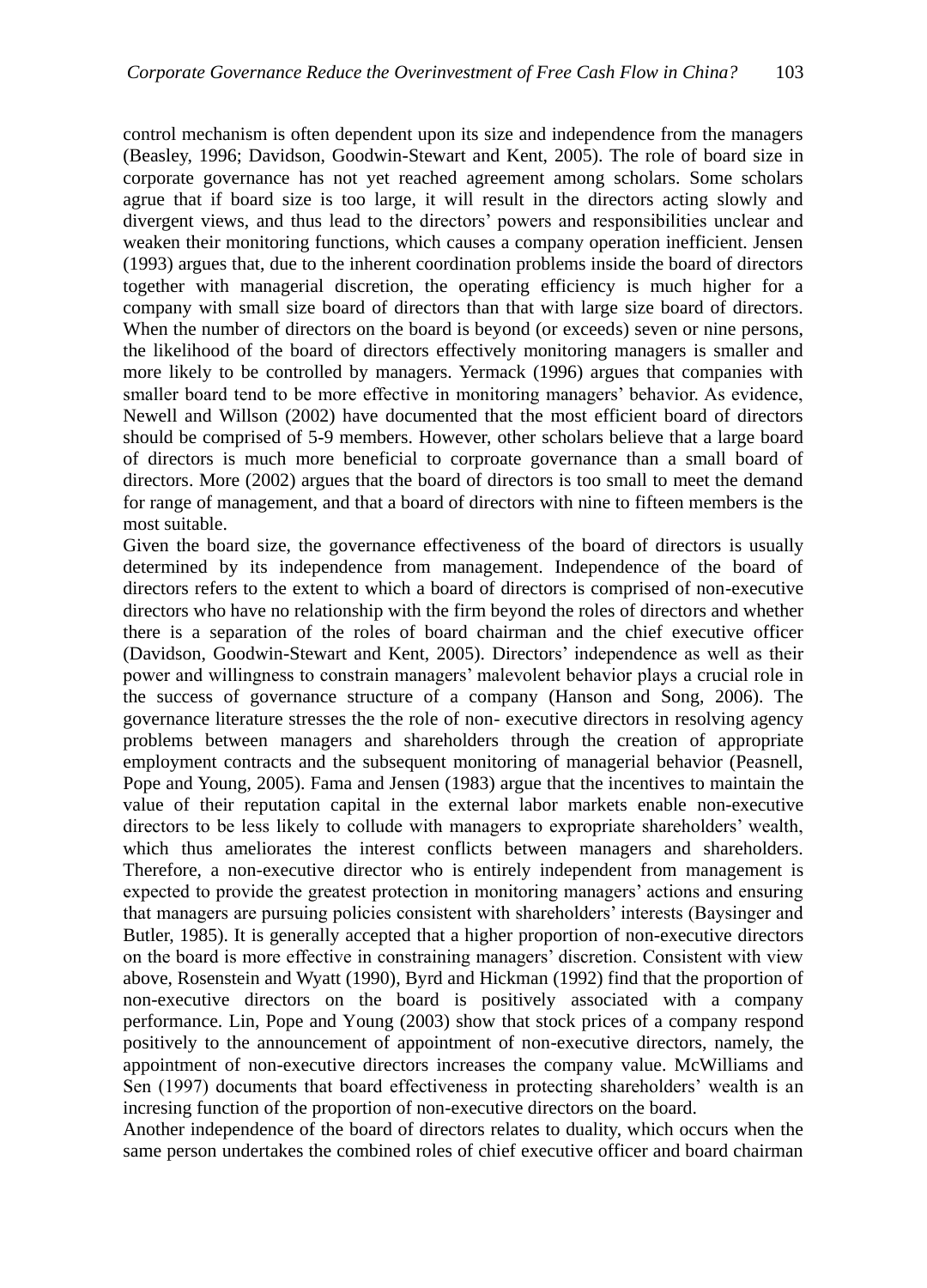control mechanism is often dependent upon its size and independence from the managers (Beasley, 1996; Davidson, Goodwin-Stewart and Kent, 2005). The role of board size in corporate governance has not yet reached agreement among scholars. Some scholars agrue that if board size is too large, it will result in the directors acting slowly and divergent views, and thus lead to the directors' powers and responsibilities unclear and weaken their monitoring functions, which causes a company operation inefficient. Jensen (1993) argues that, due to the inherent coordination problems inside the board of directors together with managerial discretion, the operating efficiency is much higher for a company with small size board of directors than that with large size board of directors. When the number of directors on the board is beyond (or exceeds) seven or nine persons, the likelihood of the board of directors effectively monitoring managers is smaller and more likely to be controlled by managers. Yermack (1996) argues that companies with smaller board tend to be more effective in monitoring managers' behavior. As evidence, Newell and Willson (2002) have documented that the most efficient board of directors should be comprised of 5-9 members. However, other scholars believe that a large board of directors is much more beneficial to corproate governance than a small board of directors. More (2002) argues that the board of directors is too small to meet the demand for range of management, and that a board of directors with nine to fifteen members is the most suitable.

Given the board size, the governance effectiveness of the board of directors is usually determined by its independence from management. Independence of the board of directors refers to the extent to which a board of directors is comprised of non-executive directors who have no relationship with the firm beyond the roles of directors and whether there is a separation of the roles of board chairman and the chief executive officer (Davidson, Goodwin-Stewart and Kent, 2005). Directors' independence as well as their power and willingness to constrain managers' malevolent behavior plays a crucial role in the success of governance structure of a company (Hanson and Song, 2006). The governance literature stresses the the role of non- executive directors in resolving agency problems between managers and shareholders through the creation of appropriate employment contracts and the subsequent monitoring of managerial behavior (Peasnell, Pope and Young, 2005). Fama and Jensen (1983) argue that the incentives to maintain the value of their reputation capital in the external labor markets enable non-executive directors to be less likely to collude with managers to expropriate shareholders' wealth, which thus ameliorates the interest conflicts between managers and shareholders. Therefore, a non-executive director who is entirely independent from management is expected to provide the greatest protection in monitoring managers' actions and ensuring that managers are pursuing policies consistent with shareholders' interests (Baysinger and Butler, 1985). It is generally accepted that a higher proportion of non-executive directors on the board is more effective in constraining managers' discretion. Consistent with view above, Rosenstein and Wyatt (1990), Byrd and Hickman (1992) find that the proportion of non-executive directors on the board is positively associated with a company performance. Lin, Pope and Young (2003) show that stock prices of a company respond positively to the announcement of appointment of non-executive directors, namely, the appointment of non-executive directors increases the company value. McWilliams and Sen (1997) documents that board effectiveness in protecting shareholders' wealth is an incresing function of the proportion of non-executive directors on the board.

Another independence of the board of directors relates to duality, which occurs when the same person undertakes the combined roles of chief executive officer and board chairman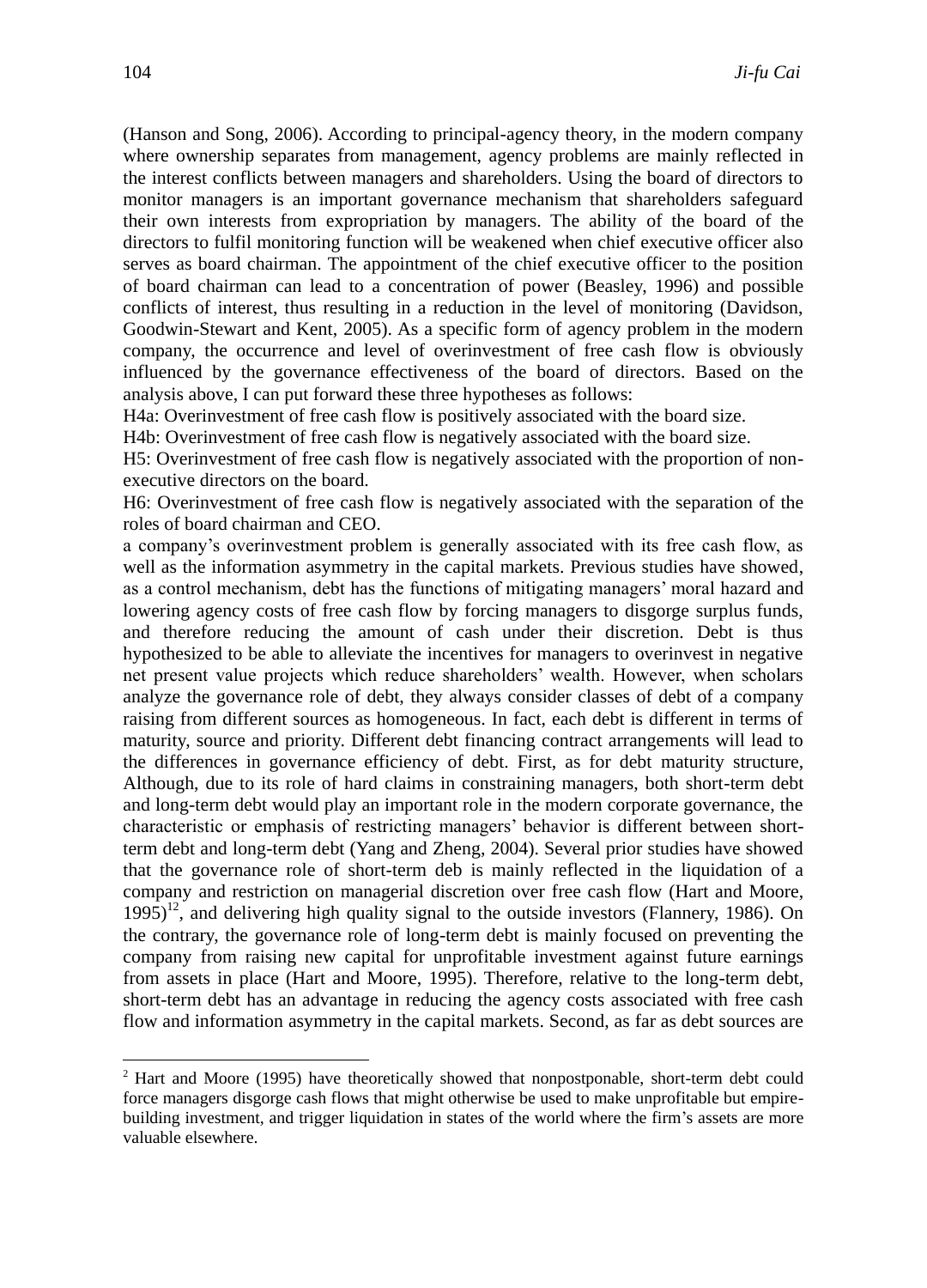(Hanson and Song, 2006). According to principal-agency theory, in the modern company where ownership separates from management, agency problems are mainly reflected in the interest conflicts between managers and shareholders. Using the board of directors to monitor managers is an important governance mechanism that shareholders safeguard their own interests from expropriation by managers. The ability of the board of the directors to fulfil monitoring function will be weakened when chief executive officer also serves as board chairman. The appointment of the chief executive officer to the position of board chairman can lead to a concentration of power (Beasley, 1996) and possible conflicts of interest, thus resulting in a reduction in the level of monitoring (Davidson, Goodwin-Stewart and Kent, 2005). As a specific form of agency problem in the modern company, the occurrence and level of overinvestment of free cash flow is obviously influenced by the governance effectiveness of the board of directors. Based on the analysis above, I can put forward these three hypotheses as follows:

H4a: Overinvestment of free cash flow is positively associated with the board size.

H4b: Overinvestment of free cash flow is negatively associated with the board size.

H5: Overinvestment of free cash flow is negatively associated with the proportion of nonexecutive directors on the board.

H6: Overinvestment of free cash flow is negatively associated with the separation of the roles of board chairman and CEO.

a company's overinvestment problem is generally associated with its free cash flow, as well as the information asymmetry in the capital markets. Previous studies have showed, as a control mechanism, debt has the functions of mitigating managers' moral hazard and lowering agency costs of free cash flow by forcing managers to disgorge surplus funds, and therefore reducing the amount of cash under their discretion. Debt is thus hypothesized to be able to alleviate the incentives for managers to overinvest in negative net present value projects which reduce shareholders' wealth. However, when scholars analyze the governance role of debt, they always consider classes of debt of a company raising from different sources as homogeneous. In fact, each debt is different in terms of maturity, source and priority. Different debt financing contract arrangements will lead to the differences in governance efficiency of debt. First, as for debt maturity structure, Although, due to its role of hard claims in constraining managers, both short-term debt and long-term debt would play an important role in the modern corporate governance, the characteristic or emphasis of restricting managers' behavior is different between shortterm debt and long-term debt (Yang and Zheng, 2004). Several prior studies have showed that the governance role of short-term deb is mainly reflected in the liquidation of a company and restriction on managerial discretion over free cash flow (Hart and Moore,  $1995)^{12}$ , and delivering high quality signal to the outside investors (Flannery, 1986). On the contrary, the governance role of long-term debt is mainly focused on preventing the company from raising new capital for unprofitable investment against future earnings from assets in place (Hart and Moore, 1995). Therefore, relative to the long-term debt, short-term debt has an advantage in reducing the agency costs associated with free cash flow and information asymmetry in the capital markets. Second, as far as debt sources are

-

<sup>&</sup>lt;sup>2</sup> Hart and Moore (1995) have theoretically showed that nonpostponable, short-term debt could force managers disgorge cash flows that might otherwise be used to make unprofitable but empirebuilding investment, and trigger liquidation in states of the world where the firm's assets are more valuable elsewhere.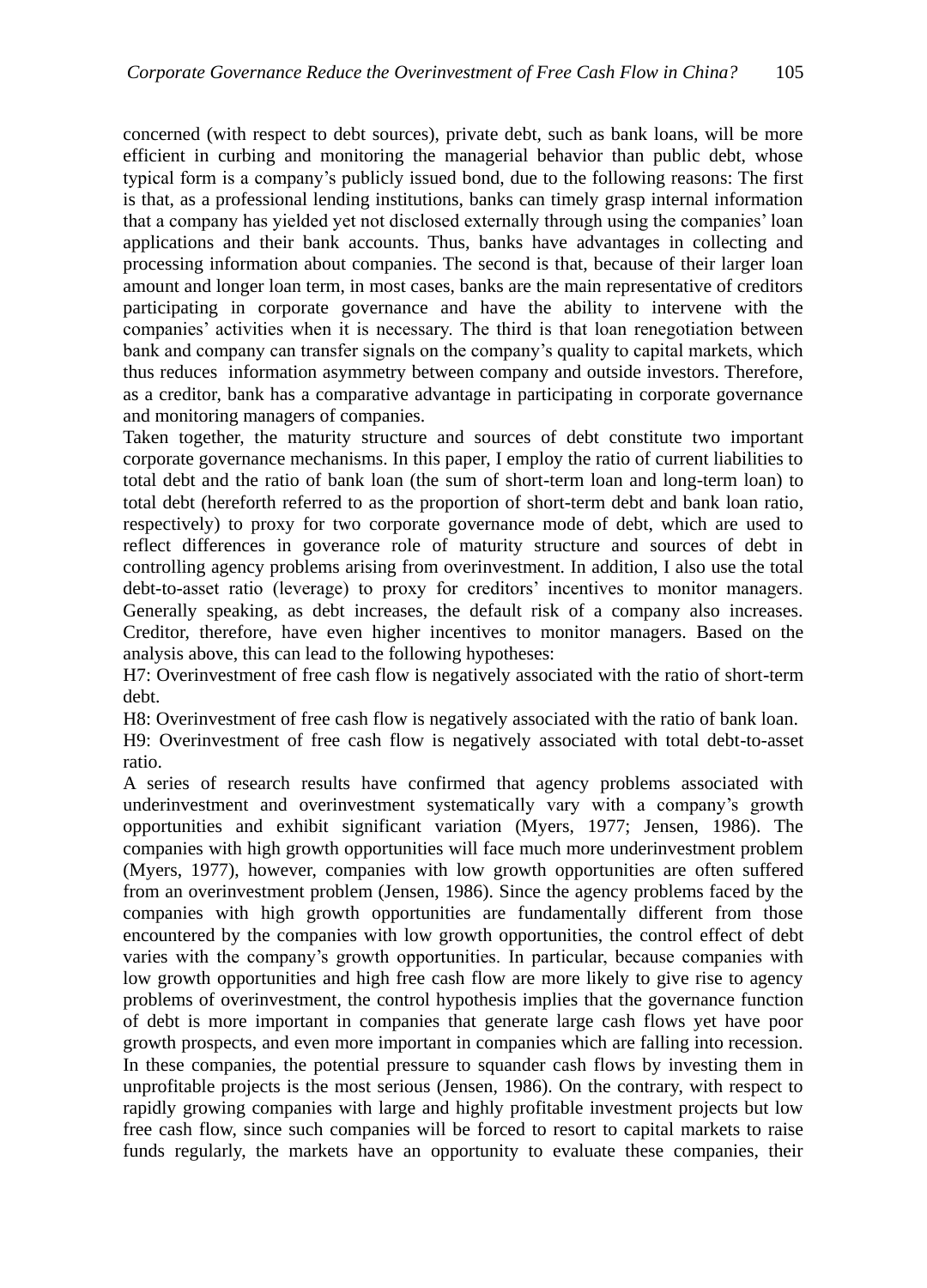concerned (with respect to debt sources), private debt, such as bank loans, will be more efficient in curbing and monitoring the managerial behavior than public debt, whose typical form is a company's publicly issued bond, due to the following reasons: The first is that, as a professional lending institutions, banks can timely grasp internal information that a company has yielded yet not disclosed externally through using the companies' loan applications and their bank accounts. Thus, banks have advantages in collecting and processing information about companies. The second is that, because of their larger loan amount and longer loan term, in most cases, banks are the main representative of creditors participating in corporate governance and have the ability to intervene with the companies' activities when it is necessary. The third is that loan renegotiation between bank and company can transfer signals on the company's quality to capital markets, which thus reduces information asymmetry between company and outside investors. Therefore, as a creditor, bank has a comparative advantage in participating in corporate governance and monitoring managers of companies.

Taken together, the maturity structure and sources of debt constitute two important corporate governance mechanisms. In this paper, I employ the ratio of current liabilities to total debt and the ratio of bank loan (the sum of short-term loan and long-term loan) to total debt (hereforth referred to as the proportion of short-term debt and bank loan ratio, respectively) to proxy for two corporate governance mode of debt, which are used to reflect differences in goverance role of maturity structure and sources of debt in controlling agency problems arising from overinvestment. In addition, I also use the total debt-to-asset ratio (leverage) to proxy for creditors' incentives to monitor managers. Generally speaking, as debt increases, the default risk of a company also increases. Creditor, therefore, have even higher incentives to monitor managers. Based on the analysis above, this can lead to the following hypotheses:

H7: Overinvestment of free cash flow is negatively associated with the ratio of short-term debt.

H8: Overinvestment of free cash flow is negatively associated with the ratio of bank loan. H9: Overinvestment of free cash flow is negatively associated with total debt-to-asset ratio.

A series of research results have confirmed that agency problems associated with underinvestment and overinvestment systematically vary with a company's growth opportunities and exhibit significant variation (Myers, 1977; Jensen, 1986). The companies with high growth opportunities will face much more underinvestment problem (Myers, 1977), however, companies with low growth opportunities are often suffered from an overinvestment problem (Jensen, 1986). Since the agency problems faced by the companies with high growth opportunities are fundamentally different from those encountered by the companies with low growth opportunities, the control effect of debt varies with the company's growth opportunities. In particular, because companies with low growth opportunities and high free cash flow are more likely to give rise to agency problems of overinvestment, the control hypothesis implies that the governance function of debt is more important in companies that generate large cash flows yet have poor growth prospects, and even more important in companies which are falling into recession. In these companies, the potential pressure to squander cash flows by investing them in unprofitable projects is the most serious (Jensen, 1986). On the contrary, with respect to rapidly growing companies with large and highly profitable investment projects but low free cash flow, since such companies will be forced to resort to capital markets to raise funds regularly, the markets have an opportunity to evaluate these companies, their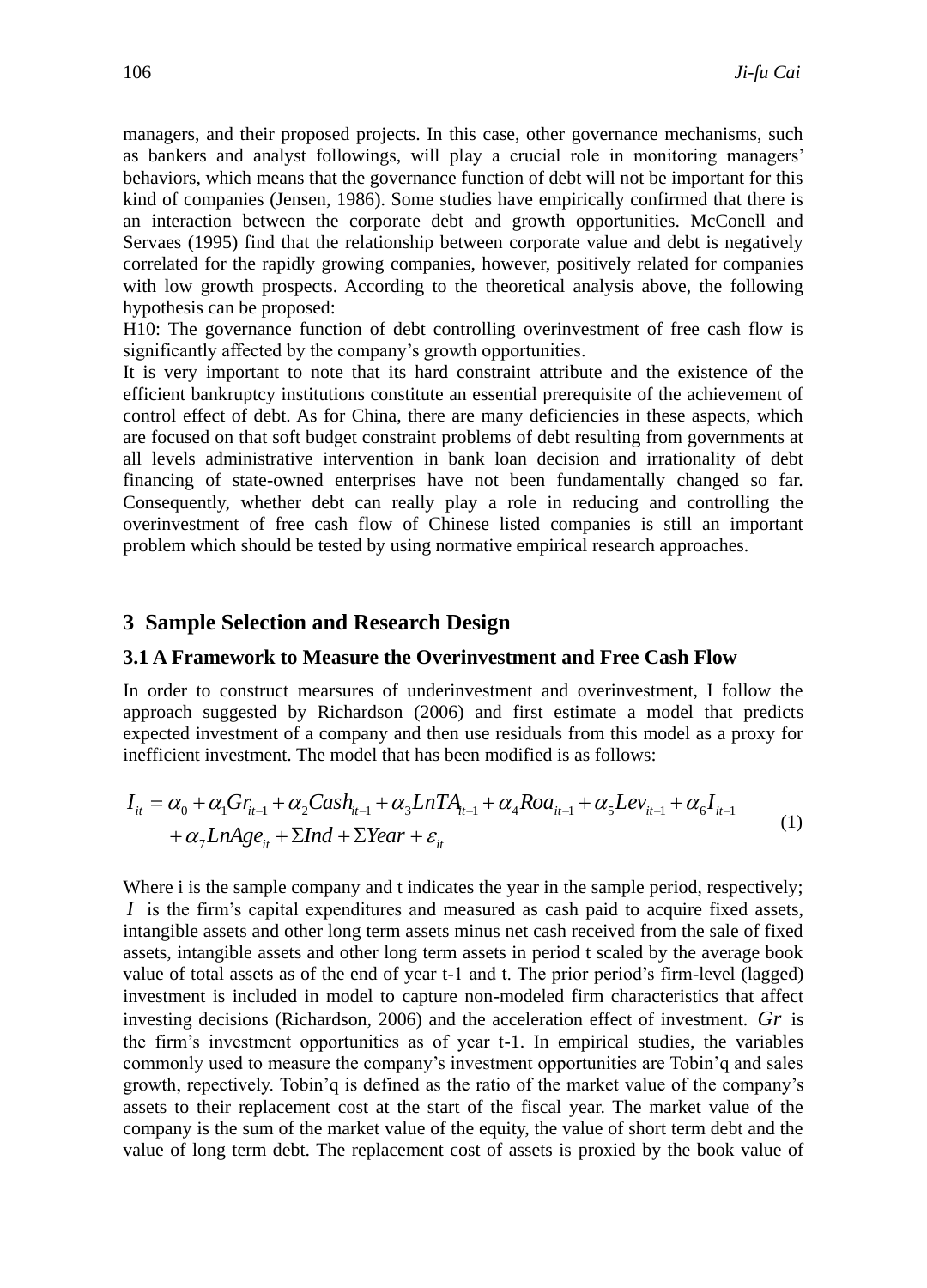managers, and their proposed projects. In this case, other governance mechanisms, such as bankers and analyst followings, will play a crucial role in monitoring managers' behaviors, which means that the governance function of debt will not be important for this kind of companies (Jensen, 1986). Some studies have empirically confirmed that there is an interaction between the corporate debt and growth opportunities. McConell and Servaes (1995) find that the relationship between corporate value and debt is negatively correlated for the rapidly growing companies, however, positively related for companies with low growth prospects. According to the theoretical analysis above, the following hypothesis can be proposed:

H10: The governance function of debt controlling overinvestment of free cash flow is significantly affected by the company's growth opportunities.

It is very important to note that its hard constraint attribute and the existence of the efficient bankruptcy institutions constitute an essential prerequisite of the achievement of control effect of debt. As for China, there are many deficiencies in these aspects, which are focused on that soft budget constraint problems of debt resulting from governments at all levels administrative intervention in bank loan decision and irrationality of debt financing of state-owned enterprises have not been fundamentally changed so far. Consequently, whether debt can really play a role in reducing and controlling the overinvestment of free cash flow of Chinese listed companies is still an important problem which should be tested by using normative empirical research approaches.

## **3 Sample Selection and Research Design**

#### **3.1 A Framework to Measure the Overinvestment and Free Cash Flow**

In order to construct mearsures of underinvestment and overinvestment, I follow the approach suggested by Richardson (2006) and first estimate a model that predicts expected investment of a company and then use residuals from this model as a proxy for inefficient investment. The model that has been modified is as follows:

$$
I_{it} = \alpha_0 + \alpha_1 Gr_{it-1} + \alpha_2 Cash_{it-1} + \alpha_3 LnTA_{it-1} + \alpha_4 Roa_{it-1} + \alpha_5 Lev_{it-1} + \alpha_6 I_{it-1}
$$
  
+  $\alpha_7 LnAge_{it} + \Sigma Ind + \Sigma Year + \varepsilon_{it}$  (1)

Where i is the sample company and t indicates the year in the sample period, respectively; *I* is the firm's capital expenditures and measured as cash paid to acquire fixed assets, intangible assets and other long term assets minus net cash received from the sale of fixed assets, intangible assets and other long term assets in period t scaled by the average book value of total assets as of the end of year t-1 and t. The prior period's firm-level (lagged) investment is included in model to capture non-modeled firm characteristics that affect investing decisions (Richardson, 2006) and the acceleration effect of investment. *Gr* is the firm's investment opportunities as of year t-1. In empirical studies, the variables commonly used to measure the company's investment opportunities are Tobin'q and sales growth, repectively. Tobin'q is defined as the ratio of the market value of the company's assets to their replacement cost at the start of the fiscal year. The market value of the company is the sum of the market value of the equity, the value of short term debt and the value of long term debt. The replacement cost of assets is proxied by the book value of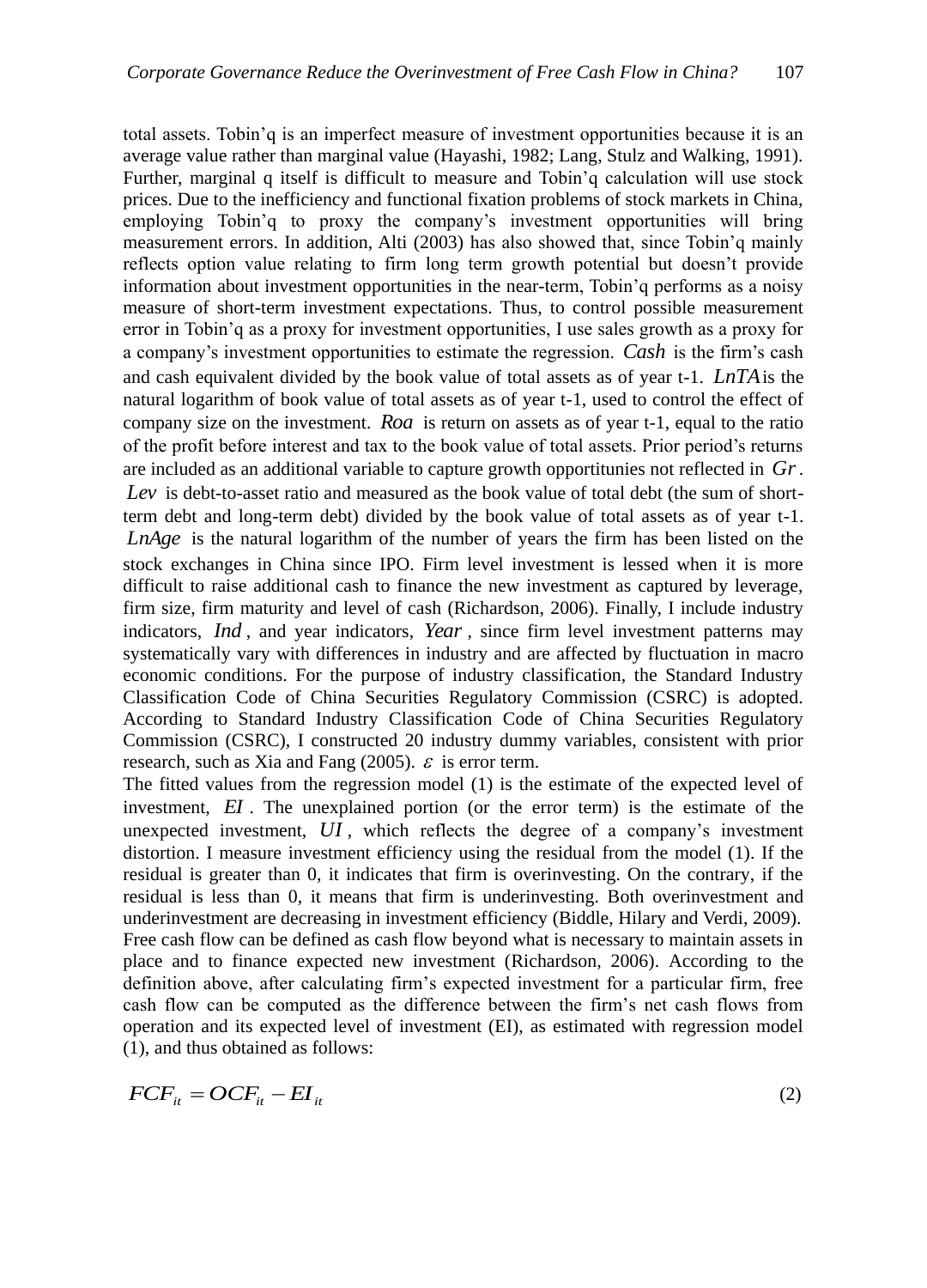total assets. Tobin'q is an imperfect measure of investment opportunities because it is an average value rather than marginal value (Hayashi, 1982; Lang, Stulz and Walking, 1991). Further, marginal q itself is difficult to measure and Tobin'q calculation will use stock prices. Due to the inefficiency and functional fixation problems of stock markets in China, employing Tobin'q to proxy the company's investment opportunities will bring measurement errors. In addition, Alti (2003) has also showed that, since Tobin'q mainly reflects option value relating to firm long term growth potential but doesn't provide information about investment opportunities in the near-term, Tobin'q performs as a noisy measure of short-term investment expectations. Thus, to control possible measurement error in Tobin'q as a proxy for investment opportunities, I use sales growth as a proxy for a company's investment opportunities to estimate the regression. *Cash* is the firm's cash and cash equivalent divided by the book value of total assets as of year t-1. *LnTA* is the natural logarithm of book value of total assets as of year t-1, used to control the effect of company size on the investment. *Roa* is return on assets as of year t-1, equal to the ratio of the profit before interest and tax to the book value of total assets. Prior period's returns are included as an additional variable to capture growth opportitunies not reflected in *Gr*. Lev is debt-to-asset ratio and measured as the book value of total debt (the sum of shortterm debt and long-term debt) divided by the book value of total assets as of year t-1. *LnAge* is the natural logarithm of the number of years the firm has been listed on the stock exchanges in China since IPO. Firm level investment is lessed when it is more difficult to raise additional cash to finance the new investment as captured by leverage, firm size, firm maturity and level of cash (Richardson, 2006). Finally, I include industry indicators, *Ind* , and year indicators, *Year* , since firm level investment patterns may systematically vary with differences in industry and are affected by fluctuation in macro economic conditions. For the purpose of industry classification, the Standard Industry Classification Code of China Securities Regulatory Commission (CSRC) is adopted. According to Standard Industry Classification Code of China Securities Regulatory Commission (CSRC), I constructed 20 industry dummy variables, consistent with prior research, such as Xia and Fang (2005).  $\varepsilon$  is error term.

The fitted values from the regression model (1) is the estimate of the expected level of investment, *EI* . The unexplained portion (or the error term) is the estimate of the unexpected investment, *UI* , which reflects the degree of a company's investment distortion. I measure investment efficiency using the residual from the model (1). If the residual is greater than 0, it indicates that firm is overinvesting. On the contrary, if the residual is less than 0, it means that firm is underinvesting. Both overinvestment and underinvestment are decreasing in investment efficiency (Biddle, Hilary and Verdi, 2009). Free cash flow can be defined as cash flow beyond what is necessary to maintain assets in place and to finance expected new investment (Richardson, 2006). According to the definition above, after calculating firm's expected investment for a particular firm, free cash flow can be computed as the difference between the firm's net cash flows from operation and its expected level of investment (EI), as estimated with regression model (1), and thus obtained as follows:

$$
FCF_{it} = OCF_{it} - EI_{it} \tag{2}
$$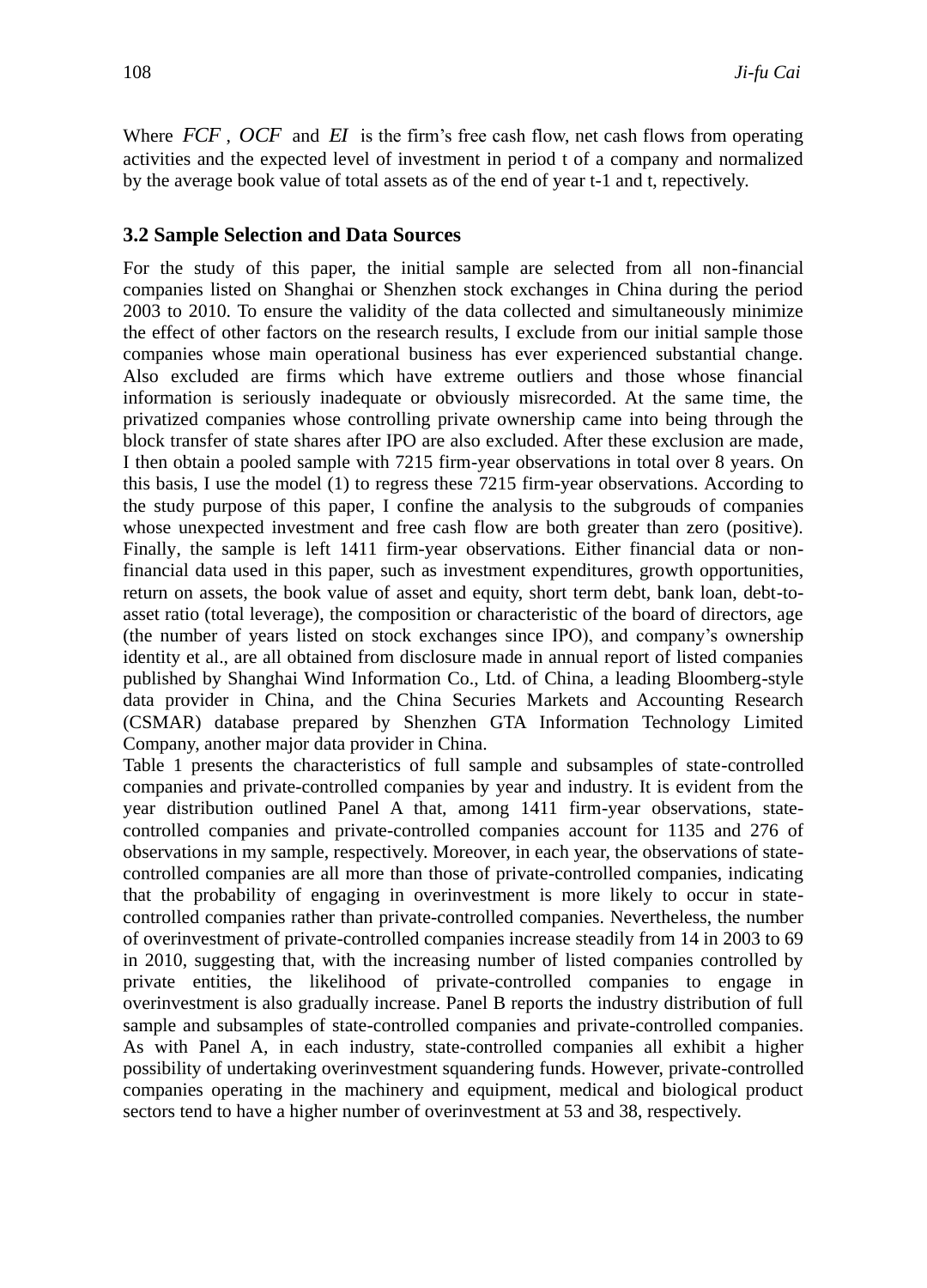Where FCF, OCF and EI is the firm's free cash flow, net cash flows from operating activities and the expected level of investment in period t of a company and normalized by the average book value of total assets as of the end of year t-1 and t, repectively.

#### **3.2 Sample Selection and Data Sources**

For the study of this paper, the initial sample are selected from all non-financial companies listed on Shanghai or Shenzhen stock exchanges in China during the period 2003 to 2010. To ensure the validity of the data collected and simultaneously minimize the effect of other factors on the research results, I exclude from our initial sample those companies whose main operational business has ever experienced substantial change. Also excluded are firms which have extreme outliers and those whose financial information is seriously inadequate or obviously misrecorded. At the same time, the privatized companies whose controlling private ownership came into being through the block transfer of state shares after IPO are also excluded. After these exclusion are made, I then obtain a pooled sample with 7215 firm-year observations in total over 8 years. On this basis, I use the model (1) to regress these 7215 firm-year observations. According to the study purpose of this paper, I confine the analysis to the subgrouds of companies whose unexpected investment and free cash flow are both greater than zero (positive). Finally, the sample is left 1411 firm-year observations. Either financial data or nonfinancial data used in this paper, such as investment expenditures, growth opportunities, return on assets, the book value of asset and equity, short term debt, bank loan, debt-toasset ratio (total leverage), the composition or characteristic of the board of directors, age (the number of years listed on stock exchanges since IPO), and company's ownership identity et al., are all obtained from disclosure made in annual report of listed companies published by Shanghai Wind Information Co., Ltd. of China, a leading Bloomberg-style data provider in China, and the China Securies Markets and Accounting Research (CSMAR) database prepared by Shenzhen GTA Information Technology Limited Company, another major data provider in China.

Table 1 presents the characteristics of full sample and subsamples of state-controlled companies and private-controlled companies by year and industry. It is evident from the year distribution outlined Panel A that, among 1411 firm-year observations, statecontrolled companies and private-controlled companies account for 1135 and 276 of observations in my sample, respectively. Moreover, in each year, the observations of statecontrolled companies are all more than those of private-controlled companies, indicating that the probability of engaging in overinvestment is more likely to occur in statecontrolled companies rather than private-controlled companies. Nevertheless, the number of overinvestment of private-controlled companies increase steadily from 14 in 2003 to 69 in 2010, suggesting that, with the increasing number of listed companies controlled by private entities, the likelihood of private-controlled companies to engage in overinvestment is also gradually increase. Panel B reports the industry distribution of full sample and subsamples of state-controlled companies and private-controlled companies. As with Panel A, in each industry, state-controlled companies all exhibit a higher possibility of undertaking overinvestment squandering funds. However, private-controlled companies operating in the machinery and equipment, medical and biological product sectors tend to have a higher number of overinvestment at 53 and 38, respectively.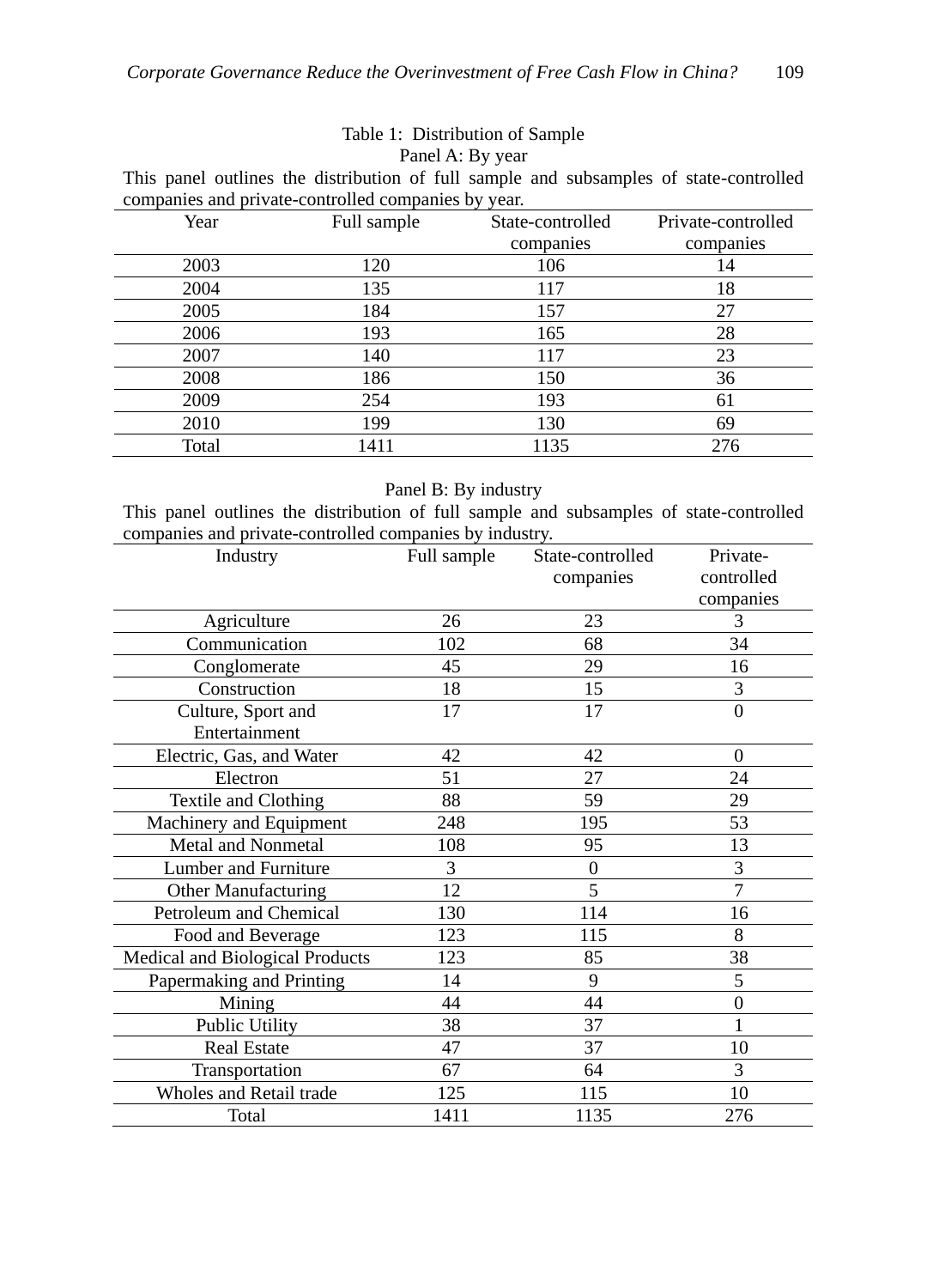# Table 1: Distribution of Sample

Panel A: By year

This panel outlines the distribution of full sample and subsamples of state-controlled companies and private-controlled companies by year.

| Year  | Full sample | State-controlled | Private-controlled |
|-------|-------------|------------------|--------------------|
|       |             | companies        | companies          |
| 2003  | 120         | 106              | 14                 |
| 2004  | 135         | 117              | 18                 |
| 2005  | 184         | 157              | 27                 |
| 2006  | 193         | 165              | 28                 |
| 2007  | 140         | 117              | 23                 |
| 2008  | 186         | 150              | 36                 |
| 2009  | 254         | 193              | 61                 |
| 2010  | 199         | 130              | 69                 |
| Total | 1411        | 1135             | 276                |

#### Panel B: By industry

This panel outlines the distribution of full sample and subsamples of state-controlled companies and private-controlled companies by industry.

| Industry                        | Full sample | State-controlled | Private-         |
|---------------------------------|-------------|------------------|------------------|
|                                 |             | companies        | controlled       |
|                                 |             |                  | companies        |
| Agriculture                     | 26          | 23               | 3                |
| Communication                   | 102         | 68               | 34               |
| Conglomerate                    | 45          | 29               | 16               |
| Construction                    | 18          | 15               | 3                |
| Culture, Sport and              | 17          | 17               | $\boldsymbol{0}$ |
| Entertainment                   |             |                  |                  |
| Electric, Gas, and Water        | 42          | 42               | $\Omega$         |
| Electron                        | 51          | 27               | 24               |
| Textile and Clothing            | 88          | 59               | 29               |
| Machinery and Equipment         | 248         | 195              | 53               |
| <b>Metal and Nonmetal</b>       | 108         | 95               | 13               |
| Lumber and Furniture            | 3           | $\boldsymbol{0}$ | 3                |
| <b>Other Manufacturing</b>      | 12          | 5                | $\overline{7}$   |
| Petroleum and Chemical          | 130         | 114              | 16               |
| Food and Beverage               | 123         | 115              | 8                |
| Medical and Biological Products | 123         | 85               | 38               |
| Papermaking and Printing        | 14          | 9                | 5                |
| Mining                          | 44          | 44               | $\overline{0}$   |
| Public Utility                  | 38          | 37               | 1                |
| <b>Real Estate</b>              | 47          | 37               | 10               |
| Transportation                  | 67          | 64               | 3                |
| Wholes and Retail trade         | 125         | 115              | 10               |
| Total                           | 1411        | 1135             | 276              |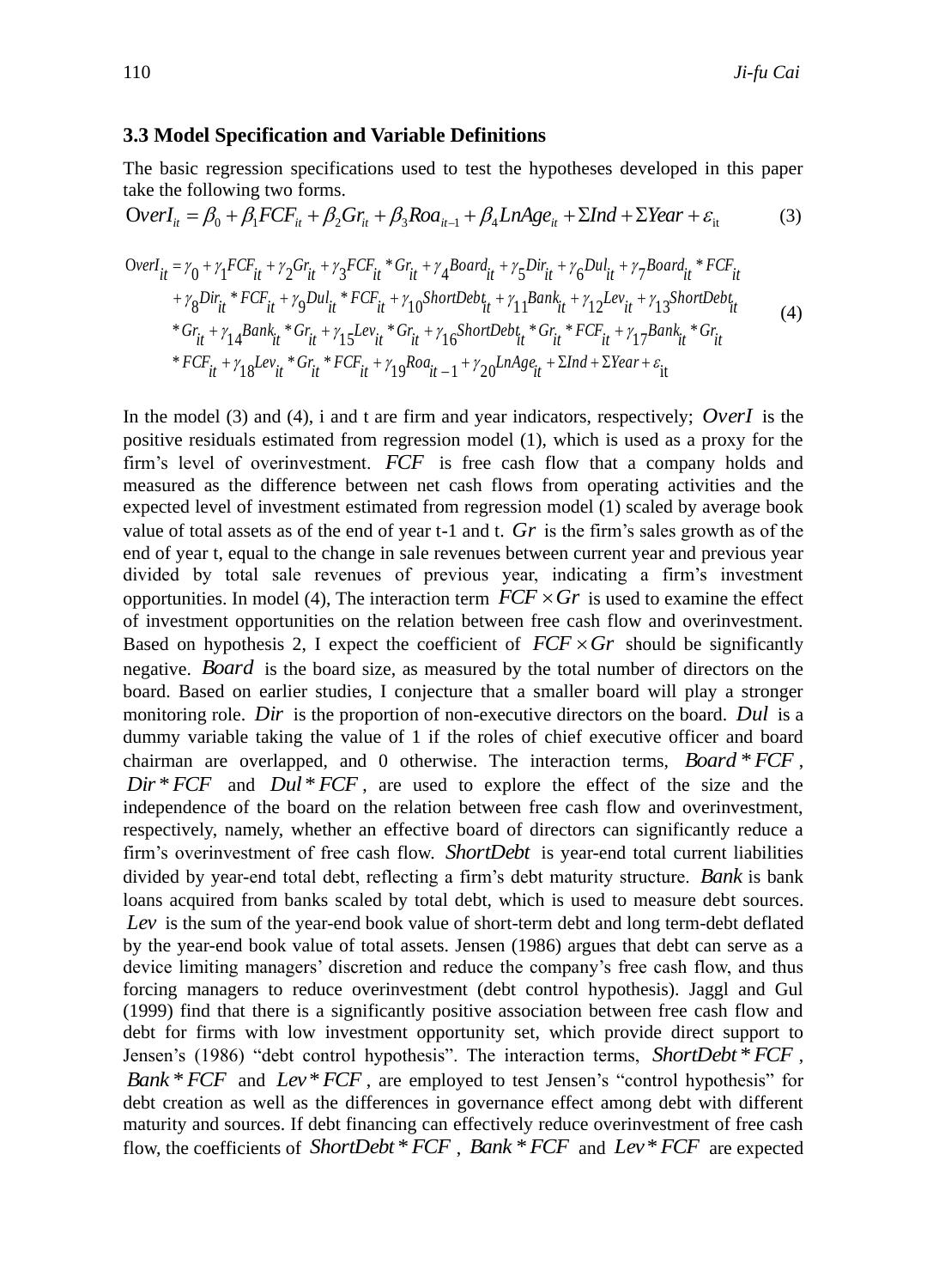## **3.3 Model Specification and Variable Definitions**

The basic regression specifications used to test the hypotheses developed in this paper take the following two forms.

$$
OverI_{it} = \beta_0 + \beta_1 FCF_{it} + \beta_2 Gr_{it} + \beta_3 Roa_{it-1} + \beta_4 LnAge_{it} + \Sigma Ind + \Sigma Year + \varepsilon_{it}
$$
 (3)

$$
OverI_{it} = \gamma_0 + \gamma_1 FCF_{it} + \gamma_2 Gr_{it} + \gamma_3 FCF_{it} * Gr_{it} + \gamma_4 Board_{it} + \gamma_5 Dir_{it} + \gamma_6 Dul_{it} + \gamma_7 Board_{it} * FCF_{it} + \gamma_8 Dir_{it} * FCF_{it} + \gamma_9 Dul_{it} * FCF_{it} + \gamma_{10} ShortDebt_{it} + \gamma_{11} Bank_{it} + \gamma_{12} Lev_{it} + \gamma_{13} ShortDebt_{it} * Gr_{it} + \gamma_{14} Bank_{it} * Gr_{it} + \gamma_{15} Lev_{it} * Gr_{it} + \gamma_{16} ShortDebt_{it} * Gr_{it} * FCF_{it} + \gamma_{17} Bank_{it} * Gr_{it} * FCF_{it} + \gamma_{18} Lev_{it} * Gr_{it} * FCF_{it} + \gamma_{19} Road_{it} - 1 + \gamma_{20} LnAse_{it} + \Sigma Ind + \Sigma Year + \varepsilon_{it} (4)
$$

In the model (3) and (4), i and t are firm and year indicators, respectively; *OverI* is the positive residuals estimated from regression model (1), which is used as a proxy for the firm's level of overinvestment. *FCF* is free cash flow that a company holds and measured as the difference between net cash flows from operating activities and the expected level of investment estimated from regression model (1) scaled by average book value of total assets as of the end of year t-1 and t. *Gr* is the firm's sales growth as of the end of year t, equal to the change in sale revenues between current year and previous year divided by total sale revenues of previous year, indicating a firm's investment opportunities. In model (4), The interaction term  $FCF \times Gr$  is used to examine the effect of investment opportunities on the relation between free cash flow and overinvestment. Based on hypothesis 2, I expect the coefficient of  $FCF \times Gr$  should be significantly negative. *Board* is the board size, as measured by the total number of directors on the board. Based on earlier studies, I conjecture that a smaller board will play a stronger monitoring role. *Dir* is the proportion of non-executive directors on the board. *Dul* is a dummy variable taking the value of 1 if the roles of chief executive officer and board chairman are overlapped, and 0 otherwise. The interaction terms, *Board* \**FCF* ,  $Dir * FCF$  and  $Dul * FCF$ , are used to explore the effect of the size and the independence of the board on the relation between free cash flow and overinvestment, respectively, namely, whether an effective board of directors can significantly reduce a firm's overinvestment of free cash flow. *ShortDebt* is year-end total current liabilities divided by year-end total debt, reflecting a firm's debt maturity structure. *Bank* is bank loans acquired from banks scaled by total debt, which is used to measure debt sources. Lev is the sum of the year-end book value of short-term debt and long term-debt deflated by the year-end book value of total assets. Jensen (1986) argues that debt can serve as a device limiting managers' discretion and reduce the company's free cash flow, and thus forcing managers to reduce overinvestment (debt control hypothesis). Jaggl and Gul (1999) find that there is a significantly positive association between free cash flow and debt for firms with low investment opportunity set, which provide direct support to Jensen's (1986) "debt control hypothesis". The interaction terms, *ShortDebt* \**FCF* , *Bank* \* *FCF* and *Lev* \* *FCF*, are employed to test Jensen's "control hypothesis" for debt creation as well as the differences in governance effect among debt with different maturity and sources. If debt financing can effectively reduce overinvestment of free cash flow, the coefficients of *ShortDebt* \**FCF* , *Bank* \**FCF* and *Lev*\**FCF* are expected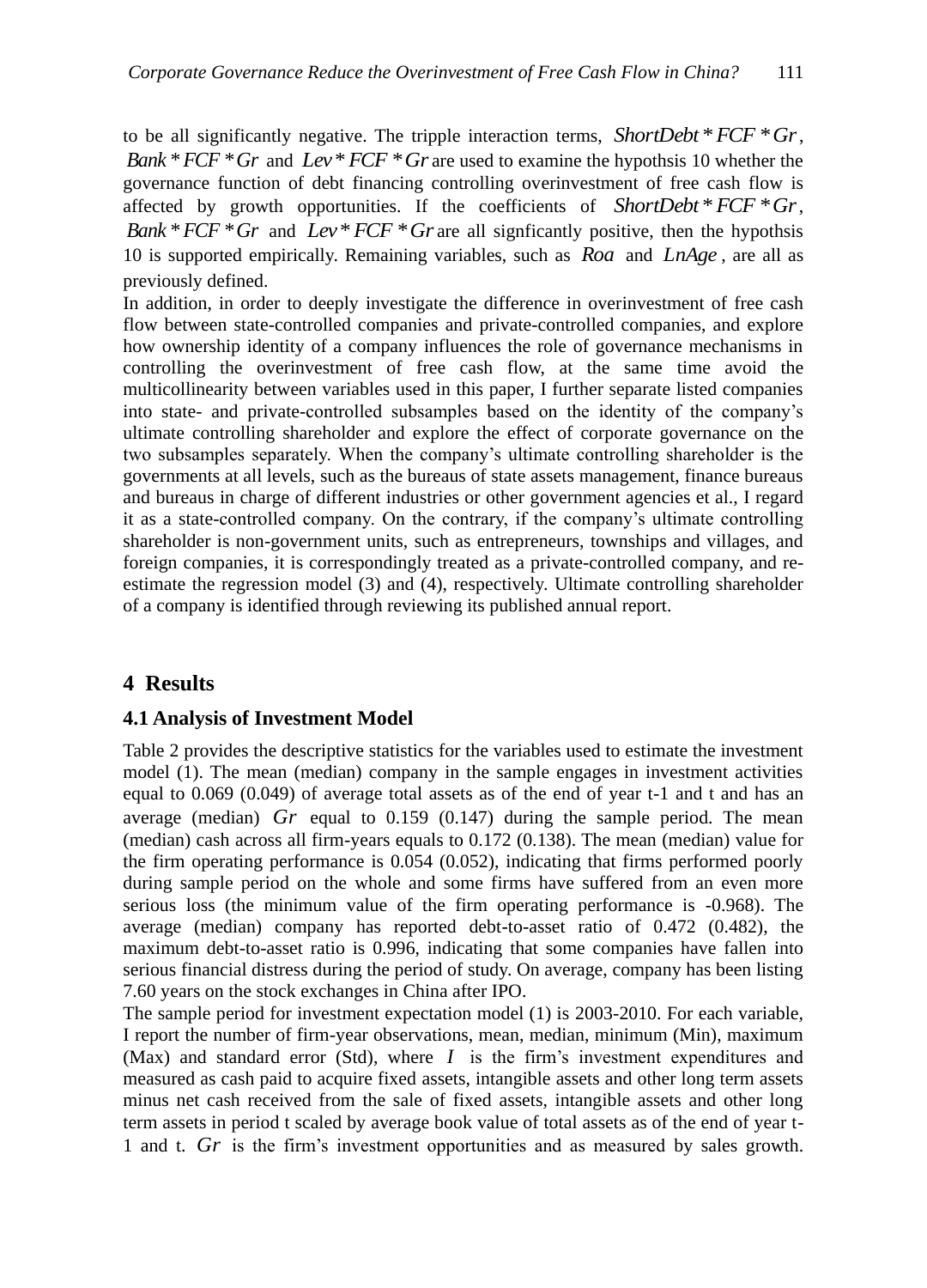to be all significantly negative. The tripple interaction terms, *ShortDebt* \**FCF* \**Gr*, *Bank* \**FCF* \**Gr* and *Lev*\**FCF* \**Gr* are used to examine the hypothsis 10 whether the governance function of debt financing controlling overinvestment of free cash flow is affected by growth opportunities. If the coefficients of *ShortDebt* \**FCF* \**Gr*, *Bank* \*  $FCF$  \* $Gr$  and  $Lev$  \*  $FCF$  \* $Gr$  are all signficantly positive, then the hypothsis 10 is supported empirically. Remaining variables, such as *Roa* and *LnAge* , are all as previously defined.

In addition, in order to deeply investigate the difference in overinvestment of free cash flow between state-controlled companies and private-controlled companies, and explore how ownership identity of a company influences the role of governance mechanisms in controlling the overinvestment of free cash flow, at the same time avoid the multicollinearity between variables used in this paper, I further separate listed companies into state- and private-controlled subsamples based on the identity of the company's ultimate controlling shareholder and explore the effect of corporate governance on the two subsamples separately. When the company's ultimate controlling shareholder is the governments at all levels, such as the bureaus of state assets management, finance bureaus and bureaus in charge of different industries or other government agencies et al., I regard it as a state-controlled company. On the contrary, if the company's ultimate controlling shareholder is non-government units, such as entrepreneurs, townships and villages, and foreign companies, it is correspondingly treated as a private-controlled company, and reestimate the regression model (3) and (4), respectively. Ultimate controlling shareholder of a company is identified through reviewing its published annual report.

## **4 Results**

## **4.1 Analysis of Investment Model**

Table 2 provides the descriptive statistics for the variables used to estimate the investment model (1). The mean (median) company in the sample engages in investment activities equal to 0.069 (0.049) of average total assets as of the end of year t-1 and t and has an average (median)  $Gr$  equal to  $0.159$   $(0.147)$  during the sample period. The mean (median) cash across all firm-years equals to 0.172 (0.138). The mean (median) value for the firm operating performance is 0.054 (0.052), indicating that firms performed poorly during sample period on the whole and some firms have suffered from an even more serious loss (the minimum value of the firm operating performance is -0.968). The average (median) company has reported debt-to-asset ratio of 0.472 (0.482), the maximum debt-to-asset ratio is 0.996, indicating that some companies have fallen into serious financial distress during the period of study. On average, company has been listing 7.60 years on the stock exchanges in China after IPO.

The sample period for investment expectation model (1) is 2003-2010. For each variable, I report the number of firm-year observations, mean, median, minimum (Min), maximum (Max) and standard error (Std), where  $I$  is the firm's investment expenditures and measured as cash paid to acquire fixed assets, intangible assets and other long term assets minus net cash received from the sale of fixed assets, intangible assets and other long term assets in period t scaled by average book value of total assets as of the end of year t-1 and t. Gr is the firm's investment opportunities and as measured by sales growth.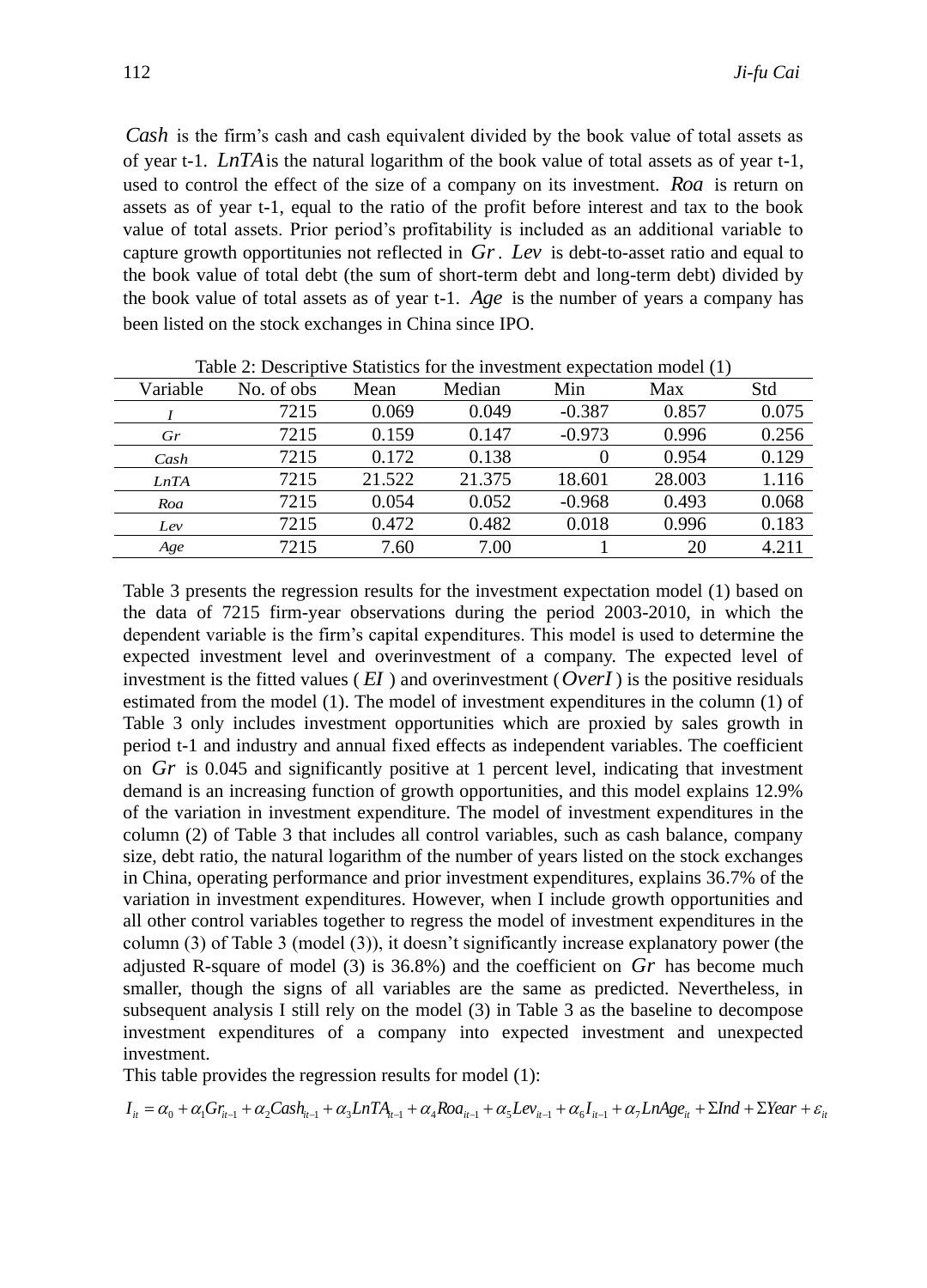*Cash* is the firm's cash and cash equivalent divided by the book value of total assets as of year t-1. *LnTA* is the natural logarithm of the book value of total assets as of year t-1, used to control the effect of the size of a company on its investment. *Roa* is return on assets as of year t-1, equal to the ratio of the profit before interest and tax to the book value of total assets. Prior period's profitability is included as an additional variable to capture growth opportitunies not reflected in *Gr*. *Lev* is debt-to-asset ratio and equal to the book value of total debt (the sum of short-term debt and long-term debt) divided by the book value of total assets as of year t-1. *Age* is the number of years a company has been listed on the stock exchanges in China since IPO.

|          |            |        |        | Table 2. Descriptive Blanshes for the Investment expectation model (1) |        |       |  |  |  |  |
|----------|------------|--------|--------|------------------------------------------------------------------------|--------|-------|--|--|--|--|
| Variable | No. of obs | Mean   | Median | Min                                                                    | Max    | Std   |  |  |  |  |
|          | 7215       | 0.069  | 0.049  | $-0.387$                                                               | 0.857  | 0.075 |  |  |  |  |
| Gr       | 7215       | 0.159  | 0.147  | $-0.973$                                                               | 0.996  | 0.256 |  |  |  |  |
| Cash     | 7215       | 0.172  | 0.138  | 0                                                                      | 0.954  | 0.129 |  |  |  |  |
| LnTA     | 7215       | 21.522 | 21.375 | 18.601                                                                 | 28.003 | 1.116 |  |  |  |  |
| Roa      | 7215       | 0.054  | 0.052  | $-0.968$                                                               | 0.493  | 0.068 |  |  |  |  |
| Lev      | 7215       | 0.472  | 0.482  | 0.018                                                                  | 0.996  | 0.183 |  |  |  |  |
| Age      | 7215       | 7.60   | 7.00   |                                                                        | 20     | 4.211 |  |  |  |  |

Table  $2:$  Descriptive Statistics for the investment expectation model  $(1)$ 

Table 3 presents the regression results for the investment expectation model (1) based on the data of 7215 firm-year observations during the period 2003-2010, in which the dependent variable is the firm's capital expenditures. This model is used to determine the expected investment level and overinvestment of a company. The expected level of investment is the fitted values  $(EI)$  and overinvestment  $(OverI)$  is the positive residuals estimated from the model (1). The model of investment expenditures in the column (1) of Table 3 only includes investment opportunities which are proxied by sales growth in period t-1 and industry and annual fixed effects as independent variables. The coefficient on *Gr* is 0.045 and significantly positive at 1 percent level, indicating that investment demand is an increasing function of growth opportunities, and this model explains 12.9% of the variation in investment expenditure. The model of investment expenditures in the column (2) of Table 3 that includes all control variables, such as cash balance, company size, debt ratio, the natural logarithm of the number of years listed on the stock exchanges in China, operating performance and prior investment expenditures, explains 36.7% of the variation in investment expenditures. However, when I include growth opportunities and all other control variables together to regress the model of investment expenditures in the column (3) of Table 3 (model (3)), it doesn't significantly increase explanatory power (the adjusted R-square of model (3) is 36.8%) and the coefficient on *Gr* has become much smaller, though the signs of all variables are the same as predicted. Nevertheless, in subsequent analysis I still rely on the model (3) in Table 3 as the baseline to decompose investment expenditures of a company into expected investment and unexpected investment.

This table provides the regression results for model (1):

 $I_{ii} = \alpha_0 + \alpha_1 G r_{ii} + \alpha_2 C \alpha sh_{ii} + \alpha_3 L n T A_{ii} + \alpha_4 R o a_{ii} + \alpha_5 L e v_{ii} + \alpha_6 I_{ii} + \alpha_7 L n A g e_{ii} + \Sigma Ind + \Sigma Year + \varepsilon_{ii}$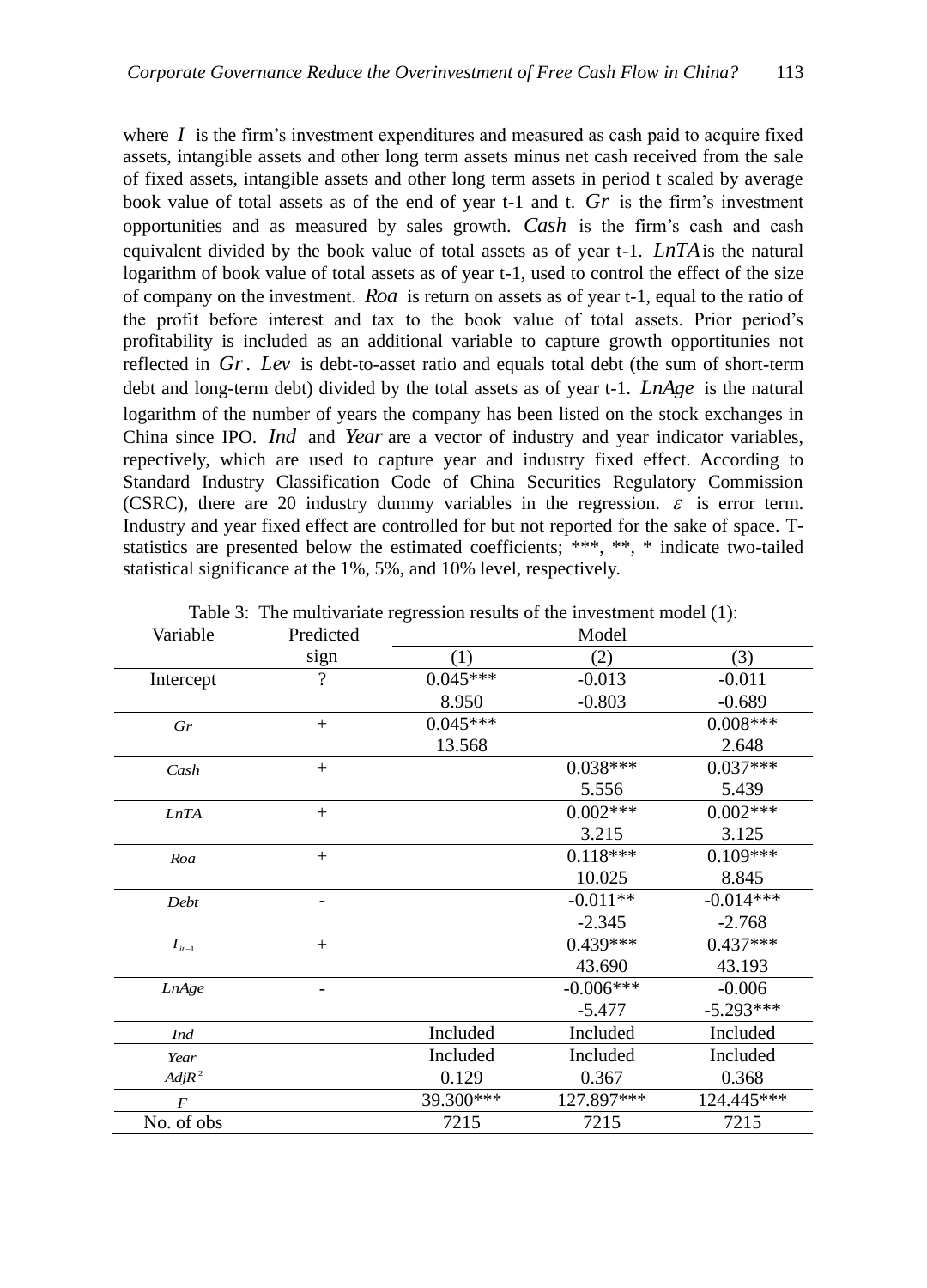where  $I$  is the firm's investment expenditures and measured as cash paid to acquire fixed assets, intangible assets and other long term assets minus net cash received from the sale of fixed assets, intangible assets and other long term assets in period t scaled by average book value of total assets as of the end of year t-1 and t. *Gr* is the firm's investment opportunities and as measured by sales growth. *Cash* is the firm's cash and cash equivalent divided by the book value of total assets as of year t-1. *LnTA* is the natural logarithm of book value of total assets as of year t-1, used to control the effect of the size of company on the investment. *Roa* is return on assets as of year t-1, equal to the ratio of the profit before interest and tax to the book value of total assets. Prior period's profitability is included as an additional variable to capture growth opportitunies not reflected in *Gr*. *Lev* is debt-to-asset ratio and equals total debt (the sum of short-term debt and long-term debt) divided by the total assets as of year t-1. *LnAge* is the natural logarithm of the number of years the company has been listed on the stock exchanges in China since IPO. *Ind* and Year are a vector of industry and year indicator variables, repectively, which are used to capture year and industry fixed effect. According to Standard Industry Classification Code of China Securities Regulatory Commission (CSRC), there are 20 industry dummy variables in the regression.  $\varepsilon$  is error term. Industry and year fixed effect are controlled for but not reported for the sake of space. Tstatistics are presented below the estimated coefficients; \*\*\*, \*\*, \* indicate two-tailed statistical significance at the 1%, 5%, and 10% level, respectively.

| Variable         | Predicted                | Model      |             |             |  |  |
|------------------|--------------------------|------------|-------------|-------------|--|--|
|                  | sign                     | (1)        | (2)         | (3)         |  |  |
| Intercept        | $\overline{\mathcal{L}}$ | $0.045***$ | $-0.013$    | $-0.011$    |  |  |
|                  |                          | 8.950      | $-0.803$    | $-0.689$    |  |  |
| Gr               | $^{+}$                   | $0.045***$ |             | $0.008***$  |  |  |
|                  |                          | 13.568     |             | 2.648       |  |  |
| Cash             | $+$                      |            | $0.038***$  | $0.037***$  |  |  |
|                  |                          |            | 5.556       | 5.439       |  |  |
| LnTA             | $+$                      |            | $0.002***$  | $0.002***$  |  |  |
|                  |                          |            | 3.215       | 3.125       |  |  |
| Roa              | $+$                      |            | $0.118***$  | $0.109***$  |  |  |
|                  |                          |            | 10.025      | 8.845       |  |  |
| Debt             |                          |            | $-0.011**$  | $-0.014***$ |  |  |
|                  |                          |            | $-2.345$    | $-2.768$    |  |  |
| $I_{it-1}$       | $+$                      |            | $0.439***$  | $0.437***$  |  |  |
|                  |                          |            | 43.690      | 43.193      |  |  |
| LnAge            |                          |            | $-0.006***$ | $-0.006$    |  |  |
|                  |                          |            | $-5.477$    | $-5.293***$ |  |  |
| <b>Ind</b>       |                          | Included   | Included    | Included    |  |  |
| Year             |                          | Included   | Included    | Included    |  |  |
| $Adj R^2$        |                          | 0.129      | 0.367       | 0.368       |  |  |
| $\boldsymbol{F}$ |                          | 39.300***  | 127.897***  | 124.445***  |  |  |
| No. of obs       |                          | 7215       | 7215        | 7215        |  |  |

Table 3: The multivariate regression results of the investment model (1):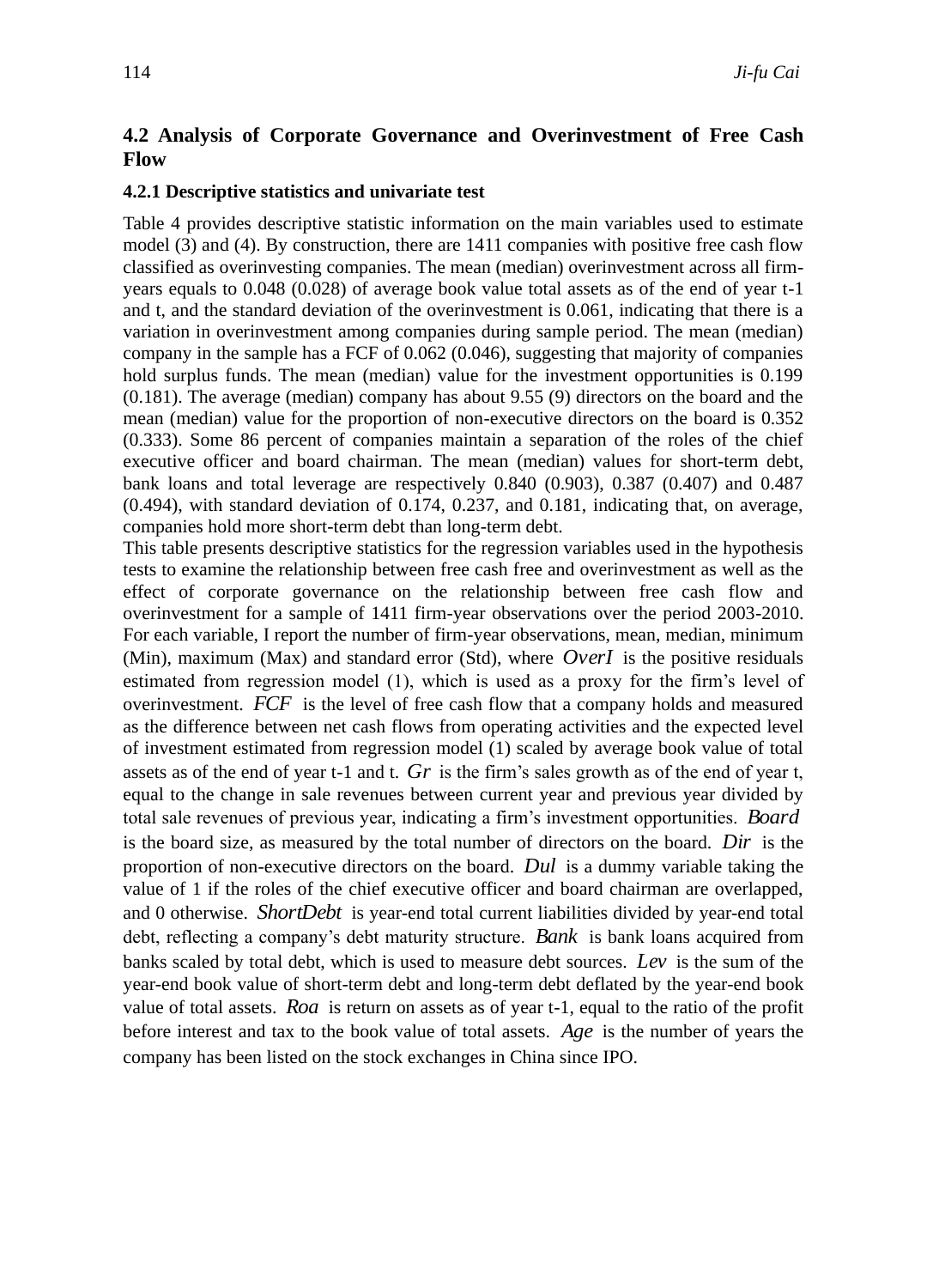## **4.2 Analysis of Corporate Governance and Overinvestment of Free Cash Flow**

#### **4.2.1 Descriptive statistics and univariate test**

Table 4 provides descriptive statistic information on the main variables used to estimate model (3) and (4). By construction, there are 1411 companies with positive free cash flow classified as overinvesting companies. The mean (median) overinvestment across all firmyears equals to 0.048 (0.028) of average book value total assets as of the end of year t-1 and t, and the standard deviation of the overinvestment is 0.061, indicating that there is a variation in overinvestment among companies during sample period. The mean (median) company in the sample has a FCF of 0.062 (0.046), suggesting that majority of companies hold surplus funds. The mean (median) value for the investment opportunities is 0.199 (0.181). The average (median) company has about 9.55 (9) directors on the board and the mean (median) value for the proportion of non-executive directors on the board is 0.352 (0.333). Some 86 percent of companies maintain a separation of the roles of the chief executive officer and board chairman. The mean (median) values for short-term debt, bank loans and total leverage are respectively 0.840 (0.903), 0.387 (0.407) and 0.487 (0.494), with standard deviation of 0.174, 0.237, and 0.181, indicating that, on average, companies hold more short-term debt than long-term debt.

This table presents descriptive statistics for the regression variables used in the hypothesis tests to examine the relationship between free cash free and overinvestment as well as the effect of corporate governance on the relationship between free cash flow and overinvestment for a sample of 1411 firm-year observations over the period 2003-2010. For each variable, I report the number of firm-year observations, mean, median, minimum (Min), maximum (Max) and standard error (Std), where *OverI* is the positive residuals estimated from regression model (1), which is used as a proxy for the firm's level of overinvestment. *FCF* is the level of free cash flow that a company holds and measured as the difference between net cash flows from operating activities and the expected level of investment estimated from regression model (1) scaled by average book value of total assets as of the end of year t-1 and t. *Gr* is the firm's sales growth as of the end of year t, equal to the change in sale revenues between current year and previous year divided by total sale revenues of previous year, indicating a firm's investment opportunities. *Board* is the board size, as measured by the total number of directors on the board. *Dir* is the proportion of non-executive directors on the board. *Dul* is a dummy variable taking the value of 1 if the roles of the chief executive officer and board chairman are overlapped, and 0 otherwise. *ShortDebt* is year-end total current liabilities divided by year-end total debt, reflecting a company's debt maturity structure. *Bank* is bank loans acquired from banks scaled by total debt, which is used to measure debt sources. *Lev* is the sum of the year-end book value of short-term debt and long-term debt deflated by the year-end book value of total assets. *Roa* is return on assets as of year t-1, equal to the ratio of the profit before interest and tax to the book value of total assets. *Age* is the number of years the company has been listed on the stock exchanges in China since IPO.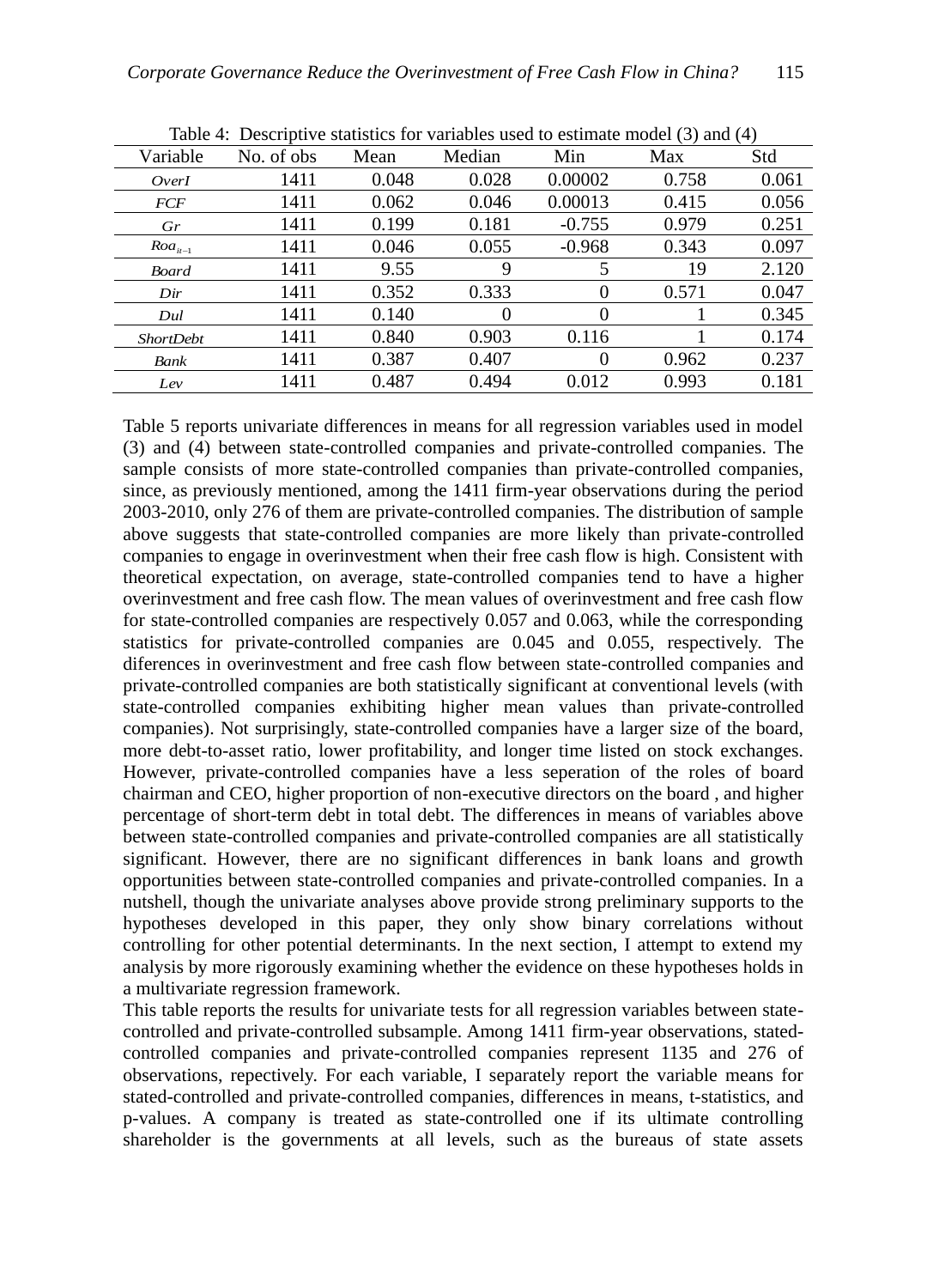|                  |            |       |        |          | $\sim$ | $\cdots$ |
|------------------|------------|-------|--------|----------|--------|----------|
| Variable         | No. of obs | Mean  | Median | Min      | Max    | Std      |
| OverI            | 1411       | 0.048 | 0.028  | 0.00002  | 0.758  | 0.061    |
| <b>FCF</b>       | 1411       | 0.062 | 0.046  | 0.00013  | 0.415  | 0.056    |
| Gr               | 1411       | 0.199 | 0.181  | $-0.755$ | 0.979  | 0.251    |
| $Roa_{it-1}$     | 1411       | 0.046 | 0.055  | $-0.968$ | 0.343  | 0.097    |
| <b>Board</b>     | 1411       | 9.55  | 9      | 5        | 19     | 2.120    |
| Dir              | 1411       | 0.352 | 0.333  | $\theta$ | 0.571  | 0.047    |
| Dul              | 1411       | 0.140 | 0      | $\Omega$ |        | 0.345    |
| <b>ShortDebt</b> | 1411       | 0.840 | 0.903  | 0.116    |        | 0.174    |
| Bank             | 1411       | 0.387 | 0.407  | $\theta$ | 0.962  | 0.237    |
| Lev              | 1411       | 0.487 | 0.494  | 0.012    | 0.993  | 0.181    |

Table 4: Descriptive statistics for variables used to estimate model (3) and (4)

Table 5 reports univariate differences in means for all regression variables used in model (3) and (4) between state-controlled companies and private-controlled companies. The sample consists of more state-controlled companies than private-controlled companies, since, as previously mentioned, among the 1411 firm-year observations during the period 2003-2010, only 276 of them are private-controlled companies. The distribution of sample above suggests that state-controlled companies are more likely than private-controlled companies to engage in overinvestment when their free cash flow is high. Consistent with theoretical expectation, on average, state-controlled companies tend to have a higher overinvestment and free cash flow. The mean values of overinvestment and free cash flow for state-controlled companies are respectively 0.057 and 0.063, while the corresponding statistics for private-controlled companies are 0.045 and 0.055, respectively. The diferences in overinvestment and free cash flow between state-controlled companies and private-controlled companies are both statistically significant at conventional levels (with state-controlled companies exhibiting higher mean values than private-controlled companies). Not surprisingly, state-controlled companies have a larger size of the board, more debt-to-asset ratio, lower profitability, and longer time listed on stock exchanges. However, private-controlled companies have a less seperation of the roles of board chairman and CEO, higher proportion of non-executive directors on the board , and higher percentage of short-term debt in total debt. The differences in means of variables above between state-controlled companies and private-controlled companies are all statistically significant. However, there are no significant differences in bank loans and growth opportunities between state-controlled companies and private-controlled companies. In a nutshell, though the univariate analyses above provide strong preliminary supports to the hypotheses developed in this paper, they only show binary correlations without controlling for other potential determinants. In the next section, I attempt to extend my analysis by more rigorously examining whether the evidence on these hypotheses holds in a multivariate regression framework.

This table reports the results for univariate tests for all regression variables between statecontrolled and private-controlled subsample. Among 1411 firm-year observations, statedcontrolled companies and private-controlled companies represent 1135 and 276 of observations, repectively. For each variable, I separately report the variable means for stated-controlled and private-controlled companies, differences in means, t-statistics, and p-values. A company is treated as state-controlled one if its ultimate controlling shareholder is the governments at all levels, such as the bureaus of state assets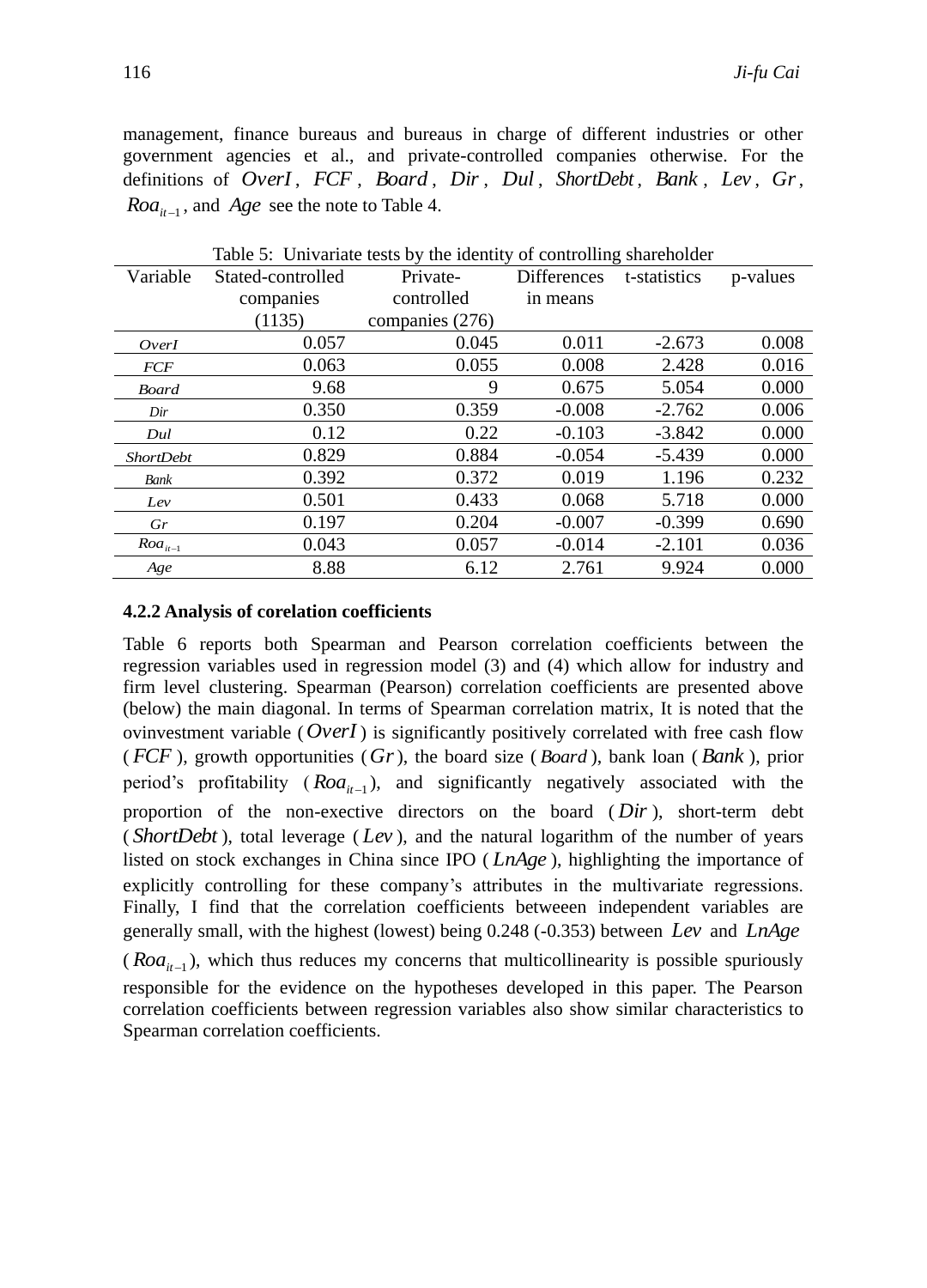management, finance bureaus and bureaus in charge of different industries or other government agencies et al., and private-controlled companies otherwise. For the definitions of *OverI* , *FCF* , *Board* , *Dir* , *Dul* , *ShortDebt* , *Bank* , *Lev* , *Gr*,  $Roa_{it-1}$ , and *Age* see the note to Table 4.

|                  |                   | Table 5: Univariate tests by the identity of controlling shareholder |                    |              |          |
|------------------|-------------------|----------------------------------------------------------------------|--------------------|--------------|----------|
| Variable         | Stated-controlled | Private-                                                             | <b>Differences</b> | t-statistics | p-values |
|                  | companies         | controlled                                                           | in means           |              |          |
|                  | (1135)            | companies (276)                                                      |                    |              |          |
| OverI            | 0.057             | 0.045                                                                | 0.011              | $-2.673$     | 0.008    |
| <b>FCF</b>       | 0.063             | 0.055                                                                | 0.008              | 2.428        | 0.016    |
| <b>Board</b>     | 9.68              | 9                                                                    | 0.675              | 5.054        | 0.000    |
| Dir              | 0.350             | 0.359                                                                | $-0.008$           | $-2.762$     | 0.006    |
| Dul              | 0.12              | 0.22                                                                 | $-0.103$           | $-3.842$     | 0.000    |
| <b>ShortDebt</b> | 0.829             | 0.884                                                                | $-0.054$           | $-5.439$     | 0.000    |
| Bank             | 0.392             | 0.372                                                                | 0.019              | 1.196        | 0.232    |
| Lev              | 0.501             | 0.433                                                                | 0.068              | 5.718        | 0.000    |
| Gr               | 0.197             | 0.204                                                                | $-0.007$           | $-0.399$     | 0.690    |
| $Roa_{it-1}$     | 0.043             | 0.057                                                                | $-0.014$           | $-2.101$     | 0.036    |
| Age              | 8.88              | 6.12                                                                 | 2.761              | 9.924        | 0.000    |

 $Table 5:$  University tests by the identity of

## **4.2.2 Analysis of corelation coefficients**

Table 6 reports both Spearman and Pearson correlation coefficients between the regression variables used in regression model (3) and (4) which allow for industry and firm level clustering. Spearman (Pearson) correlation coefficients are presented above (below) the main diagonal. In terms of Spearman correlation matrix, It is noted that the ovinvestment variable ( *OverI* ) is significantly positively correlated with free cash flow ( $FCF$ ), growth opportunities ( $Gr$ ), the board size ( $Board$ ), bank loan ( $Bank$ ), prior period's profitability  $(Roa_{it-1})$ , and significantly negatively associated with the proportion of the non-exective directors on the board ( *Dir* ), short-term debt ( *ShortDebt* ), total leverage ( *Lev* ), and the natural logarithm of the number of years listed on stock exchanges in China since IPO ( *LnAge* ), highlighting the importance of explicitly controlling for these company's attributes in the multivariate regressions. Finally, I find that the correlation coefficients betweeen independent variables are generally small, with the highest (lowest) being 0.248 (-0.353) between *Lev* and *LnAge* ( $Roa$ <sub>it-1</sub>), which thus reduces my concerns that multicollinearity is possible spuriously responsible for the evidence on the hypotheses developed in this paper. The Pearson correlation coefficients between regression variables also show similar characteristics to Spearman correlation coefficients.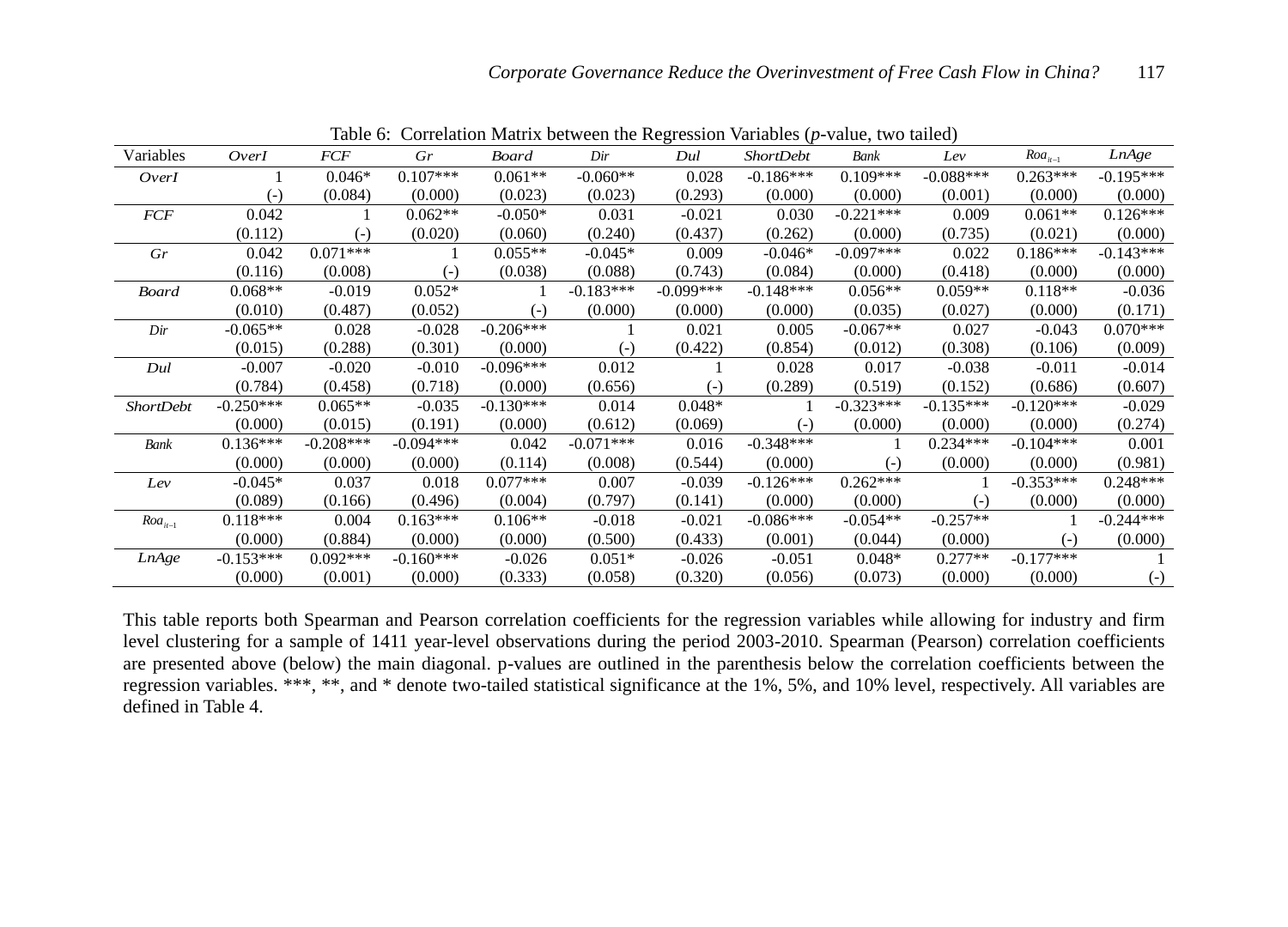|                  |             |             |             | continuon maanta ottavisti int negi |             |             | $\epsilon$ <sub>p</sub> $\epsilon$ <sub>1</sub> $\epsilon$ <sub>1</sub> $\epsilon$ <sub>1</sub> $\epsilon$ <sub>1</sub> $\epsilon$ <sup>1</sup> $\epsilon$ <sup>1</sup> $\epsilon$ <sup>1</sup> $\epsilon$ <sup>1</sup> | $\ldots$    |             |              |                   |
|------------------|-------------|-------------|-------------|-------------------------------------|-------------|-------------|-------------------------------------------------------------------------------------------------------------------------------------------------------------------------------------------------------------------------|-------------|-------------|--------------|-------------------|
| Variables        | OverI       | <b>FCF</b>  | Gr          | <b>Board</b>                        | Dir         | Dul         | <b>ShortDebt</b>                                                                                                                                                                                                        | Bank        | Lev         | $Roa_{it-1}$ | LnAge             |
| OverI            |             | $0.046*$    | $0.107***$  | $0.061**$                           | $-0.060**$  | 0.028       | $-0.186***$                                                                                                                                                                                                             | $0.109***$  | $-0.088***$ | $0.263***$   | $-0.195***$       |
|                  | $(-)$       | (0.084)     | (0.000)     | (0.023)                             | (0.023)     | (0.293)     | (0.000)                                                                                                                                                                                                                 | (0.000)     | (0.001)     | (0.000)      | (0.000)           |
| FCF              | 0.042       |             | $0.062**$   | $-0.050*$                           | 0.031       | $-0.021$    | 0.030                                                                                                                                                                                                                   | $-0.221***$ | 0.009       | $0.061**$    | $0.126***$        |
|                  | (0.112)     | $(-)$       | (0.020)     | (0.060)                             | (0.240)     | (0.437)     | (0.262)                                                                                                                                                                                                                 | (0.000)     | (0.735)     | (0.021)      | (0.000)           |
| Gr               | 0.042       | $0.071***$  |             | $0.055**$                           | $-0.045*$   | 0.009       | $-0.046*$                                                                                                                                                                                                               | $-0.097***$ | 0.022       | $0.186***$   | $-0.143***$       |
|                  | (0.116)     | (0.008)     | $(-)$       | (0.038)                             | (0.088)     | (0.743)     | (0.084)                                                                                                                                                                                                                 | (0.000)     | (0.418)     | (0.000)      | (0.000)           |
| <b>Board</b>     | $0.068**$   | $-0.019$    | $0.052*$    |                                     | $-0.183***$ | $-0.099***$ | $-0.148***$                                                                                                                                                                                                             | $0.056**$   | $0.059**$   | $0.118**$    | $-0.036$          |
|                  | (0.010)     | (0.487)     | (0.052)     | $(-)$                               | (0.000)     | (0.000)     | (0.000)                                                                                                                                                                                                                 | (0.035)     | (0.027)     | (0.000)      | (0.171)           |
| Dir              | $-0.065**$  | 0.028       | $-0.028$    | $-0.206***$                         |             | 0.021       | 0.005                                                                                                                                                                                                                   | $-0.067**$  | 0.027       | $-0.043$     | $0.070***$        |
|                  | (0.015)     | (0.288)     | (0.301)     | (0.000)                             | $(-)$       | (0.422)     | (0.854)                                                                                                                                                                                                                 | (0.012)     | (0.308)     | (0.106)      | (0.009)           |
| Dul              | $-0.007$    | $-0.020$    | $-0.010$    | $-0.096***$                         | 0.012       |             | 0.028                                                                                                                                                                                                                   | 0.017       | $-0.038$    | $-0.011$     | $-0.014$          |
|                  | (0.784)     | (0.458)     | (0.718)     | (0.000)                             | (0.656)     | $(-)$       | (0.289)                                                                                                                                                                                                                 | (0.519)     | (0.152)     | (0.686)      | (0.607)           |
| <b>ShortDebt</b> | $-0.250***$ | $0.065**$   | $-0.035$    | $-0.130***$                         | 0.014       | $0.048*$    |                                                                                                                                                                                                                         | $-0.323***$ | $-0.135***$ | $-0.120***$  | $-0.029$          |
|                  | (0.000)     | (0.015)     | (0.191)     | (0.000)                             | (0.612)     | (0.069)     | $(-)$                                                                                                                                                                                                                   | (0.000)     | (0.000)     | (0.000)      | (0.274)           |
| Bank             | $0.136***$  | $-0.208***$ | $-0.094***$ | 0.042                               | $-0.071***$ | 0.016       | $-0.348***$                                                                                                                                                                                                             |             | $0.234***$  | $-0.104***$  | 0.001             |
|                  | (0.000)     | (0.000)     | (0.000)     | (0.114)                             | (0.008)     | (0.544)     | (0.000)                                                                                                                                                                                                                 | $(-)$       | (0.000)     | (0.000)      | (0.981)           |
| Lev              | $-0.045*$   | 0.037       | 0.018       | $0.077***$                          | 0.007       | $-0.039$    | $-0.126***$                                                                                                                                                                                                             | $0.262***$  |             | $-0.353***$  | $0.248***$        |
|                  | (0.089)     | (0.166)     | (0.496)     | (0.004)                             | (0.797)     | (0.141)     | (0.000)                                                                                                                                                                                                                 | (0.000)     | $(-)$       | (0.000)      | (0.000)           |
| $Roa_{it-1}$     | $0.118***$  | 0.004       | $0.163***$  | $0.106**$                           | $-0.018$    | $-0.021$    | $-0.086***$                                                                                                                                                                                                             | $-0.054**$  | $-0.257**$  |              | $-0.244***$       |
|                  | (0.000)     | (0.884)     | (0.000)     | (0.000)                             | (0.500)     | (0.433)     | (0.001)                                                                                                                                                                                                                 | (0.044)     | (0.000)     | $(-)$        | (0.000)           |
| <b>LnAge</b>     | $-0.153***$ | $0.092***$  | $-0.160***$ | $-0.026$                            | $0.051*$    | $-0.026$    | $-0.051$                                                                                                                                                                                                                | $0.048*$    | $0.277**$   | $-0.177***$  |                   |
|                  | (0.000)     | (0.001)     | (0.000)     | (0.333)                             | (0.058)     | (0.320)     | (0.056)                                                                                                                                                                                                                 | (0.073)     | (0.000)     | (0.000)      | $\left( -\right)$ |

Table 6: Correlation Matrix between the Regression Variables (*p*-value, two tailed)

This table reports both Spearman and Pearson correlation coefficients for the regression variables while allowing for industry and firm level clustering for a sample of 1411 year-level observations during the period 2003-2010. Spearman (Pearson) correlation coefficients are presented above (below) the main diagonal. p-values are outlined in the parenthesis below the correlation coefficients between the regression variables. \*\*\*, \*\*, and \* denote two-tailed statistical significance at the 1%, 5%, and 10% level, respectively. All variables are defined in Table 4.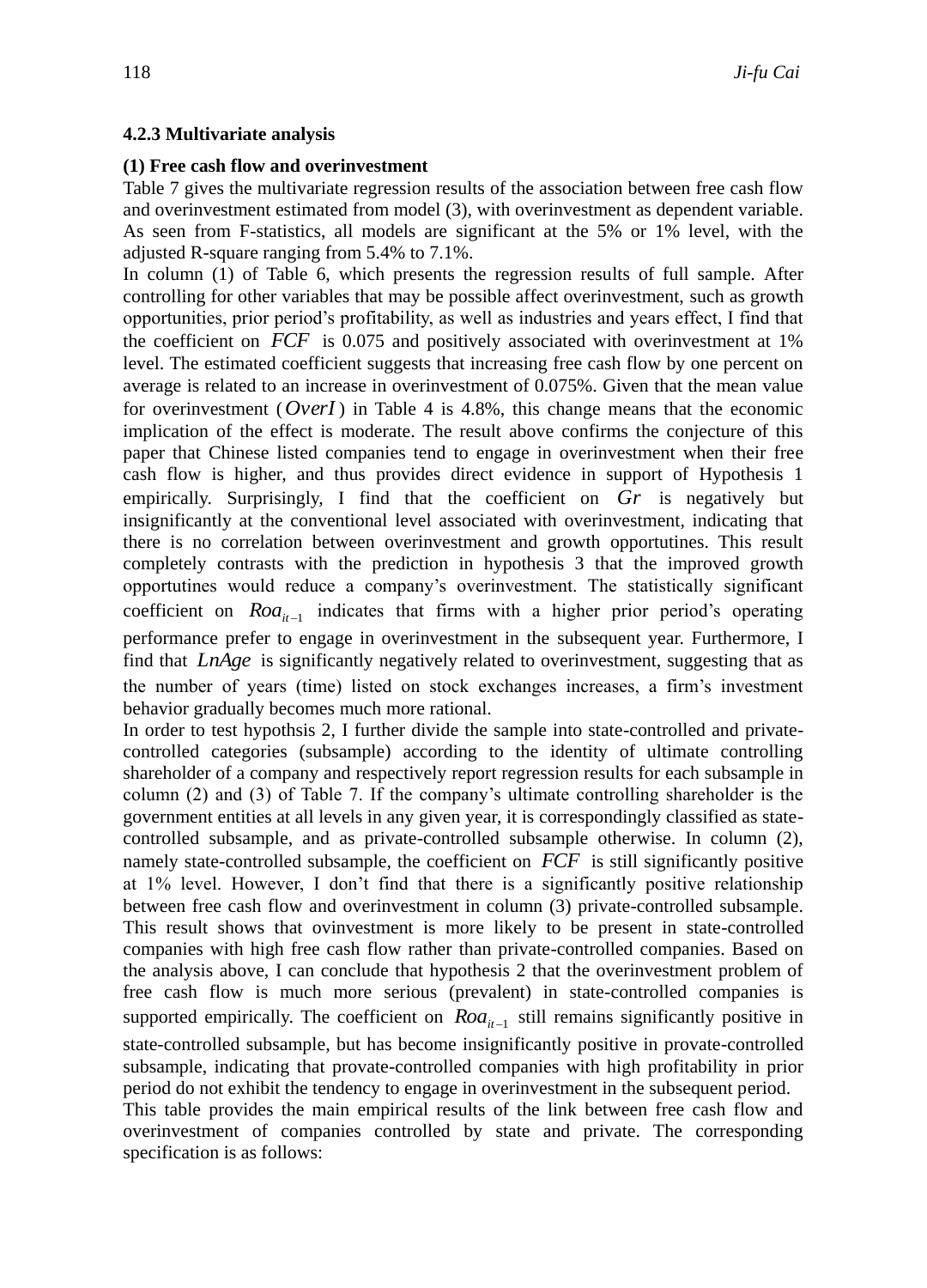## **4.2.3 Multivariate analysis**

## **(1) Free cash flow and overinvestment**

Table 7 gives the multivariate regression results of the association between free cash flow and overinvestment estimated from model (3), with overinvestment as dependent variable. As seen from F-statistics, all models are significant at the 5% or 1% level, with the adjusted R-square ranging from 5.4% to 7.1%.

In column (1) of Table 6, which presents the regression results of full sample. After controlling for other variables that may be possible affect overinvestment, such as growth opportunities, prior period's profitability, as well as industries and years effect, I find that the coefficient on *FCF* is 0.075 and positively associated with overinvestment at 1% level. The estimated coefficient suggests that increasing free cash flow by one percent on average is related to an increase in overinvestment of 0.075%. Given that the mean value for overinvestment ( $\text{Over}I$ ) in Table 4 is 4.8%, this change means that the economic implication of the effect is moderate. The result above confirms the conjecture of this paper that Chinese listed companies tend to engage in overinvestment when their free cash flow is higher, and thus provides direct evidence in support of Hypothesis 1 empirically. Surprisingly, I find that the coefficient on *Gr* is negatively but insignificantly at the conventional level associated with overinvestment, indicating that there is no correlation between overinvestment and growth opportutines. This result completely contrasts with the prediction in hypothesis 3 that the improved growth opportutines would reduce a company's overinvestment. The statistically significant coefficient on  $Roa_{it-1}$  indicates that firms with a higher prior period's operating performance prefer to engage in overinvestment in the subsequent year. Furthermore, I find that *LnAge* is significantly negatively related to overinvestment, suggesting that as the number of years (time) listed on stock exchanges increases, a firm's investment behavior gradually becomes much more rational.

In order to test hypothsis 2, I further divide the sample into state-controlled and privatecontrolled categories (subsample) according to the identity of ultimate controlling shareholder of a company and respectively report regression results for each subsample in column (2) and (3) of Table 7. If the company's ultimate controlling shareholder is the government entities at all levels in any given year, it is correspondingly classified as statecontrolled subsample, and as private-controlled subsample otherwise. In column (2), namely state-controlled subsample, the coefficient on *FCF* is still significantly positive at 1% level. However, I don't find that there is a significantly positive relationship between free cash flow and overinvestment in column (3) private-controlled subsample. This result shows that ovinvestment is more likely to be present in state-controlled companies with high free cash flow rather than private-controlled companies. Based on the analysis above, I can conclude that hypothesis 2 that the overinvestment problem of free cash flow is much more serious (prevalent) in state-controlled companies is supported empirically. The coefficient on  $Roa_{it-1}$  still remains significantly positive in state-controlled subsample, but has become insignificantly positive in provate-controlled subsample, indicating that provate-controlled companies with high profitability in prior period do not exhibit the tendency to engage in overinvestment in the subsequent period. This table provides the main empirical results of the link between free cash flow and

overinvestment of companies controlled by state and private. The corresponding specification is as follows: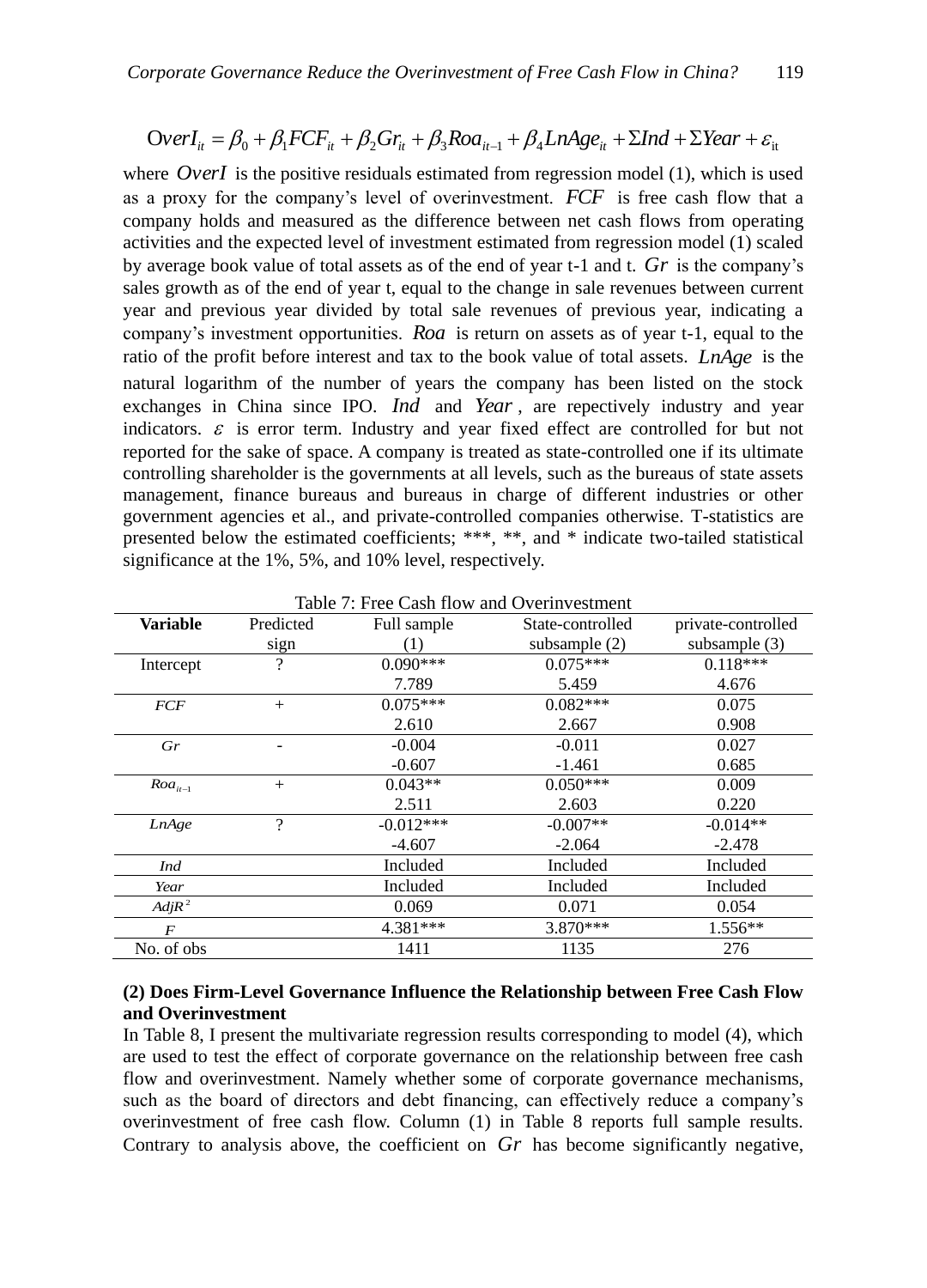$$
OverI_{it} = \beta_0 + \beta_1 FCF_{it} + \beta_2 Gr_{it} + \beta_3 Roa_{it-1} + \beta_4 LnAge_{it} + \Sigma Ind + \Sigma Year + \varepsilon_{it}
$$

where  $OverI$  is the positive residuals estimated from regression model  $(1)$ , which is used as a proxy for the company's level of overinvestment. *FCF* is free cash flow that a company holds and measured as the difference between net cash flows from operating activities and the expected level of investment estimated from regression model (1) scaled by average book value of total assets as of the end of year t-1 and t. *Gr* is the company's sales growth as of the end of year t, equal to the change in sale revenues between current year and previous year divided by total sale revenues of previous year, indicating a company's investment opportunities. *Roa* is return on assets as of year t-1, equal to the ratio of the profit before interest and tax to the book value of total assets. *LnAge* is the natural logarithm of the number of years the company has been listed on the stock exchanges in China since IPO. *Ind* and *Year* , are repectively industry and year indicators.  $\varepsilon$  is error term. Industry and year fixed effect are controlled for but not reported for the sake of space. A company is treated as state-controlled one if its ultimate controlling shareholder is the governments at all levels, such as the bureaus of state assets management, finance bureaus and bureaus in charge of different industries or other government agencies et al., and private-controlled companies otherwise. T-statistics are presented below the estimated coefficients; \*\*\*, \*\*, and \* indicate two-tailed statistical significance at the 1%, 5%, and 10% level, respectively.

|                  | Table 7. I Tee Cash How and Overhivestinent |             |                  |                    |  |  |  |
|------------------|---------------------------------------------|-------------|------------------|--------------------|--|--|--|
| <b>Variable</b>  | Predicted                                   | Full sample | State-controlled | private-controlled |  |  |  |
|                  | sign                                        | (1)         | subsample $(2)$  | subsample $(3)$    |  |  |  |
| Intercept        | $\overline{\mathcal{L}}$                    | $0.090***$  | $0.075***$       | $0.118***$         |  |  |  |
|                  |                                             | 7.789       | 5.459            | 4.676              |  |  |  |
| <b>FCF</b>       | $^{+}$                                      | $0.075***$  | $0.082***$       | 0.075              |  |  |  |
|                  |                                             | 2.610       | 2.667            | 0.908              |  |  |  |
| Gr               |                                             | $-0.004$    | $-0.011$         | 0.027              |  |  |  |
|                  |                                             | $-0.607$    | $-1.461$         | 0.685              |  |  |  |
| $Roa_{it-1}$     | $+$                                         | $0.043**$   | $0.050***$       | 0.009              |  |  |  |
|                  |                                             | 2.511       | 2.603            | 0.220              |  |  |  |
| LnAge            | 9                                           | $-0.012***$ | $-0.007**$       | $-0.014**$         |  |  |  |
|                  |                                             | $-4.607$    | $-2.064$         | $-2.478$           |  |  |  |
| Ind              |                                             | Included    | Included         | Included           |  |  |  |
| Year             |                                             | Included    | Included         | Included           |  |  |  |
| $Adj R^2$        |                                             | 0.069       | 0.071            | 0.054              |  |  |  |
| $\boldsymbol{F}$ |                                             | 4.381***    | 3.870***         | $1.556**$          |  |  |  |
| No. of obs       |                                             | 1411        | 1135             | 276                |  |  |  |

Table 7: Free Cash flow and Overinvestment

### **(2) Does Firm-Level Governance Influence the Relationship between Free Cash Flow and Overinvestment**

In Table 8, I present the multivariate regression results corresponding to model (4), which are used to test the effect of corporate governance on the relationship between free cash flow and overinvestment. Namely whether some of corporate governance mechanisms, such as the board of directors and debt financing, can effectively reduce a company's overinvestment of free cash flow. Column (1) in Table 8 reports full sample results. Contrary to analysis above, the coefficient on  $Gr$  has become significantly negative,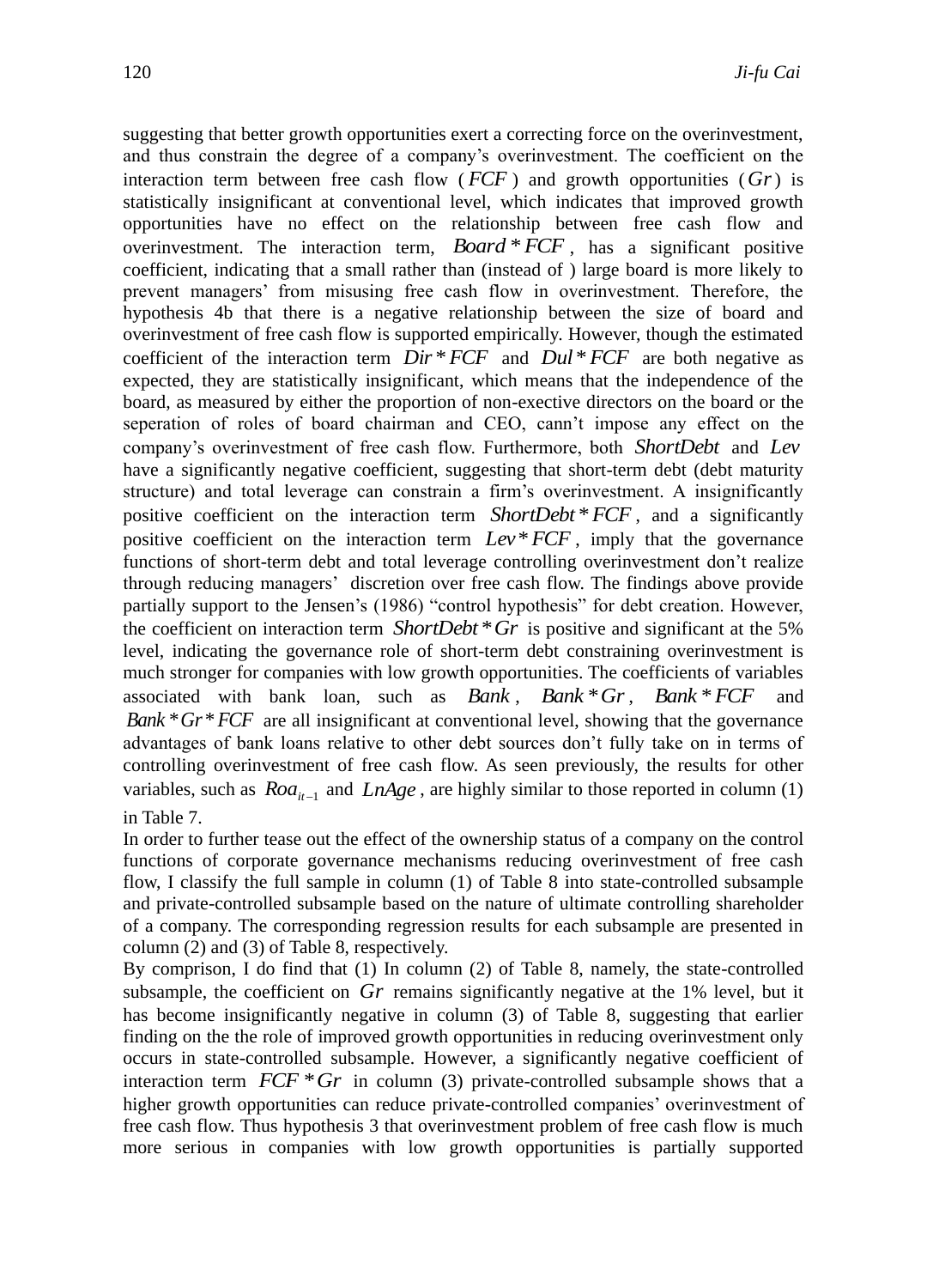suggesting that better growth opportunities exert a correcting force on the overinvestment, and thus constrain the degree of a company's overinvestment. The coefficient on the interaction term between free cash flow  $(FCF)$  and growth opportunities  $(Gr)$  is statistically insignificant at conventional level, which indicates that improved growth opportunities have no effect on the relationship between free cash flow and overinvestment. The interaction term, *Board* \**FCF* , has a significant positive coefficient, indicating that a small rather than (instead of ) large board is more likely to prevent managers' from misusing free cash flow in overinvestment. Therefore, the hypothesis 4b that there is a negative relationship between the size of board and overinvestment of free cash flow is supported empirically. However, though the estimated coefficient of the interaction term  $Dir * FCF$  and  $Dul * FCF$  are both negative as expected, they are statistically insignificant, which means that the independence of the board, as measured by either the proportion of non-exective directors on the board or the seperation of roles of board chairman and CEO, cann't impose any effect on the company's overinvestment of free cash flow. Furthermore, both *ShortDebt* and *Lev* have a significantly negative coefficient, suggesting that short-term debt (debt maturity structure) and total leverage can constrain a firm's overinvestment. A insignificantly positive coefficient on the interaction term *ShortDebt* \**FCF* , and a significantly positive coefficient on the interaction term *Lev*\**FCF* , imply that the governance functions of short-term debt and total leverage controlling overinvestment don't realize through reducing managers' discretion over free cash flow. The findings above provide partially support to the Jensen's (1986) "control hypothesis" for debt creation. However, the coefficient on interaction term *ShortDebt* \**Gr* is positive and significant at the 5% level, indicating the governance role of short-term debt constraining overinvestment is much stronger for companies with low growth opportunities. The coefficients of variables associated with bank loan, such as *Bank*, *Bank* \**Gr*, *Bank* \* *FCF* and *Bank* \*  $Gr$  \*  $FCF$  are all insignificant at conventional level, showing that the governance advantages of bank loans relative to other debt sources don't fully take on in terms of controlling overinvestment of free cash flow. As seen previously, the results for other variables, such as  $Roa_{it-1}$  and  $LnAge$ , are highly similar to those reported in column (1) in Table 7.

In order to further tease out the effect of the ownership status of a company on the control functions of corporate governance mechanisms reducing overinvestment of free cash flow, I classify the full sample in column (1) of Table 8 into state-controlled subsample and private-controlled subsample based on the nature of ultimate controlling shareholder of a company. The corresponding regression results for each subsample are presented in column (2) and (3) of Table 8, respectively.

By comprison, I do find that (1) In column (2) of Table 8, namely, the state-controlled subsample, the coefficient on  $Gr$  remains significantly negative at the  $1\%$  level, but it has become insignificantly negative in column (3) of Table 8, suggesting that earlier finding on the the role of improved growth opportunities in reducing overinvestment only occurs in state-controlled subsample. However, a significantly negative coefficient of interaction term  $FCF * Gr$  in column (3) private-controlled subsample shows that a higher growth opportunities can reduce private-controlled companies' overinvestment of free cash flow. Thus hypothesis 3 that overinvestment problem of free cash flow is much more serious in companies with low growth opportunities is partially supported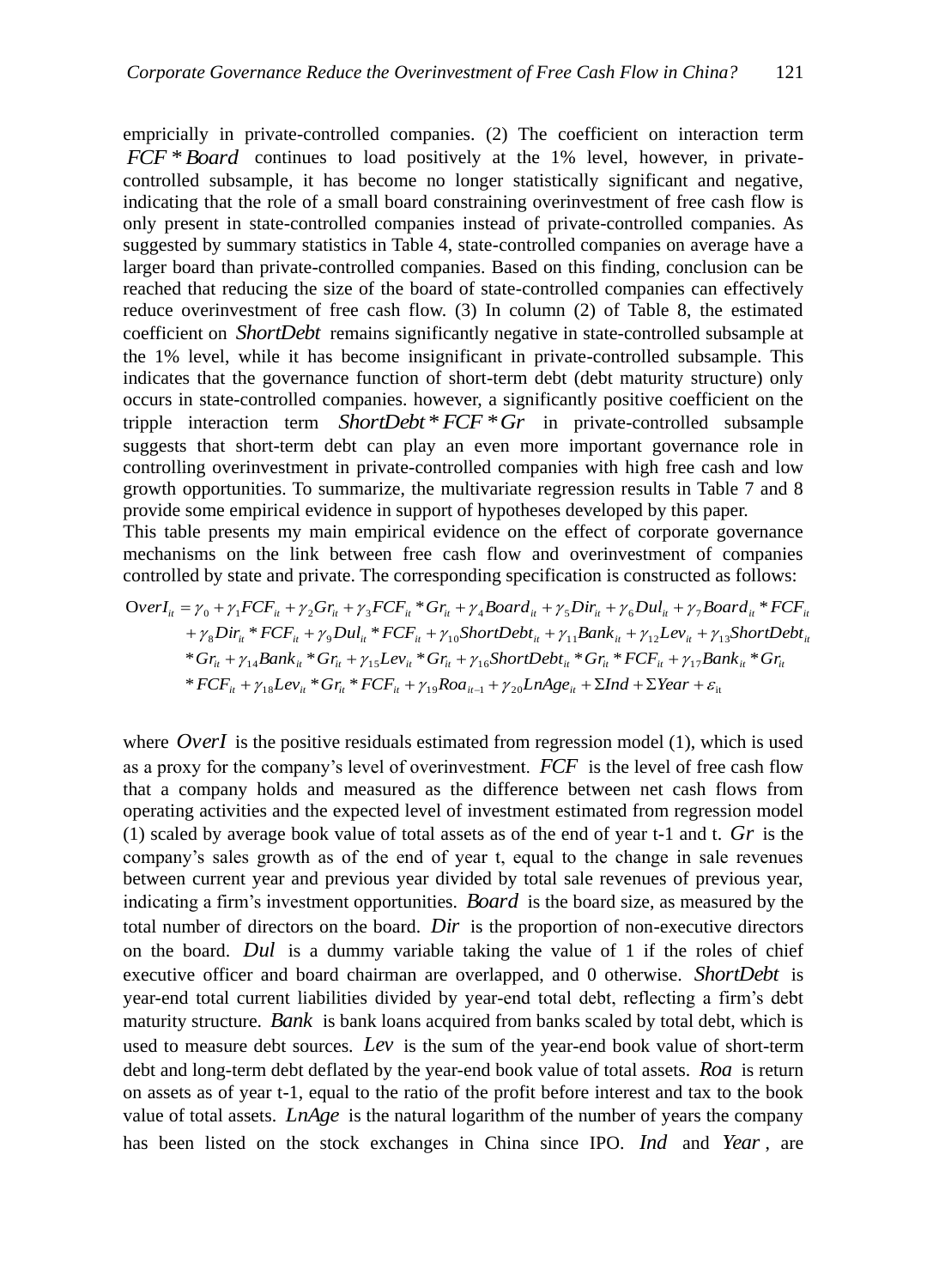empricially in private-controlled companies. (2) The coefficient on interaction term *FCF* \**Board* continues to load positively at the 1% level, however, in privatecontrolled subsample, it has become no longer statistically significant and negative, indicating that the role of a small board constraining overinvestment of free cash flow is only present in state-controlled companies instead of private-controlled companies. As suggested by summary statistics in Table 4, state-controlled companies on average have a larger board than private-controlled companies. Based on this finding, conclusion can be reached that reducing the size of the board of state-controlled companies can effectively reduce overinvestment of free cash flow. (3) In column (2) of Table 8, the estimated coefficient on *ShortDebt* remains significantly negative in state-controlled subsample at the 1% level, while it has become insignificant in private-controlled subsample. This indicates that the governance function of short-term debt (debt maturity structure) only occurs in state-controlled companies. however, a significantly positive coefficient on the tripple interaction term *ShortDebt* \**FCF* \**Gr* in private-controlled subsample suggests that short-term debt can play an even more important governance role in controlling overinvestment in private-controlled companies with high free cash and low growth opportunities. To summarize, the multivariate regression results in Table 7 and 8 provide some empirical evidence in support of hypotheses developed by this paper.

This table presents my main empirical evidence on the effect of corporate governance mechanisms on the link between free cash flow and overinvestment of companies controlled by state and private. The corresponding specification is constructed as follows:

$$
OverI_{ii} = \gamma_{0} + \gamma_{1}FCF_{ii} + \gamma_{2}Gr_{ii} + \gamma_{3}FCF_{ii} * Gr_{ii} + \gamma_{4}Board_{ii} + \gamma_{5}Dir_{ii} + \gamma_{6} Dul_{ii} + \gamma_{7}Board_{ii} * FCF_{ii} + \gamma_{8}Dir_{ii} * FCF_{ii} + \gamma_{9} Dul_{ii} * FCF_{ii} + \gamma_{10} ShortDebt_{ii} + \gamma_{11} Bank_{ii} + \gamma_{12}Lev_{ii} + \gamma_{13} ShortDebt_{ii} * Gr_{ii} + \gamma_{14} Bank_{ii} * Gr_{ii} + \gamma_{15}Lev_{ii} * Gr_{ii} + \gamma_{16} ShortDebt_{ii} * Gr_{ii} * FCF_{ii} + \gamma_{17} Bank_{ii} * Gr_{ii} * FCF_{ii} + \gamma_{18}Lev_{ii} * Gr_{ii} * FCF_{ii} + \gamma_{19} Road_{ii-1} + \gamma_{20}LnAge_{ii} + \Sigma Ind + \Sigma Year + \varepsilon_{ii}
$$

where  $OverI$  is the positive residuals estimated from regression model  $(1)$ , which is used as a proxy for the company's level of overinvestment. *FCF* is the level of free cash flow that a company holds and measured as the difference between net cash flows from operating activities and the expected level of investment estimated from regression model (1) scaled by average book value of total assets as of the end of year  $t$ -1 and  $t$ .  $Gr$  is the company's sales growth as of the end of year t, equal to the change in sale revenues between current year and previous year divided by total sale revenues of previous year, indicating a firm's investment opportunities. *Board* is the board size, as measured by the total number of directors on the board. *Dir* is the proportion of non-executive directors on the board. *Dul* is a dummy variable taking the value of 1 if the roles of chief executive officer and board chairman are overlapped, and 0 otherwise. *ShortDebt* is year-end total current liabilities divided by year-end total debt, reflecting a firm's debt maturity structure. *Bank* is bank loans acquired from banks scaled by total debt, which is used to measure debt sources. *Lev* is the sum of the year-end book value of short-term debt and long-term debt deflated by the year-end book value of total assets. *Roa* is return on assets as of year t-1, equal to the ratio of the profit before interest and tax to the book value of total assets. *LnAge* is the natural logarithm of the number of years the company has been listed on the stock exchanges in China since IPO. *Ind* and *Year* , are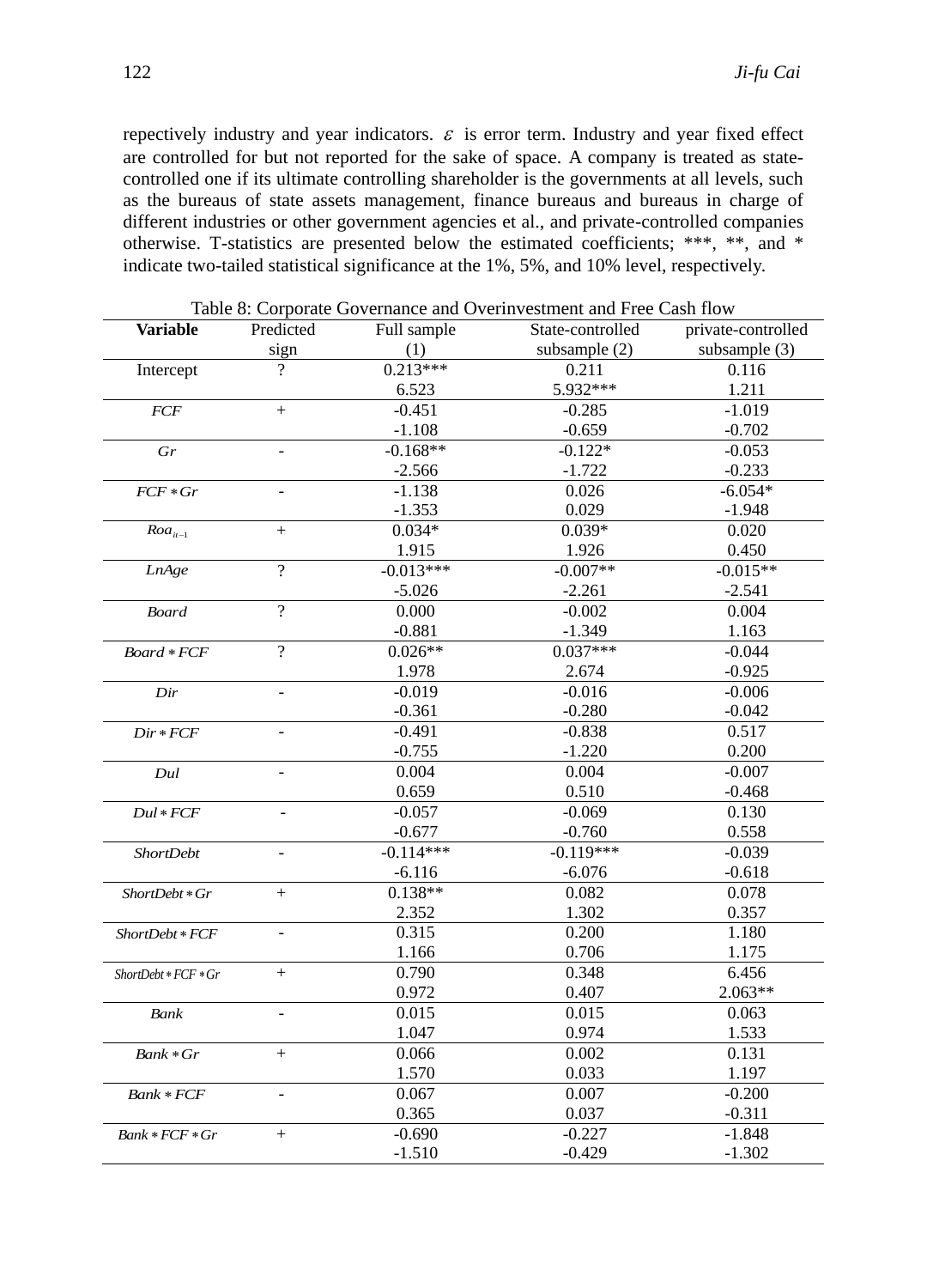repectively industry and year indicators.  $\varepsilon$  is error term. Industry and year fixed effect are controlled for but not reported for the sake of space. A company is treated as statecontrolled one if its ultimate controlling shareholder is the governments at all levels, such as the bureaus of state assets management, finance bureaus and bureaus in charge of different industries or other government agencies et al., and private-controlled companies otherwise. T-statistics are presented below the estimated coefficients; \*\*\*, \*\*, and \* indicate two-tailed statistical significance at the 1%, 5%, and 10% level, respectively.

| (1)<br>subsample (3)<br>subsample $(2)$<br>sign<br>$0.213***$<br>Intercept<br>0.211<br>0.116<br>5.932***<br>6.523<br>1.211<br>$-0.451$<br>$-1.019$<br>$-0.285$<br>$+$<br><b>FCF</b><br>$-1.108$<br>$-0.659$<br>$-0.702$<br>$-0.168**$<br>$-0.122*$<br>$-0.053$<br>Gr<br>$-0.233$<br>$-1.722$<br>$-2.566$<br>$-6.054*$<br>$-1.138$<br>0.026<br>$FCF * Gr$<br>$-1.353$<br>0.029<br>$-1.948$<br>$0.039*$<br>$0.034*$<br>0.020<br>$Roa_{it-1}$<br>$+$<br>1.915<br>1.926<br>0.450<br>$-0.013***$<br>$-0.007**$<br>$\overline{?}$<br>$-0.015**$<br>LnAge<br>$-5.026$<br>$-2.261$<br>$-2.541$<br>$\overline{?}$<br>0.000<br>$-0.002$<br>0.004<br><b>Board</b><br>$-1.349$<br>$-0.881$<br>1.163<br>$\overline{?}$<br>$0.037***$<br>$0.026**$<br>$-0.044$<br>Board * FCF<br>1.978<br>$-0.925$<br>2.674<br>$-0.019$<br>$-0.016$<br>$-0.006$<br>Dir<br>$-0.361$<br>$-0.280$<br>$-0.042$<br>$-0.491$<br>$-0.838$<br>0.517<br>$Dir * FCF$<br>$-0.755$<br>$-1.220$<br>0.200<br>0.004<br>0.004<br>$-0.007$<br>Dul<br>0.659<br>0.510<br>$-0.468$<br>$-0.057$<br>$-0.069$<br>0.130<br>$Dul*FCF$<br>$\Box$<br>$-0.677$<br>$-0.760$<br>0.558<br>$-0.119***$<br>$-0.114***$<br>$-0.039$<br><b>ShortDebt</b><br>$-0.618$<br>$-6.116$<br>$-6.076$<br>$0.138**$<br>0.082<br>0.078<br>$+$<br>ShortDebt * Gr<br>2.352<br>1.302<br>0.357<br>0.315<br>0.200<br>1.180<br>ShortDebt * FCF<br>0.706<br>1.175<br>1.166<br>0.348<br>6.456<br>0.790<br>$+$<br>$ShortDebt*FCF*Gr$<br>2.063**<br>0.972<br>0.407<br>0.015<br>0.015<br>0.063<br>Bank<br>1.047<br>0.974<br>1.533<br>0.066<br>0.002<br>0.131<br>$+$<br>Bank * Gr<br>1.570<br>0.033<br>1.197<br>$-0.200$<br>0.067<br>0.007<br>Bank * FCF<br>0.365<br>0.037<br>$-0.311$<br>$-0.690$<br>$-0.227$<br>$-1.848$<br>$^{+}$<br>Bank * FCF * Gr<br>$-1.510$<br>$-0.429$<br>$-1.302$ | <b>Variable</b> | Predicted | Full sample | radio of Corporate Covernance and Overnivestment and Fice Cash from<br>State-controlled | private-controlled |
|-----------------------------------------------------------------------------------------------------------------------------------------------------------------------------------------------------------------------------------------------------------------------------------------------------------------------------------------------------------------------------------------------------------------------------------------------------------------------------------------------------------------------------------------------------------------------------------------------------------------------------------------------------------------------------------------------------------------------------------------------------------------------------------------------------------------------------------------------------------------------------------------------------------------------------------------------------------------------------------------------------------------------------------------------------------------------------------------------------------------------------------------------------------------------------------------------------------------------------------------------------------------------------------------------------------------------------------------------------------------------------------------------------------------------------------------------------------------------------------------------------------------------------------------------------------------------------------------------------------------------------------------------------------------------------------------------------------------------------------------------------------------------------------------------------|-----------------|-----------|-------------|-----------------------------------------------------------------------------------------|--------------------|
|                                                                                                                                                                                                                                                                                                                                                                                                                                                                                                                                                                                                                                                                                                                                                                                                                                                                                                                                                                                                                                                                                                                                                                                                                                                                                                                                                                                                                                                                                                                                                                                                                                                                                                                                                                                                     |                 |           |             |                                                                                         |                    |
|                                                                                                                                                                                                                                                                                                                                                                                                                                                                                                                                                                                                                                                                                                                                                                                                                                                                                                                                                                                                                                                                                                                                                                                                                                                                                                                                                                                                                                                                                                                                                                                                                                                                                                                                                                                                     |                 |           |             |                                                                                         |                    |
|                                                                                                                                                                                                                                                                                                                                                                                                                                                                                                                                                                                                                                                                                                                                                                                                                                                                                                                                                                                                                                                                                                                                                                                                                                                                                                                                                                                                                                                                                                                                                                                                                                                                                                                                                                                                     |                 |           |             |                                                                                         |                    |
|                                                                                                                                                                                                                                                                                                                                                                                                                                                                                                                                                                                                                                                                                                                                                                                                                                                                                                                                                                                                                                                                                                                                                                                                                                                                                                                                                                                                                                                                                                                                                                                                                                                                                                                                                                                                     |                 |           |             |                                                                                         |                    |
|                                                                                                                                                                                                                                                                                                                                                                                                                                                                                                                                                                                                                                                                                                                                                                                                                                                                                                                                                                                                                                                                                                                                                                                                                                                                                                                                                                                                                                                                                                                                                                                                                                                                                                                                                                                                     |                 |           |             |                                                                                         |                    |
|                                                                                                                                                                                                                                                                                                                                                                                                                                                                                                                                                                                                                                                                                                                                                                                                                                                                                                                                                                                                                                                                                                                                                                                                                                                                                                                                                                                                                                                                                                                                                                                                                                                                                                                                                                                                     |                 |           |             |                                                                                         |                    |
|                                                                                                                                                                                                                                                                                                                                                                                                                                                                                                                                                                                                                                                                                                                                                                                                                                                                                                                                                                                                                                                                                                                                                                                                                                                                                                                                                                                                                                                                                                                                                                                                                                                                                                                                                                                                     |                 |           |             |                                                                                         |                    |
|                                                                                                                                                                                                                                                                                                                                                                                                                                                                                                                                                                                                                                                                                                                                                                                                                                                                                                                                                                                                                                                                                                                                                                                                                                                                                                                                                                                                                                                                                                                                                                                                                                                                                                                                                                                                     |                 |           |             |                                                                                         |                    |
|                                                                                                                                                                                                                                                                                                                                                                                                                                                                                                                                                                                                                                                                                                                                                                                                                                                                                                                                                                                                                                                                                                                                                                                                                                                                                                                                                                                                                                                                                                                                                                                                                                                                                                                                                                                                     |                 |           |             |                                                                                         |                    |
|                                                                                                                                                                                                                                                                                                                                                                                                                                                                                                                                                                                                                                                                                                                                                                                                                                                                                                                                                                                                                                                                                                                                                                                                                                                                                                                                                                                                                                                                                                                                                                                                                                                                                                                                                                                                     |                 |           |             |                                                                                         |                    |
|                                                                                                                                                                                                                                                                                                                                                                                                                                                                                                                                                                                                                                                                                                                                                                                                                                                                                                                                                                                                                                                                                                                                                                                                                                                                                                                                                                                                                                                                                                                                                                                                                                                                                                                                                                                                     |                 |           |             |                                                                                         |                    |
|                                                                                                                                                                                                                                                                                                                                                                                                                                                                                                                                                                                                                                                                                                                                                                                                                                                                                                                                                                                                                                                                                                                                                                                                                                                                                                                                                                                                                                                                                                                                                                                                                                                                                                                                                                                                     |                 |           |             |                                                                                         |                    |
|                                                                                                                                                                                                                                                                                                                                                                                                                                                                                                                                                                                                                                                                                                                                                                                                                                                                                                                                                                                                                                                                                                                                                                                                                                                                                                                                                                                                                                                                                                                                                                                                                                                                                                                                                                                                     |                 |           |             |                                                                                         |                    |
|                                                                                                                                                                                                                                                                                                                                                                                                                                                                                                                                                                                                                                                                                                                                                                                                                                                                                                                                                                                                                                                                                                                                                                                                                                                                                                                                                                                                                                                                                                                                                                                                                                                                                                                                                                                                     |                 |           |             |                                                                                         |                    |
|                                                                                                                                                                                                                                                                                                                                                                                                                                                                                                                                                                                                                                                                                                                                                                                                                                                                                                                                                                                                                                                                                                                                                                                                                                                                                                                                                                                                                                                                                                                                                                                                                                                                                                                                                                                                     |                 |           |             |                                                                                         |                    |
|                                                                                                                                                                                                                                                                                                                                                                                                                                                                                                                                                                                                                                                                                                                                                                                                                                                                                                                                                                                                                                                                                                                                                                                                                                                                                                                                                                                                                                                                                                                                                                                                                                                                                                                                                                                                     |                 |           |             |                                                                                         |                    |
|                                                                                                                                                                                                                                                                                                                                                                                                                                                                                                                                                                                                                                                                                                                                                                                                                                                                                                                                                                                                                                                                                                                                                                                                                                                                                                                                                                                                                                                                                                                                                                                                                                                                                                                                                                                                     |                 |           |             |                                                                                         |                    |
|                                                                                                                                                                                                                                                                                                                                                                                                                                                                                                                                                                                                                                                                                                                                                                                                                                                                                                                                                                                                                                                                                                                                                                                                                                                                                                                                                                                                                                                                                                                                                                                                                                                                                                                                                                                                     |                 |           |             |                                                                                         |                    |
|                                                                                                                                                                                                                                                                                                                                                                                                                                                                                                                                                                                                                                                                                                                                                                                                                                                                                                                                                                                                                                                                                                                                                                                                                                                                                                                                                                                                                                                                                                                                                                                                                                                                                                                                                                                                     |                 |           |             |                                                                                         |                    |
|                                                                                                                                                                                                                                                                                                                                                                                                                                                                                                                                                                                                                                                                                                                                                                                                                                                                                                                                                                                                                                                                                                                                                                                                                                                                                                                                                                                                                                                                                                                                                                                                                                                                                                                                                                                                     |                 |           |             |                                                                                         |                    |
|                                                                                                                                                                                                                                                                                                                                                                                                                                                                                                                                                                                                                                                                                                                                                                                                                                                                                                                                                                                                                                                                                                                                                                                                                                                                                                                                                                                                                                                                                                                                                                                                                                                                                                                                                                                                     |                 |           |             |                                                                                         |                    |
|                                                                                                                                                                                                                                                                                                                                                                                                                                                                                                                                                                                                                                                                                                                                                                                                                                                                                                                                                                                                                                                                                                                                                                                                                                                                                                                                                                                                                                                                                                                                                                                                                                                                                                                                                                                                     |                 |           |             |                                                                                         |                    |
|                                                                                                                                                                                                                                                                                                                                                                                                                                                                                                                                                                                                                                                                                                                                                                                                                                                                                                                                                                                                                                                                                                                                                                                                                                                                                                                                                                                                                                                                                                                                                                                                                                                                                                                                                                                                     |                 |           |             |                                                                                         |                    |
|                                                                                                                                                                                                                                                                                                                                                                                                                                                                                                                                                                                                                                                                                                                                                                                                                                                                                                                                                                                                                                                                                                                                                                                                                                                                                                                                                                                                                                                                                                                                                                                                                                                                                                                                                                                                     |                 |           |             |                                                                                         |                    |
|                                                                                                                                                                                                                                                                                                                                                                                                                                                                                                                                                                                                                                                                                                                                                                                                                                                                                                                                                                                                                                                                                                                                                                                                                                                                                                                                                                                                                                                                                                                                                                                                                                                                                                                                                                                                     |                 |           |             |                                                                                         |                    |
|                                                                                                                                                                                                                                                                                                                                                                                                                                                                                                                                                                                                                                                                                                                                                                                                                                                                                                                                                                                                                                                                                                                                                                                                                                                                                                                                                                                                                                                                                                                                                                                                                                                                                                                                                                                                     |                 |           |             |                                                                                         |                    |
|                                                                                                                                                                                                                                                                                                                                                                                                                                                                                                                                                                                                                                                                                                                                                                                                                                                                                                                                                                                                                                                                                                                                                                                                                                                                                                                                                                                                                                                                                                                                                                                                                                                                                                                                                                                                     |                 |           |             |                                                                                         |                    |
|                                                                                                                                                                                                                                                                                                                                                                                                                                                                                                                                                                                                                                                                                                                                                                                                                                                                                                                                                                                                                                                                                                                                                                                                                                                                                                                                                                                                                                                                                                                                                                                                                                                                                                                                                                                                     |                 |           |             |                                                                                         |                    |
|                                                                                                                                                                                                                                                                                                                                                                                                                                                                                                                                                                                                                                                                                                                                                                                                                                                                                                                                                                                                                                                                                                                                                                                                                                                                                                                                                                                                                                                                                                                                                                                                                                                                                                                                                                                                     |                 |           |             |                                                                                         |                    |
|                                                                                                                                                                                                                                                                                                                                                                                                                                                                                                                                                                                                                                                                                                                                                                                                                                                                                                                                                                                                                                                                                                                                                                                                                                                                                                                                                                                                                                                                                                                                                                                                                                                                                                                                                                                                     |                 |           |             |                                                                                         |                    |
|                                                                                                                                                                                                                                                                                                                                                                                                                                                                                                                                                                                                                                                                                                                                                                                                                                                                                                                                                                                                                                                                                                                                                                                                                                                                                                                                                                                                                                                                                                                                                                                                                                                                                                                                                                                                     |                 |           |             |                                                                                         |                    |
|                                                                                                                                                                                                                                                                                                                                                                                                                                                                                                                                                                                                                                                                                                                                                                                                                                                                                                                                                                                                                                                                                                                                                                                                                                                                                                                                                                                                                                                                                                                                                                                                                                                                                                                                                                                                     |                 |           |             |                                                                                         |                    |
|                                                                                                                                                                                                                                                                                                                                                                                                                                                                                                                                                                                                                                                                                                                                                                                                                                                                                                                                                                                                                                                                                                                                                                                                                                                                                                                                                                                                                                                                                                                                                                                                                                                                                                                                                                                                     |                 |           |             |                                                                                         |                    |
|                                                                                                                                                                                                                                                                                                                                                                                                                                                                                                                                                                                                                                                                                                                                                                                                                                                                                                                                                                                                                                                                                                                                                                                                                                                                                                                                                                                                                                                                                                                                                                                                                                                                                                                                                                                                     |                 |           |             |                                                                                         |                    |
|                                                                                                                                                                                                                                                                                                                                                                                                                                                                                                                                                                                                                                                                                                                                                                                                                                                                                                                                                                                                                                                                                                                                                                                                                                                                                                                                                                                                                                                                                                                                                                                                                                                                                                                                                                                                     |                 |           |             |                                                                                         |                    |
|                                                                                                                                                                                                                                                                                                                                                                                                                                                                                                                                                                                                                                                                                                                                                                                                                                                                                                                                                                                                                                                                                                                                                                                                                                                                                                                                                                                                                                                                                                                                                                                                                                                                                                                                                                                                     |                 |           |             |                                                                                         |                    |
|                                                                                                                                                                                                                                                                                                                                                                                                                                                                                                                                                                                                                                                                                                                                                                                                                                                                                                                                                                                                                                                                                                                                                                                                                                                                                                                                                                                                                                                                                                                                                                                                                                                                                                                                                                                                     |                 |           |             |                                                                                         |                    |
|                                                                                                                                                                                                                                                                                                                                                                                                                                                                                                                                                                                                                                                                                                                                                                                                                                                                                                                                                                                                                                                                                                                                                                                                                                                                                                                                                                                                                                                                                                                                                                                                                                                                                                                                                                                                     |                 |           |             |                                                                                         |                    |
|                                                                                                                                                                                                                                                                                                                                                                                                                                                                                                                                                                                                                                                                                                                                                                                                                                                                                                                                                                                                                                                                                                                                                                                                                                                                                                                                                                                                                                                                                                                                                                                                                                                                                                                                                                                                     |                 |           |             |                                                                                         |                    |
|                                                                                                                                                                                                                                                                                                                                                                                                                                                                                                                                                                                                                                                                                                                                                                                                                                                                                                                                                                                                                                                                                                                                                                                                                                                                                                                                                                                                                                                                                                                                                                                                                                                                                                                                                                                                     |                 |           |             |                                                                                         |                    |
|                                                                                                                                                                                                                                                                                                                                                                                                                                                                                                                                                                                                                                                                                                                                                                                                                                                                                                                                                                                                                                                                                                                                                                                                                                                                                                                                                                                                                                                                                                                                                                                                                                                                                                                                                                                                     |                 |           |             |                                                                                         |                    |
|                                                                                                                                                                                                                                                                                                                                                                                                                                                                                                                                                                                                                                                                                                                                                                                                                                                                                                                                                                                                                                                                                                                                                                                                                                                                                                                                                                                                                                                                                                                                                                                                                                                                                                                                                                                                     |                 |           |             |                                                                                         |                    |

Table 8: Corporate Governance and Overinvestment and Free Cash flow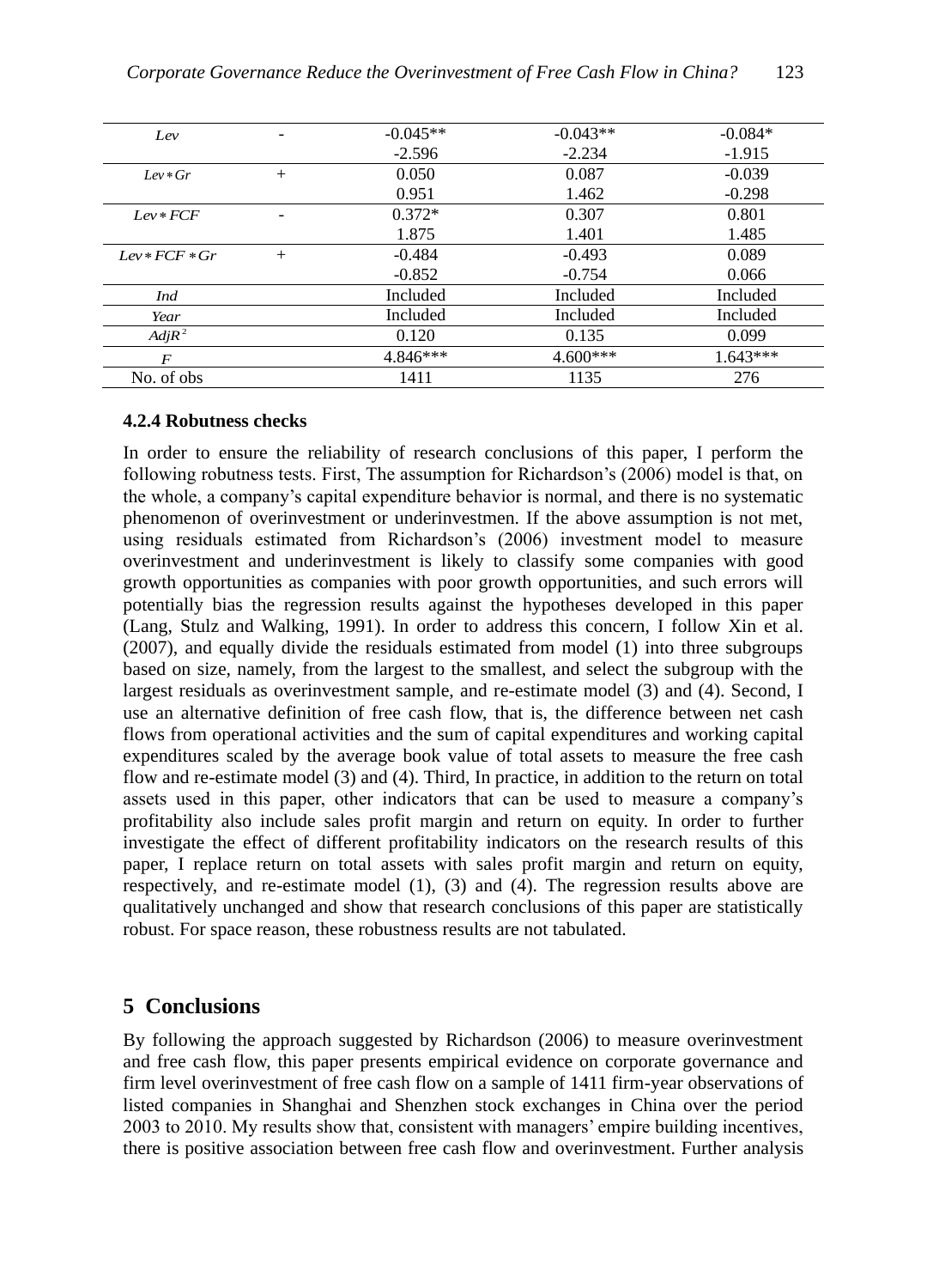| Lev              |        | $-0.045**$ | $-0.043**$ | $-0.084*$  |
|------------------|--------|------------|------------|------------|
|                  |        | $-2.596$   | $-2.234$   | $-1.915$   |
| $Lev*Gr$         | $^{+}$ | 0.050      | 0.087      | $-0.039$   |
|                  |        | 0.951      | 1.462      | $-0.298$   |
| $Lev*FCF$        | -      | $0.372*$   | 0.307      | 0.801      |
|                  |        | 1.875      | 1.401      | 1.485      |
| $Lev*FCF*Gr$     | $+$    | $-0.484$   | $-0.493$   | 0.089      |
|                  |        | $-0.852$   | $-0.754$   | 0.066      |
| Ind              |        | Included   | Included   | Included   |
| Year             |        | Included   | Included   | Included   |
| $AdiR^2$         |        | 0.120      | 0.135      | 0.099      |
| $\boldsymbol{F}$ |        | $4.846***$ | $4.600***$ | $1.643***$ |
| No. of obs       |        | 1411       | 1135       | 276        |

### **4.2.4 Robutness checks**

In order to ensure the reliability of research conclusions of this paper, I perform the following robutness tests. First, The assumption for Richardson's (2006) model is that, on the whole, a company's capital expenditure behavior is normal, and there is no systematic phenomenon of overinvestment or underinvestmen. If the above assumption is not met, using residuals estimated from Richardson's (2006) investment model to measure overinvestment and underinvestment is likely to classify some companies with good growth opportunities as companies with poor growth opportunities, and such errors will potentially bias the regression results against the hypotheses developed in this paper (Lang, Stulz and Walking, 1991). In order to address this concern, I follow Xin et al. (2007), and equally divide the residuals estimated from model (1) into three subgroups based on size, namely, from the largest to the smallest, and select the subgroup with the largest residuals as overinvestment sample, and re-estimate model (3) and (4). Second, I use an alternative definition of free cash flow, that is, the difference between net cash flows from operational activities and the sum of capital expenditures and working capital expenditures scaled by the average book value of total assets to measure the free cash flow and re-estimate model (3) and (4). Third, In practice, in addition to the return on total assets used in this paper, other indicators that can be used to measure a company's profitability also include sales profit margin and return on equity. In order to further investigate the effect of different profitability indicators on the research results of this paper, I replace return on total assets with sales profit margin and return on equity, respectively, and re-estimate model (1), (3) and (4). The regression results above are qualitatively unchanged and show that research conclusions of this paper are statistically robust. For space reason, these robustness results are not tabulated.

## **5 Conclusions**

By following the approach suggested by Richardson (2006) to measure overinvestment and free cash flow, this paper presents empirical evidence on corporate governance and firm level overinvestment of free cash flow on a sample of 1411 firm-year observations of listed companies in Shanghai and Shenzhen stock exchanges in China over the period 2003 to 2010. My results show that, consistent with managers' empire building incentives, there is positive association between free cash flow and overinvestment. Further analysis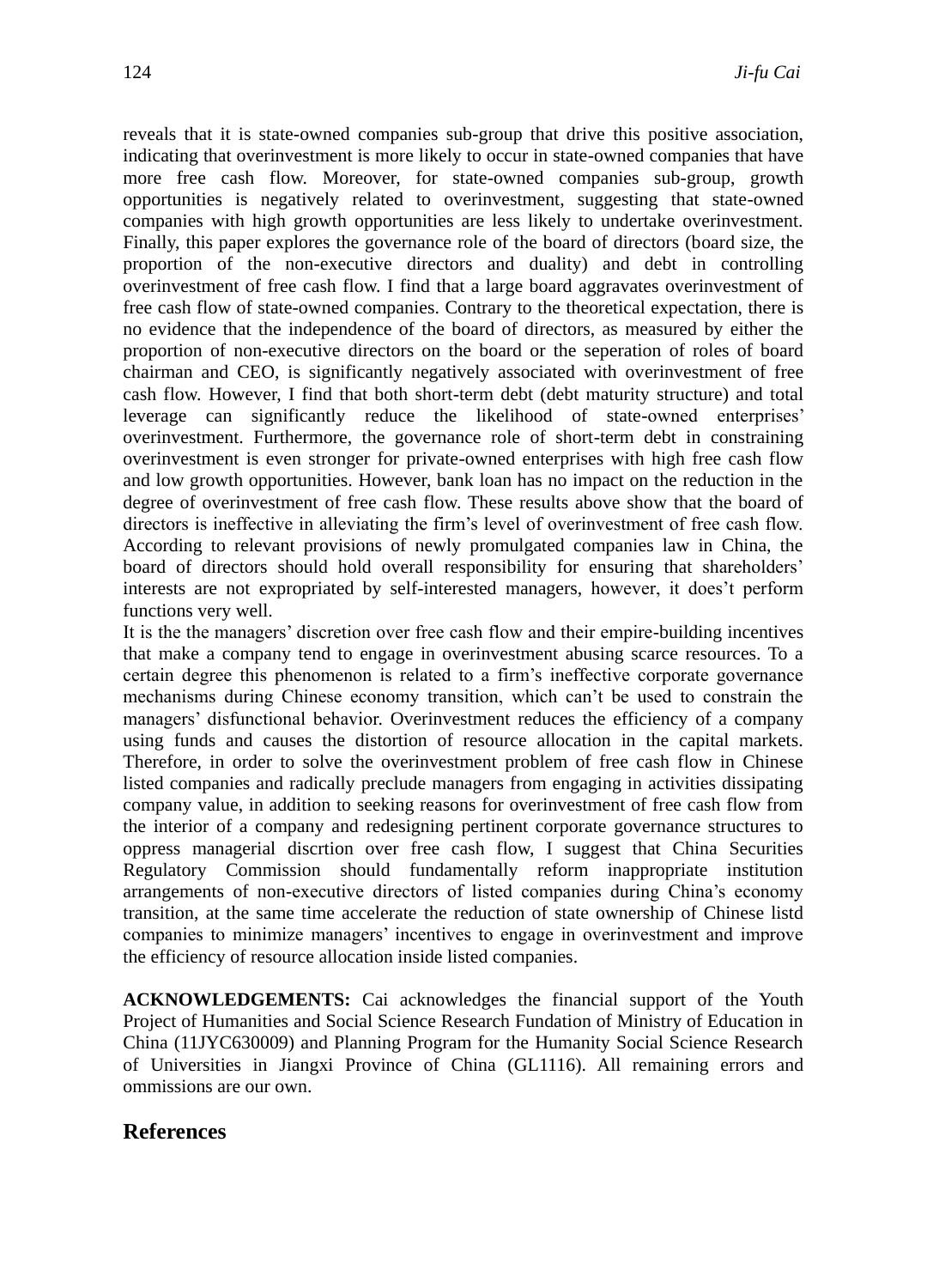reveals that it is state-owned companies sub-group that drive this positive association, indicating that overinvestment is more likely to occur in state-owned companies that have more free cash flow. Moreover, for state-owned companies sub-group, growth opportunities is negatively related to overinvestment, suggesting that state-owned companies with high growth opportunities are less likely to undertake overinvestment. Finally, this paper explores the governance role of the board of directors (board size, the proportion of the non-executive directors and duality) and debt in controlling overinvestment of free cash flow. I find that a large board aggravates overinvestment of free cash flow of state-owned companies. Contrary to the theoretical expectation, there is no evidence that the independence of the board of directors, as measured by either the proportion of non-executive directors on the board or the seperation of roles of board chairman and CEO, is significantly negatively associated with overinvestment of free cash flow. However, I find that both short-term debt (debt maturity structure) and total leverage can significantly reduce the likelihood of state-owned enterprises' overinvestment. Furthermore, the governance role of short-term debt in constraining overinvestment is even stronger for private-owned enterprises with high free cash flow and low growth opportunities. However, bank loan has no impact on the reduction in the degree of overinvestment of free cash flow. These results above show that the board of directors is ineffective in alleviating the firm's level of overinvestment of free cash flow. According to relevant provisions of newly promulgated companies law in China, the board of directors should hold overall responsibility for ensuring that shareholders' interests are not expropriated by self-interested managers, however, it does't perform functions very well.

It is the the managers' discretion over free cash flow and their empire-building incentives that make a company tend to engage in overinvestment abusing scarce resources. To a certain degree this phenomenon is related to a firm's ineffective corporate governance mechanisms during Chinese economy transition, which can't be used to constrain the managers' disfunctional behavior. Overinvestment reduces the efficiency of a company using funds and causes the distortion of resource allocation in the capital markets. Therefore, in order to solve the overinvestment problem of free cash flow in Chinese listed companies and radically preclude managers from engaging in activities dissipating company value, in addition to seeking reasons for overinvestment of free cash flow from the interior of a company and redesigning pertinent corporate governance structures to oppress managerial discrtion over free cash flow, I suggest that China Securities Regulatory Commission should fundamentally reform inappropriate institution arrangements of non-executive directors of listed companies during China's economy transition, at the same time accelerate the reduction of state ownership of Chinese listd companies to minimize managers' incentives to engage in overinvestment and improve the efficiency of resource allocation inside listed companies.

**ACKNOWLEDGEMENTS:** Cai acknowledges the financial support of the Youth Project of Humanities and Social Science Research Fundation of Ministry of Education in China (11JYC630009) and Planning Program for the Humanity Social Science Research of Universities in Jiangxi Province of China (GL1116). All remaining errors and ommissions are our own.

## **References**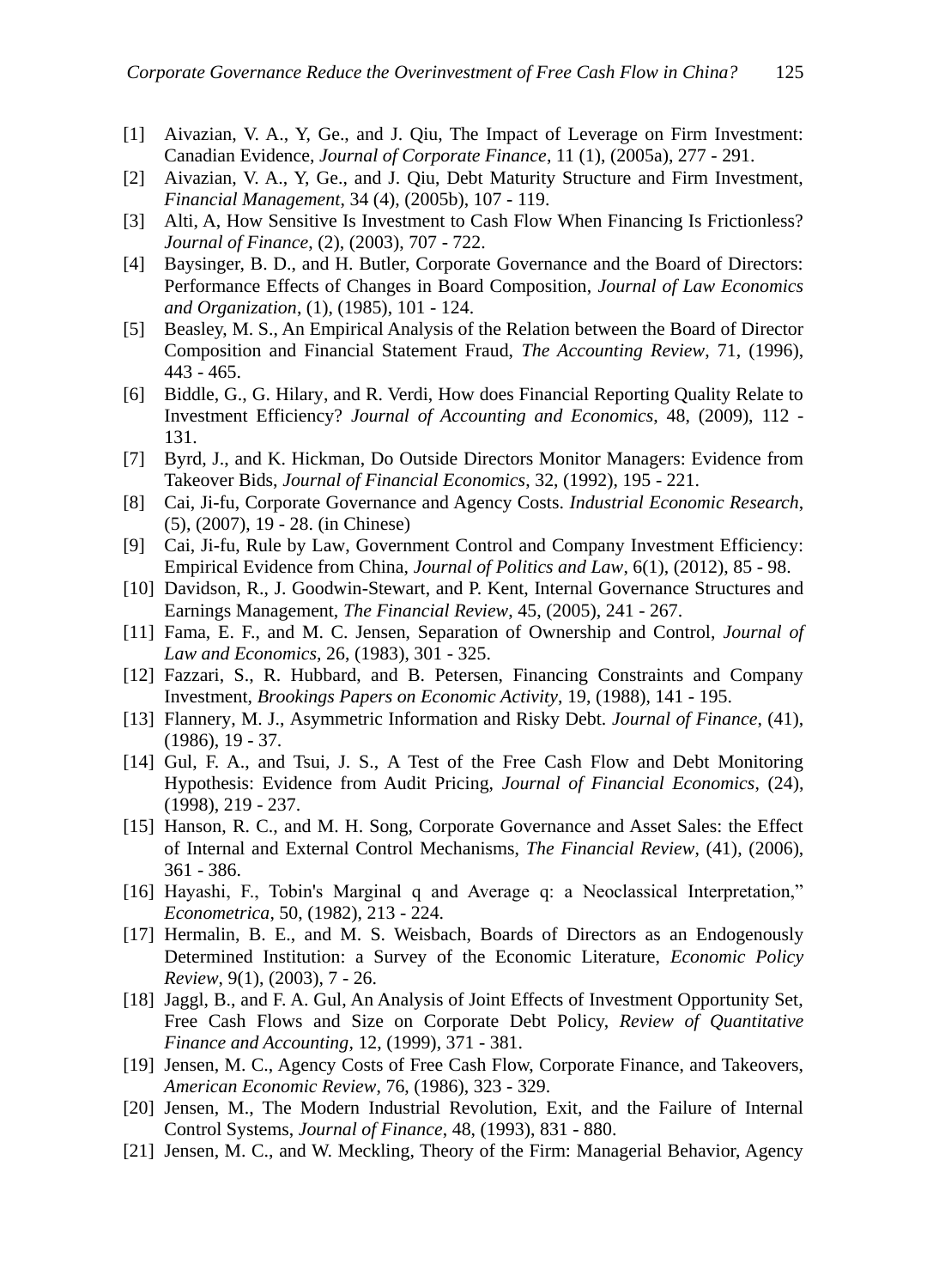- [1] Aivazian, V. A., Y, Ge., and J. Qiu, The Impact of Leverage on Firm Investment: Canadian Evidence, *Journal of Corporate Finance*, 11 (1), (2005a), 277 - 291.
- [2] Aivazian, V. A., Y, Ge., and J. Qiu, Debt Maturity Structure and Firm Investment, *Financial Management*, 34 (4), (2005b), 107 - 119.
- [3] Alti, A, How Sensitive Is Investment to Cash Flow When Financing Is Frictionless? *Journal of Finance*, (2), (2003), 707 - 722.
- [4] Baysinger, B. D., and H. Butler, Corporate Governance and the Board of Directors: Performance Effects of Changes in Board Composition, *Journal of Law Economics and Organization*, (1), (1985), 101 - 124.
- [5] Beasley, M. S., An Empirical Analysis of the Relation between the Board of Director Composition and Financial Statement Fraud, *The Accounting Review*, 71, (1996), 443 - 465.
- [6] Biddle, G., G. Hilary, and R. Verdi, How does Financial Reporting Quality Relate to Investment Efficiency? *Journal of Accounting and Economics*, 48, (2009), 112 - 131.
- [7] Byrd, J., and K. Hickman, Do Outside Directors Monitor Managers: Evidence from Takeover Bids, *Journal of Financial Economics*, 32, (1992), 195 - 221.
- [8] Cai, Ji-fu, Corporate Governance and Agency Costs. *Industrial Economic Research*, (5), (2007), 19 - 28. (in Chinese)
- [9] Cai, Ji-fu, Rule by Law, Government Control and Company Investment Efficiency: Empirical Evidence from China, *Journal of Politics and Law*, 6(1), (2012), 85 - 98.
- [10] Davidson, R., J. Goodwin-Stewart, and P. Kent, Internal Governance Structures and Earnings Management, *The Financial Review*, 45, (2005), 241 - 267.
- [11] Fama, E. F., and M. C. Jensen, Separation of Ownership and Control, *Journal of Law and Economics*, 26, (1983), 301 - 325.
- [12] Fazzari, S., R. Hubbard, and B. Petersen, Financing Constraints and Company Investment, *Brookings Papers on Economic Activity*, 19, (1988), 141 - 195.
- [13] Flannery, M. J., Asymmetric Information and Risky Debt. *Journal of Finance*, (41), (1986), 19 - 37.
- [14] Gul, F. A., and Tsui, J. S., A Test of the Free Cash Flow and Debt Monitoring Hypothesis: Evidence from Audit Pricing, *Journal of Financial Economics*, (24), (1998), 219 - 237.
- [15] Hanson, R. C., and M. H. Song, Corporate Governance and Asset Sales: the Effect of Internal and External Control Mechanisms, *The Financial Review*, (41), (2006), 361 - 386.
- [16] Hayashi, F., Tobin's Marginal q and Average q: a Neoclassical Interpretation," *Econometrica*, 50, (1982), 213 - 224.
- [17] Hermalin, B. E., and M. S. Weisbach, Boards of Directors as an Endogenously Determined Institution: a Survey of the Economic Literature, *Economic Policy Review*, 9(1), (2003), 7 - 26.
- [18] Jaggl, B., and F. A. Gul, An Analysis of Joint Effects of Investment Opportunity Set, Free Cash Flows and Size on Corporate Debt Policy, *Review of Quantitative Finance and Accounting*, 12, (1999), 371 - 381.
- [19] Jensen, M. C., Agency Costs of Free Cash Flow, Corporate Finance, and Takeovers, *American Economic Review*, 76, (1986), 323 - 329.
- [20] Jensen, M., The Modern Industrial Revolution, Exit, and the Failure of Internal Control Systems, *Journal of Finance*, 48, (1993), 831 - 880.
- [21] Jensen, M. C., and W. Meckling, Theory of the Firm: Managerial Behavior, Agency